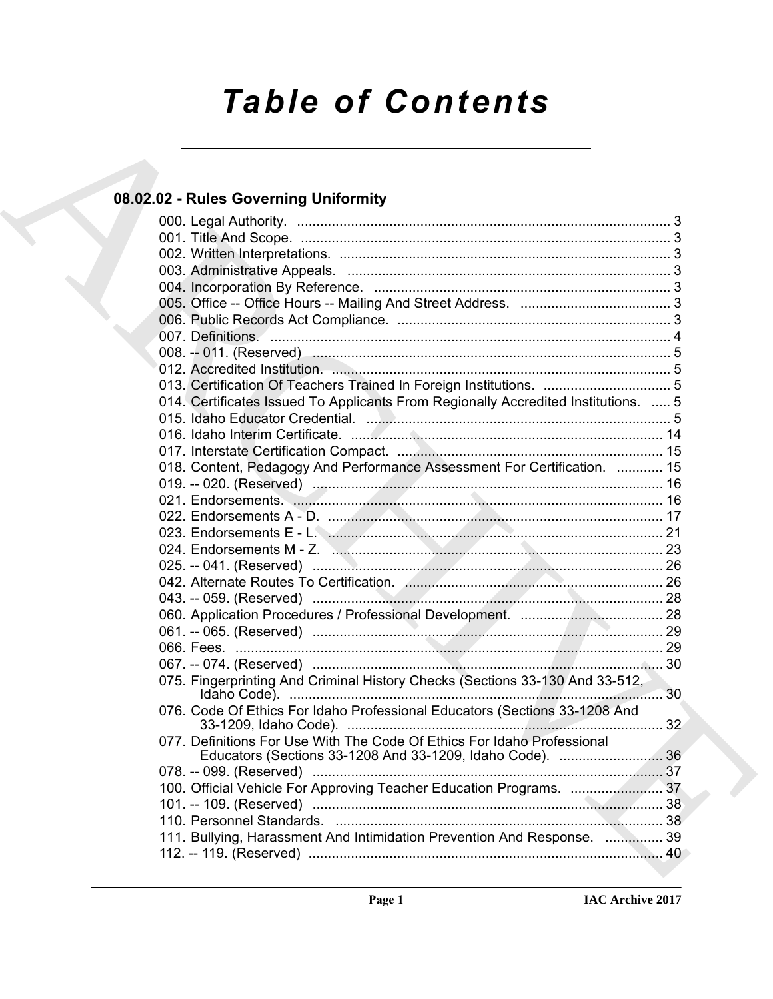# *Table of Contents*

### **08.02.02 - Rules Governing Uniformity**

| 08.02.02 - Rules Governing Uniformity                                              |  |
|------------------------------------------------------------------------------------|--|
|                                                                                    |  |
|                                                                                    |  |
|                                                                                    |  |
|                                                                                    |  |
|                                                                                    |  |
|                                                                                    |  |
|                                                                                    |  |
|                                                                                    |  |
|                                                                                    |  |
|                                                                                    |  |
|                                                                                    |  |
| 014. Certificates Issued To Applicants From Regionally Accredited Institutions.  5 |  |
|                                                                                    |  |
|                                                                                    |  |
|                                                                                    |  |
| 018. Content, Pedagogy And Performance Assessment For Certification.  15           |  |
|                                                                                    |  |
|                                                                                    |  |
|                                                                                    |  |
|                                                                                    |  |
|                                                                                    |  |
|                                                                                    |  |
|                                                                                    |  |
|                                                                                    |  |
|                                                                                    |  |
|                                                                                    |  |
|                                                                                    |  |
|                                                                                    |  |
| 075. Fingerprinting And Criminal History Checks (Sections 33-130 And 33-512,       |  |
| 076. Code Of Ethics For Idaho Professional Educators (Sections 33-1208 And         |  |
| 077. Definitions For Use With The Code Of Ethics For Idaho Professional            |  |
|                                                                                    |  |
|                                                                                    |  |
|                                                                                    |  |
|                                                                                    |  |
| 111. Bullying, Harassment And Intimidation Prevention And Response.  39            |  |
|                                                                                    |  |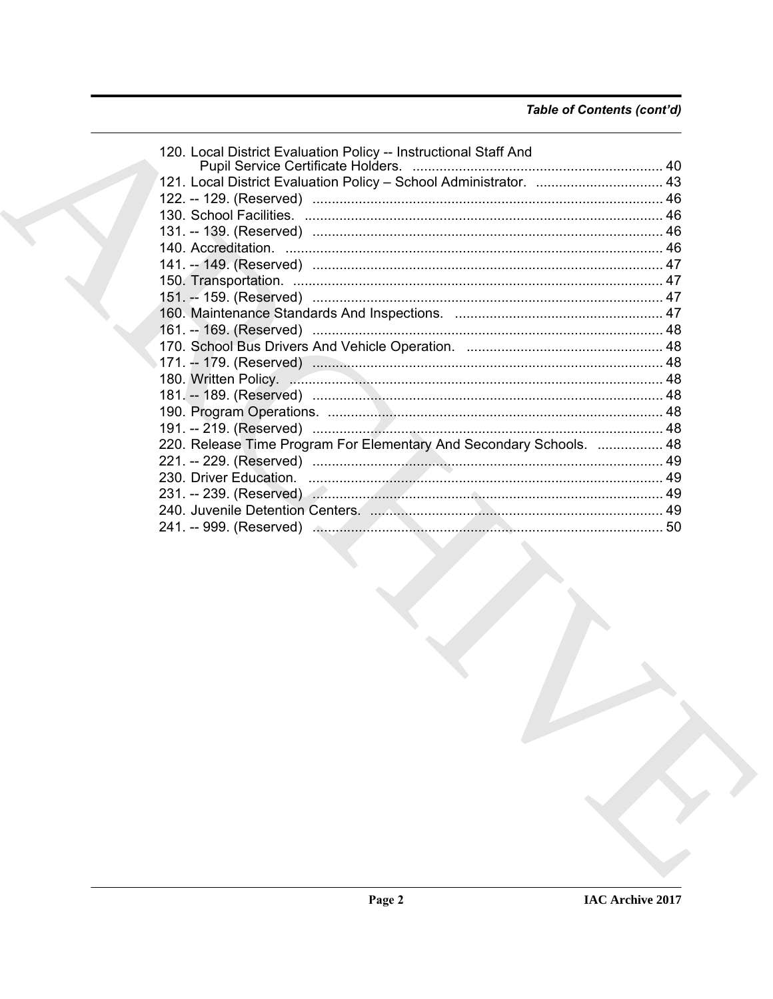| 120. Local District Evaluation Policy -- Instructional Staff And    |                                                                   |
|---------------------------------------------------------------------|-------------------------------------------------------------------|
|                                                                     |                                                                   |
|                                                                     |                                                                   |
|                                                                     |                                                                   |
|                                                                     |                                                                   |
|                                                                     |                                                                   |
|                                                                     |                                                                   |
|                                                                     |                                                                   |
|                                                                     |                                                                   |
|                                                                     |                                                                   |
|                                                                     |                                                                   |
|                                                                     |                                                                   |
|                                                                     |                                                                   |
|                                                                     |                                                                   |
|                                                                     |                                                                   |
|                                                                     |                                                                   |
|                                                                     |                                                                   |
| 220. Release Time Program For Elementary And Secondary Schools.  48 |                                                                   |
|                                                                     |                                                                   |
|                                                                     |                                                                   |
|                                                                     |                                                                   |
|                                                                     |                                                                   |
|                                                                     |                                                                   |
|                                                                     | 121. Local District Evaluation Policy - School Administrator.  43 |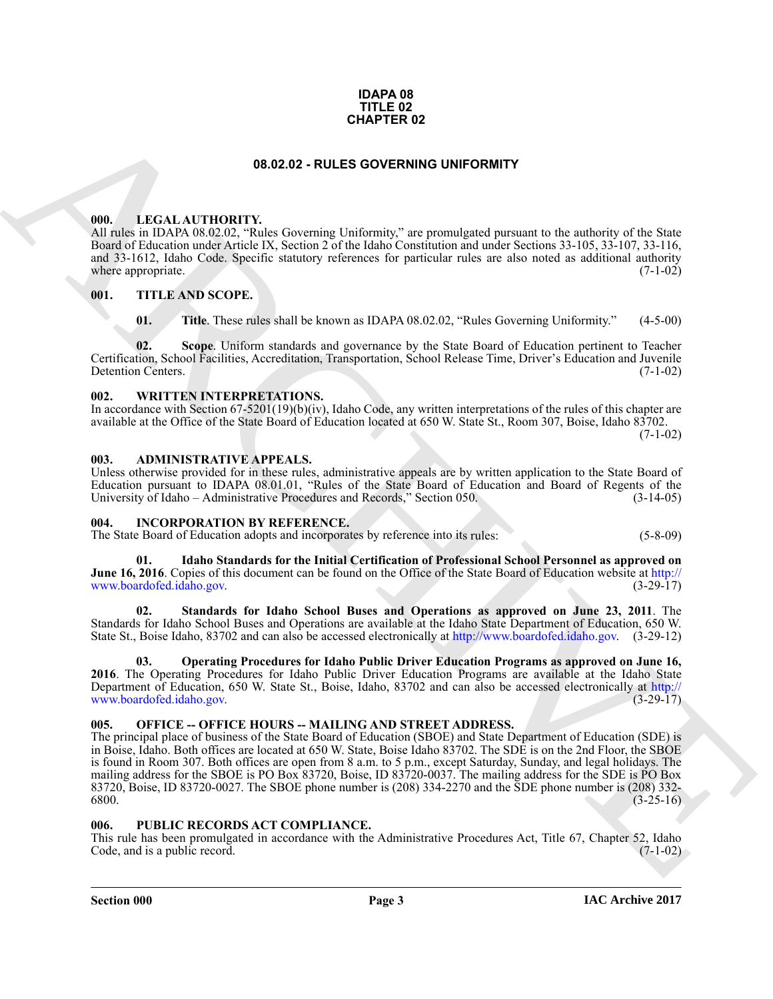#### **IDAPA 08 TITLE 02 CHAPTER 02**

#### **08.02.02 - RULES GOVERNING UNIFORMITY**

#### <span id="page-2-1"></span><span id="page-2-0"></span>**000. LEGAL AUTHORITY.**

All rules in IDAPA 08.02.02, "Rules Governing Uniformity," are promulgated pursuant to the authority of the State Board of Education under Article IX, Section 2 of the Idaho Constitution and under Sections 33-105, 33-107, 33-116, and 33-1612, Idaho Code. Specific statutory references for particular rules are also noted as additional authority where appropriate. (7-1-02) where appropriate.

#### <span id="page-2-2"></span>**001. TITLE AND SCOPE.**

**01. Title**. These rules shall be known as IDAPA 08.02.02, "Rules Governing Uniformity." (4-5-00)

**02. Scope**. Uniform standards and governance by the State Board of Education pertinent to Teacher Certification, School Facilities, Accreditation, Transportation, School Release Time, Driver's Education and Juvenile Detention Centers.

#### <span id="page-2-3"></span>**002. WRITTEN INTERPRETATIONS.**

In accordance with Section 67-5201(19)(b)(iv), Idaho Code, any written interpretations of the rules of this chapter are available at the Office of the State Board of Education located at 650 W. State St., Room 307, Boise, Idaho 83702.  $(7-1-02)$ 

#### <span id="page-2-4"></span>**003. ADMINISTRATIVE APPEALS.**

Unless otherwise provided for in these rules, administrative appeals are by written application to the State Board of Education pursuant to IDAPA 08.01.01, "Rules of the State Board of Education and Board of Regents of the University of Idaho - Administrative Procedures and Records," Section 050.

#### <span id="page-2-8"></span><span id="page-2-5"></span>**004. INCORPORATION BY REFERENCE.**

The State Board of Education adopts and incorporates by reference into its rules: (5-8-09)

<span id="page-2-9"></span>**01. Idaho Standards for the Initial Certification of Professional School Personnel as approved on June 16, 2016**. Copies of this document can be found on the Office of the State Board of Education website at http:// www.boardofed.idaho.gov. (3-29-17)

<span id="page-2-11"></span>**02. Standards for Idaho School Buses and Operations as approved on June 23, 2011**. The Standards for Idaho School Buses and Operations are available at the Idaho State Department of Education, 650 W. State St., Boise Idaho, 83702 and can also be accessed electronically at http://www.boardofed.idaho.gov. (3-29-12)

<span id="page-2-10"></span>**03. Operating Procedures for Idaho Public Driver Education Programs as approved on June 16, 2016**. The Operating Procedures for Idaho Public Driver Education Programs are available at the Idaho State Department of Education, 650 W. State St., Boise, Idaho, 83702 and can also be accessed electronically at http:// www.boardofed.idaho.gov. (3-29-17)

#### <span id="page-2-6"></span>**005. OFFICE -- OFFICE HOURS -- MAILING AND STREET ADDRESS.**

**CHAPTER 02**<br> **CHAPTER 02**<br> **CHAPTER CHAPTER CONTRIBUTE:**<br> **CHAPTER CHAPTER CONTRIBUTE:**<br> **CHAPTER CHAPTER CONTRIBUTE:**<br> **CHAPTER CHAPTER CHAPTER CHAPTER CHAPTER CHAPTER CONTRIBUTE:**<br> **CHAPTER CHAPTER CHAPTER CHAPTER CHAP** The principal place of business of the State Board of Education (SBOE) and State Department of Education (SDE) is in Boise, Idaho. Both offices are located at 650 W. State, Boise Idaho 83702. The SDE is on the 2nd Floor, the SBOE is found in Room 307. Both offices are open from 8 a.m. to 5 p.m., except Saturday, Sunday, and legal holidays. The mailing address for the SBOE is PO Box 83720, Boise, ID 83720-0037. The mailing address for the SDE is PO Box 83720, Boise, ID 83720-0027. The SBOE phone number is (208) 334-2270 and the SDE phone number is (208) 332- 6800. (3-25-16)

#### <span id="page-2-7"></span>**006. PUBLIC RECORDS ACT COMPLIANCE.**

This rule has been promulgated in accordance with the Administrative Procedures Act, Title 67, Chapter 52, Idaho Code, and is a public record. (7-1-02)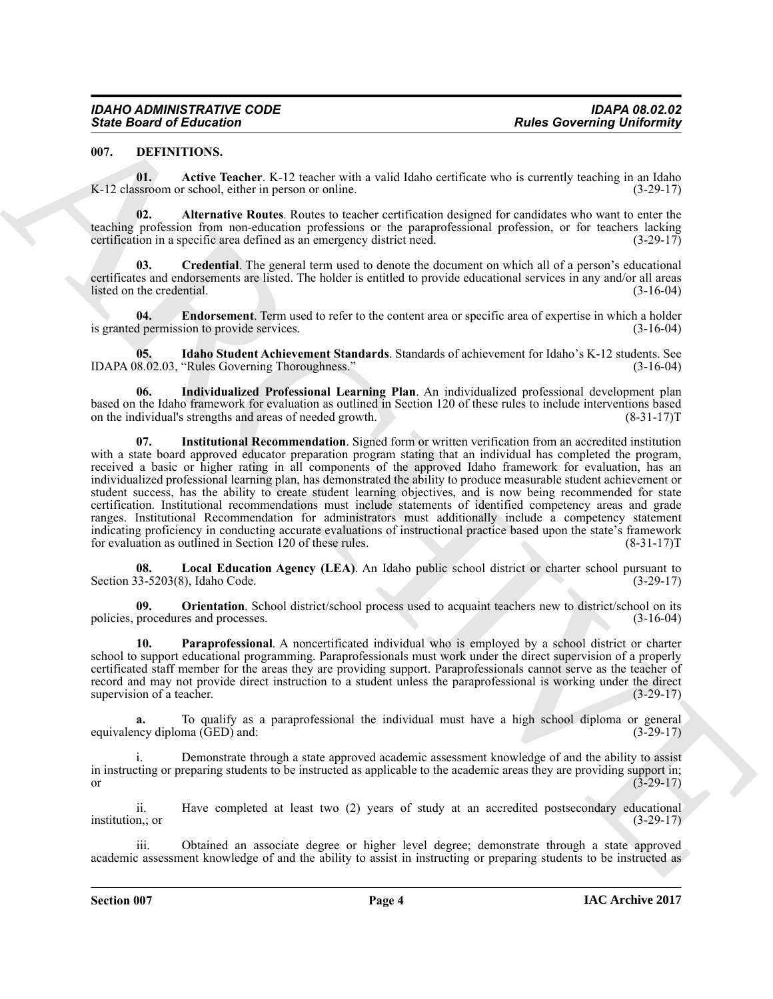#### <span id="page-3-1"></span><span id="page-3-0"></span>**007. DEFINITIONS.**

<span id="page-3-2"></span>**01.** Active Teacher. K-12 teacher with a valid Idaho certificate who is currently teaching in an Idaho K-12 classroom or school, either in person or online. (3-29-17)

<span id="page-3-3"></span>**02. Alternative Routes**. Routes to teacher certification designed for candidates who want to enter the teaching profession from non-education professions or the paraprofessional profession, or for teachers lacking certification in a specific area defined as an emergency district need.  $(3-29-17)$ 

<span id="page-3-4"></span>**03. Credential**. The general term used to denote the document on which all of a person's educational certificates and endorsements are listed. The holder is entitled to provide educational services in any and/or all areas listed on the credential. (3-16-04)

<span id="page-3-5"></span>**04. Endorsement**. Term used to refer to the content area or specific area of expertise in which a holder is granted permission to provide services. (3-16-04)

<span id="page-3-6"></span>**05. Idaho Student Achievement Standards**. Standards of achievement for Idaho's K-12 students. See IDAPA 08.02.03, "Rules Governing Thoroughness." (3-16-04)

<span id="page-3-8"></span><span id="page-3-7"></span>**06. Individualized Professional Learning Plan**. An individualized professional development plan based on the Idaho framework for evaluation as outlined in Section 120 of these rules to include interventions based<br>on the individual's strengths and areas of needed growth. (8-31-17) on the individual's strengths and areas of needed growth.

Since Board of Education<br>
1991. The Matter Correlation Control and Architectural Resources and Correlation Correlation Correlation Correlation Correlation Correlation Correlation Correlation Correlation Correlation Correl **07. Institutional Recommendation**. Signed form or written verification from an accredited institution with a state board approved educator preparation program stating that an individual has completed the program, received a basic or higher rating in all components of the approved Idaho framework for evaluation, has an individualized professional learning plan, has demonstrated the ability to produce measurable student achievement or student success, has the ability to create student learning objectives, and is now being recommended for state certification. Institutional recommendations must include statements of identified competency areas and grade ranges. Institutional Recommendation for administrators must additionally include a competency statement indicating proficiency in conducting accurate evaluations of instructional practice based upon the state's framework for evaluation as outlined in Section 120 of these rules. (8-31-17)T

<span id="page-3-9"></span>**08.** Local Education Agency (LEA). An Idaho public school district or charter school pursuant to  $(3-5203(8))$ , Idaho Code.  $(3-29-17)$ Section 33-5203(8), Idaho Code.

<span id="page-3-10"></span>**09. Orientation**. School district/school process used to acquaint teachers new to district/school on its policies, procedures and processes. (3-16-04)

<span id="page-3-11"></span>**10. Paraprofessional**. A noncertificated individual who is employed by a school district or charter school to support educational programming. Paraprofessionals must work under the direct supervision of a properly certificated staff member for the areas they are providing support. Paraprofessionals cannot serve as the teacher of record and may not provide direct instruction to a student unless the paraprofessional is working under the direct supervision of a teacher. (3-29-17)

**a.** To qualify as a paraprofessional the individual must have a high school diploma or general equivalency diploma (GED) and: (3-29-17)

Demonstrate through a state approved academic assessment knowledge of and the ability to assist in instructing or preparing students to be instructed as applicable to the academic areas they are providing support in; or  $(3-29-17)$ 

ii. Have completed at least two (2) years of study at an accredited postsecondary educational institution,; or (3-29-17)

iii. Obtained an associate degree or higher level degree; demonstrate through a state approved academic assessment knowledge of and the ability to assist in instructing or preparing students to be instructed as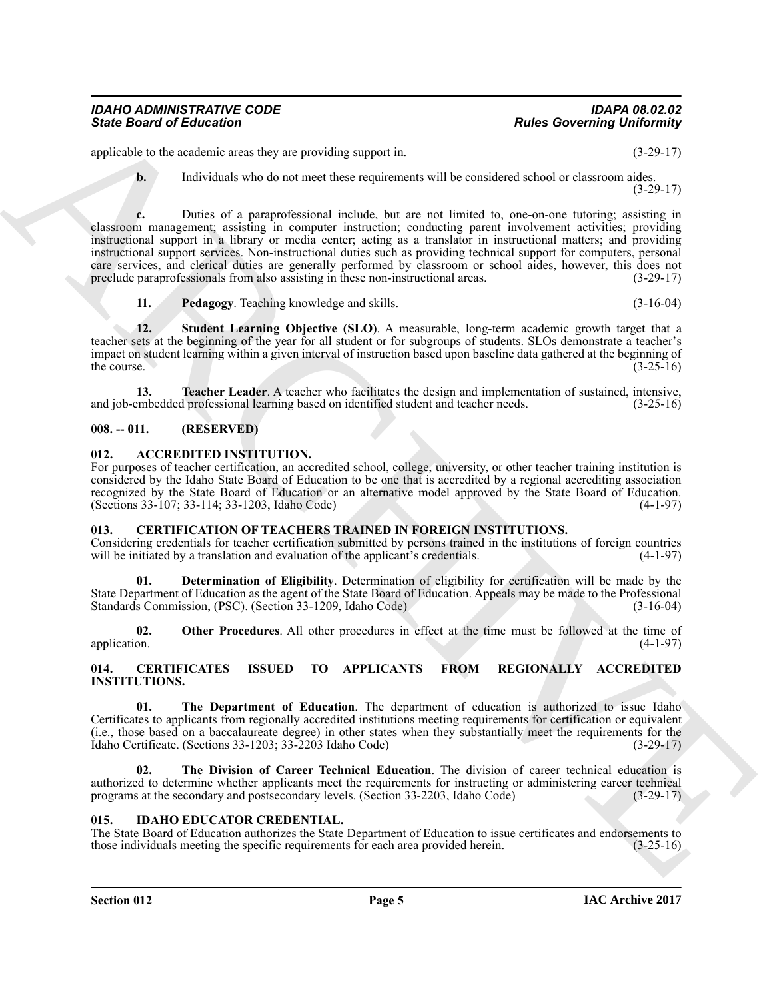applicable to the academic areas they are providing support in. (3-29-17)

**b.** Individuals who do not meet these requirements will be considered school or classroom aides. (3-29-17)

Since Board of Education<br>
spin-bare correlation in the spin-bare of the spin-bare of the spin-bare of the spin-bare of the spin-bare of the spin-bare of the spin-bare of the spin-bare of the spin-bare of the spin-bare of **c.** Duties of a paraprofessional include, but are not limited to, one-on-one tutoring; assisting in classroom management; assisting in computer instruction; conducting parent involvement activities; providing instructional support in a library or media center; acting as a translator in instructional matters; and providing instructional support services. Non-instructional duties such as providing technical support for computers, personal care services, and clerical duties are generally performed by classroom or school aides, however, this does not preclude paraprofessionals from also assisting in these non-instructional areas. (3-29-17) preclude paraprofessionals from also assisting in these non-instructional areas.

<span id="page-4-14"></span><span id="page-4-13"></span><span id="page-4-12"></span>**11. Pedagogy**. Teaching knowledge and skills. (3-16-04)

**12. Student Learning Objective (SLO)**. A measurable, long-term academic growth target that a teacher sets at the beginning of the year for all student or for subgroups of students. SLOs demonstrate a teacher's impact on student learning within a given interval of instruction based upon baseline data gathered at the beginning of the course.  $(3-25-16)$ 

**13. Teacher Leader**. A teacher who facilitates the design and implementation of sustained, intensive, and job-embedded professional learning based on identified student and teacher needs. (3-25-16)

#### <span id="page-4-0"></span>**008. -- 011. (RESERVED)**

#### <span id="page-4-5"></span><span id="page-4-1"></span>**012. ACCREDITED INSTITUTION.**

For purposes of teacher certification, an accredited school, college, university, or other teacher training institution is considered by the Idaho State Board of Education to be one that is accredited by a regional accrediting association recognized by the State Board of Education or an alternative model approved by the State Board of Education. (Sections 33-107; 33-114; 33-1203, Idaho Code) (4-1-97)

#### <span id="page-4-9"></span><span id="page-4-2"></span>**013. CERTIFICATION OF TEACHERS TRAINED IN FOREIGN INSTITUTIONS.**

Considering credentials for teacher certification submitted by persons trained in the institutions of foreign countries will be initiated by a translation and evaluation of the applicant's credentials. (4-1-97)

<span id="page-4-10"></span>**01. Determination of Eligibility**. Determination of eligibility for certification will be made by the State Department of Education as the agent of the State Board of Education. Appeals may be made to the Professional Standards Commission, (PSC). (Section 33-1209, Idaho Code) (3-16-04)

<span id="page-4-11"></span>**02.** Other Procedures. All other procedures in effect at the time must be followed at the time of application. (4-1-97) application. (4-1-97)

#### <span id="page-4-6"></span><span id="page-4-3"></span>**014. CERTIFICATES ISSUED TO APPLICANTS FROM REGIONALLY ACCREDITED INSTITUTIONS.**

<span id="page-4-7"></span>**01. The Department of Education**. The department of education is authorized to issue Idaho Certificates to applicants from regionally accredited institutions meeting requirements for certification or equivalent (i.e., those based on a baccalaureate degree) in other states when they substantially meet the requirements for the Idaho Certificate. (Sections 33-1203; 33-2203 Idaho Code) (3-29-17)

<span id="page-4-8"></span>**02. The Division of Career Technical Education**. The division of career technical education is authorized to determine whether applicants meet the requirements for instructing or administering career technical programs at the secondary and postsecondary levels. (Section 33-2203, Idaho Code) (3-29-17)

#### <span id="page-4-15"></span><span id="page-4-4"></span>**015. IDAHO EDUCATOR CREDENTIAL.**

The State Board of Education authorizes the State Department of Education to issue certificates and endorsements to those individuals meeting the specific requirements for each area provided herein. (3-25-16)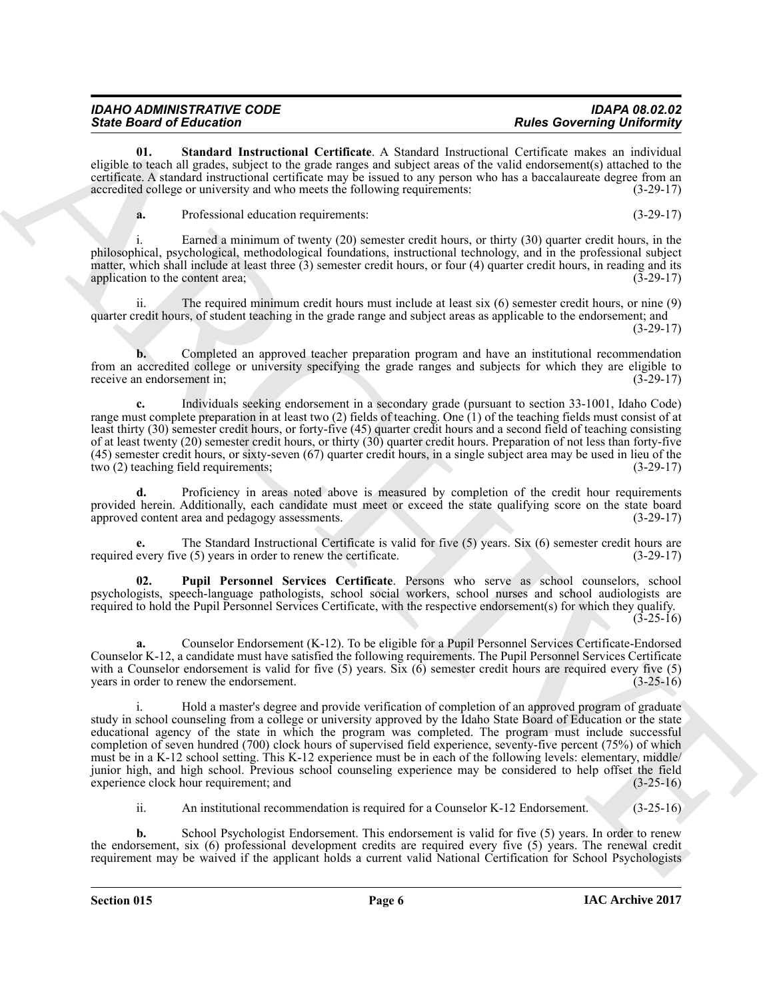| <b>IDAHO ADMINISTRATIVE CODE</b> | <b>IDAPA 08.02.02</b>             |
|----------------------------------|-----------------------------------|
| <b>State Board of Education</b>  | <b>Rules Governing Uniformity</b> |

**01. Standard Instructional Certificate**. A Standard Instructional Certificate makes an individual eligible to teach all grades, subject to the grade ranges and subject areas of the valid endorsement(s) attached to the certificate. A standard instructional certificate may be issued to any person who has a baccalaureate degree from an accredited college or university and who meets the following requirements: (3-29-17)

<span id="page-5-1"></span>**a.** Professional education requirements: (3-29-17)

Earned a minimum of twenty (20) semester credit hours, or thirty (30) quarter credit hours, in the philosophical, psychological, methodological foundations, instructional technology, and in the professional subject matter, which shall include at least three  $(3)$  semester credit hours, or four  $(4)$  quarter credit hours, in reading and its application to the content area; application to the content area;

ii. The required minimum credit hours must include at least six (6) semester credit hours, or nine (9) quarter credit hours, of student teaching in the grade range and subject areas as applicable to the endorsement; and  $(3-29-17)$ 

**b.** Completed an approved teacher preparation program and have an institutional recommendation from an accredited college or university specifying the grade ranges and subjects for which they are eligible to receive an endorsement in; (3-29-17)

**c.** Individuals seeking endorsement in a secondary grade (pursuant to section 33-1001, Idaho Code) range must complete preparation in at least two (2) fields of teaching. One  $(1)$  of the teaching fields must consist of at least thirty (30) semester credit hours, or forty-five (45) quarter credit hours and a second field of teaching consisting of at least twenty (20) semester credit hours, or thirty (30) quarter credit hours. Preparation of not less than forty-five (45) semester credit hours, or sixty-seven (67) quarter credit hours, in a single subject area may be used in lieu of the two (2) teaching field requirements; (3-29-17)

**d.** Proficiency in areas noted above is measured by completion of the credit hour requirements provided herein. Additionally, each candidate must meet or exceed the state qualifying score on the state board approved content area and pedagogy assessments. (3-29-17)

**e.** The Standard Instructional Certificate is valid for five (5) years. Six (6) semester credit hours are required every five (5) years in order to renew the certificate. (3-29-17)

<span id="page-5-0"></span>**02. Pupil Personnel Services Certificate**. Persons who serve as school counselors, school psychologists, speech-language pathologists, school social workers, school nurses and school audiologists are required to hold the Pupil Personnel Services Certificate, with the respective endorsement(s) for which they qualify.  $(3-25-16)$ 

**a.** Counselor Endorsement (K-12). To be eligible for a Pupil Personnel Services Certificate-Endorsed Counselor K-12, a candidate must have satisfied the following requirements. The Pupil Personnel Services Certificate with a Counselor endorsement is valid for five (5) years. Six (6) semester credit hours are required every five (5) years in order to renew the endorsement. (3-25-16)

Since Brazilea d'Edication de Carliera de Sueciet Jeannes Concernin de La Carliera de La Carliera de La Carliera de La Carliera de La Carliera de La Carliera de La Carliera de La Carliera de La Carliera de La Carliera de i. Hold a master's degree and provide verification of completion of an approved program of graduate study in school counseling from a college or university approved by the Idaho State Board of Education or the state educational agency of the state in which the program was completed. The program must include successful completion of seven hundred (700) clock hours of supervised field experience, seventy-five percent (75%) of which must be in a K-12 school setting. This K-12 experience must be in each of the following levels: elementary, middle/ junior high, and high school. Previous school counseling experience may be considered to help offset the field experience clock hour requirement; and (3-25-16)

ii. An institutional recommendation is required for a Counselor K-12 Endorsement. (3-25-16)

**b.** School Psychologist Endorsement. This endorsement is valid for five (5) years. In order to renew the endorsement, six (6) professional development credits are required every five (5) years. The renewal credit requirement may be waived if the applicant holds a current valid National Certification for School Psychologists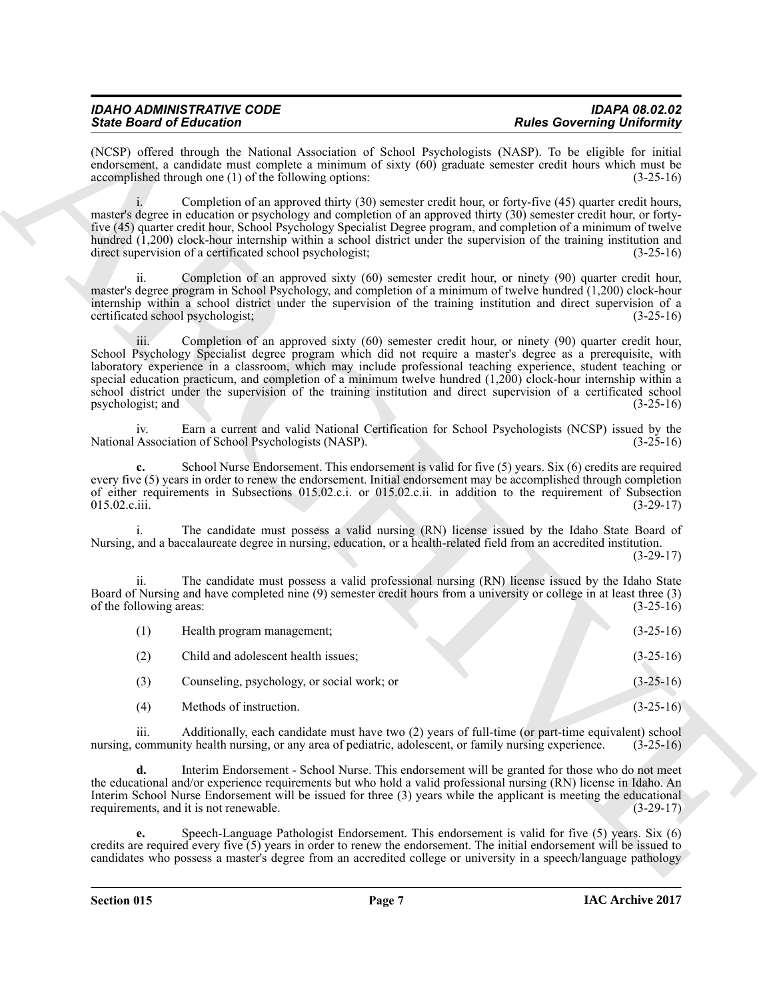| <b>IDAHO ADMINISTRATIVE CODE</b> | <b>IDAPA 08.02.02</b>             |
|----------------------------------|-----------------------------------|
| <b>State Board of Education</b>  | <b>Rules Governing Uniformity</b> |

| <b>State Board of Education</b>                                                                                      | <b>Rules Governing Uniformity</b>                                                                                                                                                                                                                                                                                                                                                                                                                                                                                                                                                      |
|----------------------------------------------------------------------------------------------------------------------|----------------------------------------------------------------------------------------------------------------------------------------------------------------------------------------------------------------------------------------------------------------------------------------------------------------------------------------------------------------------------------------------------------------------------------------------------------------------------------------------------------------------------------------------------------------------------------------|
| accomplished through one (1) of the following options:                                                               | (NCSP) offered through the National Association of School Psychologists (NASP). To be eligible for initial<br>endorsement, a candidate must complete a minimum of sixty (60) graduate semester credit hours which must be<br>$(3-25-16)$                                                                                                                                                                                                                                                                                                                                               |
| direct supervision of a certificated school psychologist;                                                            | Completion of an approved thirty (30) semester credit hour, or forty-five (45) quarter credit hours,<br>master's degree in education or psychology and completion of an approved thirty (30) semester credit hour, or forty-<br>five (45) quarter credit hour, School Psychology Specialist Degree program, and completion of a minimum of twelve<br>hundred (1,200) clock-hour internship within a school district under the supervision of the training institution and<br>$(3-25-16)$                                                                                               |
| 11.<br>certificated school psychologist;                                                                             | Completion of an approved sixty (60) semester credit hour, or ninety (90) quarter credit hour,<br>master's degree program in School Psychology, and completion of a minimum of twelve hundred (1,200) clock-hour<br>internship within a school district under the supervision of the training institution and direct supervision of a<br>$(3-25-16)$                                                                                                                                                                                                                                   |
| 111.<br>psychologist; and                                                                                            | Completion of an approved sixty (60) semester credit hour, or ninety (90) quarter credit hour,<br>School Psychology Specialist degree program which did not require a master's degree as a prerequisite, with<br>laboratory experience in a classroom, which may include professional teaching experience, student teaching or<br>special education practicum, and completion of a minimum twelve hundred $(1,200)$ clock-hour internship within a<br>school district under the supervision of the training institution and direct supervision of a certificated school<br>$(3-25-16)$ |
| iv.<br>National Association of School Psychologists (NASP).                                                          | Earn a current and valid National Certification for School Psychologists (NCSP) issued by the<br>$(3-25-16)$                                                                                                                                                                                                                                                                                                                                                                                                                                                                           |
| c.<br>015.02.c.iii.                                                                                                  | School Nurse Endorsement. This endorsement is valid for five (5) years. Six (6) credits are required<br>every five (5) years in order to renew the endorsement. Initial endorsement may be accomplished through completion<br>of either requirements in Subsections 015.02.c.i. or 015.02.c.ii. in addition to the requirement of Subsection<br>$(3-29-17)$                                                                                                                                                                                                                            |
| Nursing, and a baccalaureate degree in nursing, education, or a health-related field from an accredited institution. | The candidate must possess a valid nursing (RN) license issued by the Idaho State Board of<br>$(3-29-17)$                                                                                                                                                                                                                                                                                                                                                                                                                                                                              |
| ii.<br>of the following areas:                                                                                       | The candidate must possess a valid professional nursing (RN) license issued by the Idaho State<br>Board of Nursing and have completed nine (9) semester credit hours from a university or college in at least three (3)<br>$(3-25-16)$                                                                                                                                                                                                                                                                                                                                                 |
| (1)<br>Health program management;                                                                                    | $(3-25-16)$                                                                                                                                                                                                                                                                                                                                                                                                                                                                                                                                                                            |
| (2)<br>Child and adolescent health issues;                                                                           | $(3-25-16)$                                                                                                                                                                                                                                                                                                                                                                                                                                                                                                                                                                            |
| Counseling, psychology, or social work; or<br>(3)                                                                    | $(3-25-16)$                                                                                                                                                                                                                                                                                                                                                                                                                                                                                                                                                                            |
| Methods of instruction.<br>(4)                                                                                       | $(3-25-16)$                                                                                                                                                                                                                                                                                                                                                                                                                                                                                                                                                                            |
| iii.<br>nursing, community health nursing, or any area of pediatric, adolescent, or family nursing experience.       | Additionally, each candidate must have two (2) years of full-time (or part-time equivalent) school<br>$(3-25-16)$                                                                                                                                                                                                                                                                                                                                                                                                                                                                      |
| d.<br>requirements, and it is not renewable.                                                                         | Interim Endorsement - School Nurse. This endorsement will be granted for those who do not meet<br>the educational and/or experience requirements but who hold a valid professional nursing (RN) license in Idaho. An<br>Interim School Nurse Endorsement will be issued for three (3) years while the applicant is meeting the educational<br>$(3-29-17)$                                                                                                                                                                                                                              |
| е.                                                                                                                   | Speech-Language Pathologist Endorsement. This endorsement is valid for five (5) years. Six (6)<br>credits are required every five $(5)$ years in order to renew the endorsement. The initial endorsement will be issued to<br>candidates who possess a master's degree from an accredited college or university in a speech/language pathology                                                                                                                                                                                                                                         |
|                                                                                                                      |                                                                                                                                                                                                                                                                                                                                                                                                                                                                                                                                                                                        |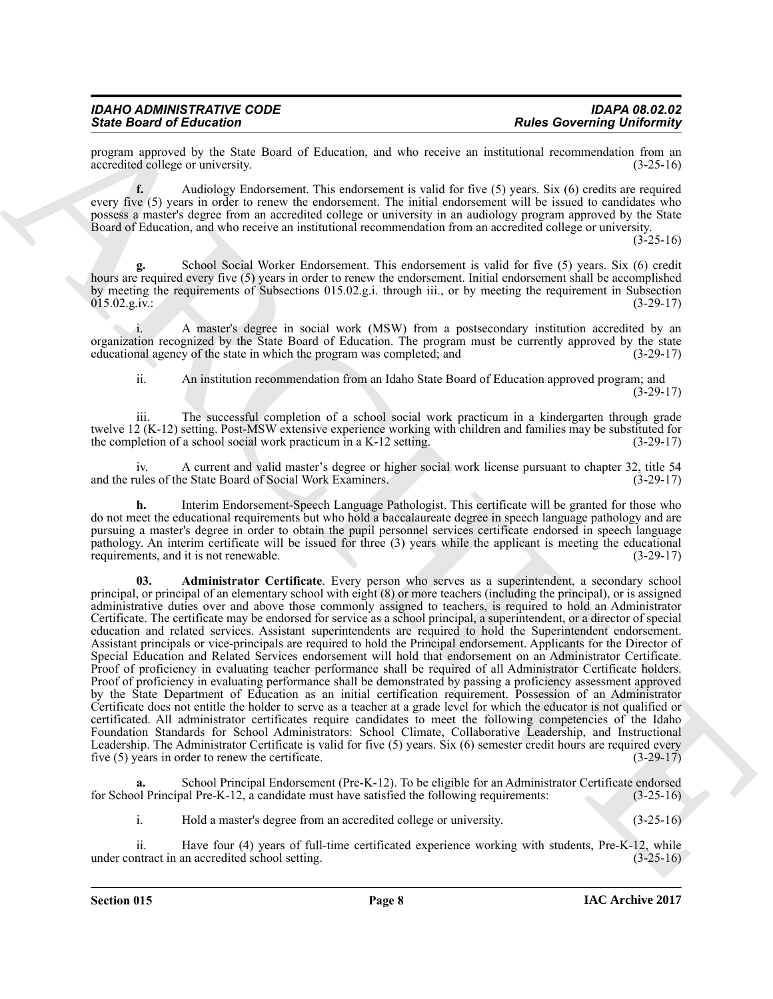program approved by the State Board of Education, and who receive an institutional recommendation from an accredited college or university. (3-25-16) accredited college or university.

**f.** Audiology Endorsement. This endorsement is valid for five (5) years. Six (6) credits are required every five (5) years in order to renew the endorsement. The initial endorsement will be issued to candidates who possess a master's degree from an accredited college or university in an audiology program approved by the State Board of Education, and who receive an institutional recommendation from an accredited college or university.

 $(3 - 25 - 16)$ 

**g.** School Social Worker Endorsement. This endorsement is valid for five (5) years. Six (6) credit hours are required every five (5) years in order to renew the endorsement. Initial endorsement shall be accomplished by meeting the requirements of Subsections 015.02.g.i. through iii., or by meeting the requirement in Subsection  $015.02.\text{g.iv.}:$  (3-29-17)

A master's degree in social work (MSW) from a postsecondary institution accredited by an organization recognized by the State Board of Education. The program must be currently approved by the state educational agency of the state in which the program was completed; and  $(3-29-17)$ educational agency of the state in which the program was completed; and

ii. An institution recommendation from an Idaho State Board of Education approved program; and (3-29-17)

iii. The successful completion of a school social work practicum in a kindergarten through grade twelve 12 (K-12) setting. Post-MSW extensive experience working with children and families may be substituted for the completion of a school social work practicum in a K-12 setting. (3-29-17)

iv. A current and valid master's degree or higher social work license pursuant to chapter 32, title 54 and the rules of the State Board of Social Work Examiners. (3-29-17)

<span id="page-7-0"></span>**h.** Interim Endorsement-Speech Language Pathologist. This certificate will be granted for those who do not meet the educational requirements but who hold a baccalaureate degree in speech language pathology and are pursuing a master's degree in order to obtain the pupil personnel services certificate endorsed in speech language pathology. An interim certificate will be issued for three (3) years while the applicant is meeting the educational requirements, and it is not renewable. (3-29-17)

Since Boston's Education Control of the state of the state of the state of the state of the state of the state of the state of the state of the state of the state of the state of the state of the state of the state of the **03. Administrator Certificate**. Every person who serves as a superintendent, a secondary school principal, or principal of an elementary school with eight (8) or more teachers (including the principal), or is assigned administrative duties over and above those commonly assigned to teachers, is required to hold an Administrator Certificate. The certificate may be endorsed for service as a school principal, a superintendent, or a director of special education and related services. Assistant superintendents are required to hold the Superintendent endorsement. Assistant principals or vice-principals are required to hold the Principal endorsement. Applicants for the Director of Special Education and Related Services endorsement will hold that endorsement on an Administrator Certificate. Proof of proficiency in evaluating teacher performance shall be required of all Administrator Certificate holders. Proof of proficiency in evaluating performance shall be demonstrated by passing a proficiency assessment approved by the State Department of Education as an initial certification requirement. Possession of an Administrator Certificate does not entitle the holder to serve as a teacher at a grade level for which the educator is not qualified or certificated. All administrator certificates require candidates to meet the following competencies of the Idaho Foundation Standards for School Administrators: School Climate, Collaborative Leadership, and Instructional Leadership. The Administrator Certificate is valid for five (5) years. Six (6) semester credit hours are required every five (5) years in order to renew the certificate. (3-29-17)

School Principal Endorsement (Pre-K-12). To be eligible for an Administrator Certificate endorsed for School Principal Pre-K-12, a candidate must have satisfied the following requirements: (3-25-16)

i. Hold a master's degree from an accredited college or university. (3-25-16)

ii. Have four (4) years of full-time certificated experience working with students, Pre-K-12, while under contract in an accredited school setting. (3-25-16)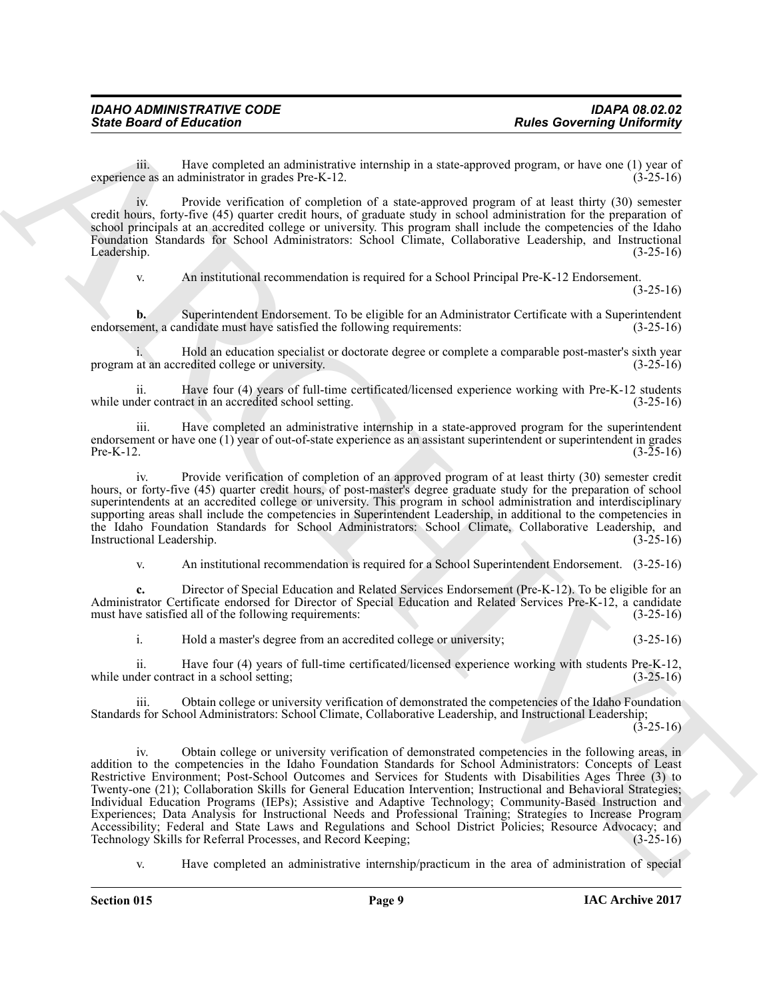iii. Have completed an administrative internship in a state-approved program, or have one (1) year of experience as an administrator in grades Pre-K-12. (3-25-16)

iv. Provide verification of completion of a state-approved program of at least thirty (30) semester credit hours, forty-five (45) quarter credit hours, of graduate study in school administration for the preparation of school principals at an accredited college or university. This program shall include the competencies of the Idaho Foundation Standards for School Administrators: School Climate, Collaborative Leadership, and Instructional Leadership. (3-25-16)

v. An institutional recommendation is required for a School Principal Pre-K-12 Endorsement.

(3-25-16)

**b.** Superintendent Endorsement. To be eligible for an Administrator Certificate with a Superintendent nent, a candidate must have satisfied the following requirements: (3-25-16) endorsement, a candidate must have satisfied the following requirements:

i. Hold an education specialist or doctorate degree or complete a comparable post-master's sixth year program at an accredited college or university. (3-25-16)

ii. Have four (4) years of full-time certificated/licensed experience working with Pre-K-12 students while under contract in an accredited school setting. (3-25-16)

iii. Have completed an administrative internship in a state-approved program for the superintendent endorsement or have one (1) year of out-of-state experience as an assistant superintendent or superintendent in grades Pre-K-12.  $(3-25-16)$ 

iv. Provide verification of completion of an approved program of at least thirty (30) semester credit hours, or forty-five (45) quarter credit hours, of post-master's degree graduate study for the preparation of school superintendents at an accredited college or university. This program in school administration and interdisciplinary supporting areas shall include the competencies in Superintendent Leadership, in additional to the competencies in the Idaho Foundation Standards for School Administrators: School Climate, Collaborative Leadership, and Instructional Leadership. (3-25-16) Instructional Leadership.

v. An institutional recommendation is required for a School Superintendent Endorsement. (3-25-16)

**c.** Director of Special Education and Related Services Endorsement (Pre-K-12). To be eligible for an Administrator Certificate endorsed for Director of Special Education and Related Services Pre-K-12, a candidate must have satisfied all of the following requirements: (3-25-16)

i. Hold a master's degree from an accredited college or university; (3-25-16)

ii. Have four (4) years of full-time certificated/licensed experience working with students Pre-K-12, while under contract in a school setting;

iii. Obtain college or university verification of demonstrated the competencies of the Idaho Foundation Standards for School Administrators: School Climate, Collaborative Leadership, and Instructional Leadership;

 $(3-25-16)$ 

Since Board of Entreprendict meaning in the state operator Relation of the state operator of the state of the state of the state of the state of the state of the state of the state of the state of the state of the state o iv. Obtain college or university verification of demonstrated competencies in the following areas, in addition to the competencies in the Idaho Foundation Standards for School Administrators: Concepts of Least Restrictive Environment; Post-School Outcomes and Services for Students with Disabilities Ages Three (3) to Twenty-one (21); Collaboration Skills for General Education Intervention; Instructional and Behavioral Strategies; Individual Education Programs (IEPs); Assistive and Adaptive Technology; Community-Based Instruction and Experiences; Data Analysis for Instructional Needs and Professional Training; Strategies to Increase Program Accessibility; Federal and State Laws and Regulations and School District Policies; Resource Advocacy; and Technology Skills for Referral Processes, and Record Keeping; (3-25-16) Technology Skills for Referral Processes, and Record Keeping;

v. Have completed an administrative internship/practicum in the area of administration of special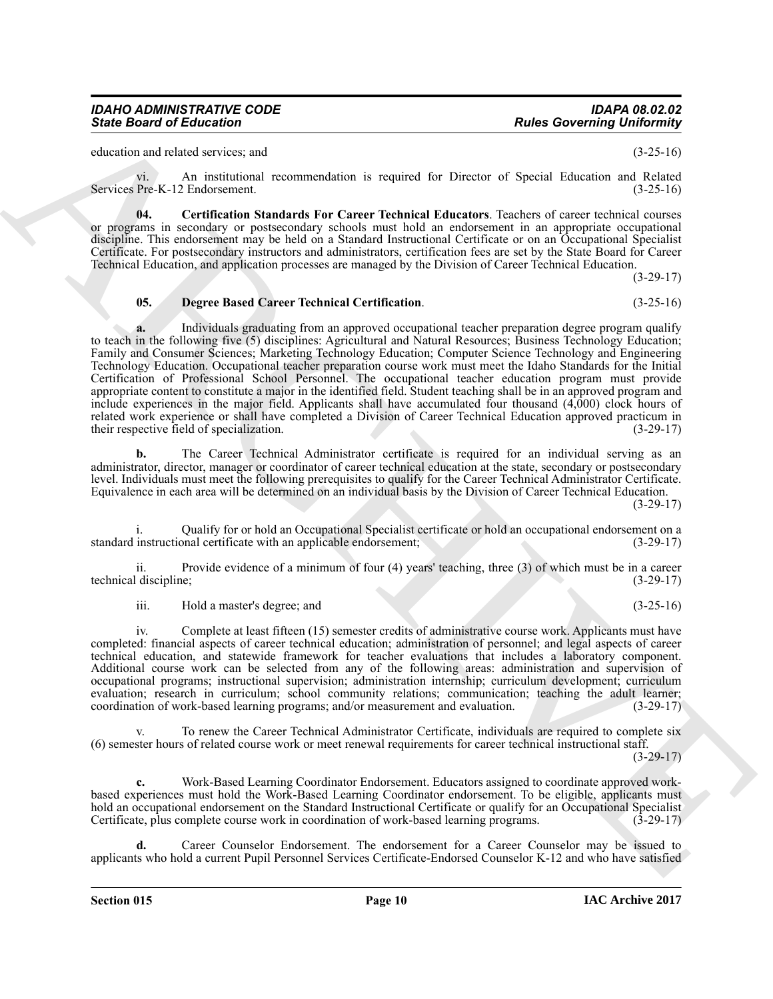education and related services; and (3-25-16)

vi. An institutional recommendation is required for Director of Special Education and Related Services Pre-K-12 Endorsement. (3-25-16)

<span id="page-9-0"></span>**04. Certification Standards For Career Technical Educators**. Teachers of career technical courses or programs in secondary or postsecondary schools must hold an endorsement in an appropriate occupational discipline. This endorsement may be held on a Standard Instructional Certificate or on an Occupational Specialist Certificate. For postsecondary instructors and administrators, certification fees are set by the State Board for Career Technical Education, and application processes are managed by the Division of Career Technical Education.

(3-29-17)

#### <span id="page-9-1"></span>**05. Degree Based Career Technical Certification**. (3-25-16)

Since Board of Enterstone<br>
Since Board of Street and Street and Street and Street and Street and Street and Street and Street and Street and Street and Street and Street and Street and Street and Street and Street and Str **a.** Individuals graduating from an approved occupational teacher preparation degree program qualify to teach in the following five (5) disciplines: Agricultural and Natural Resources; Business Technology Education; Family and Consumer Sciences; Marketing Technology Education; Computer Science Technology and Engineering Technology Education. Occupational teacher preparation course work must meet the Idaho Standards for the Initial Certification of Professional School Personnel. The occupational teacher education program must provide appropriate content to constitute a major in the identified field. Student teaching shall be in an approved program and include experiences in the major field. Applicants shall have accumulated four thousand (4,000) clock hours of related work experience or shall have completed a Division of Career Technical Education approved practicum in their respective field of specialization. (3-29-17)

**b.** The Career Technical Administrator certificate is required for an individual serving as an administrator, director, manager or coordinator of career technical education at the state, secondary or postsecondary level. Individuals must meet the following prerequisites to qualify for the Career Technical Administrator Certificate. Equivalence in each area will be determined on an individual basis by the Division of Career Technical Education.

(3-29-17)

i. Qualify for or hold an Occupational Specialist certificate or hold an occupational endorsement on a standard instructional certificate with an applicable endorsement; (3-29-17)

ii. Provide evidence of a minimum of four (4) years' teaching, three (3) of which must be in a career technical discipline; (3-29-17)

iii. Hold a master's degree; and (3-25-16)

iv. Complete at least fifteen (15) semester credits of administrative course work. Applicants must have completed: financial aspects of career technical education; administration of personnel; and legal aspects of career technical education, and statewide framework for teacher evaluations that includes a laboratory component. Additional course work can be selected from any of the following areas: administration and supervision of occupational programs; instructional supervision; administration internship; curriculum development; curriculum evaluation; research in curriculum; school community relations; communication; teaching the adult learner; coordination of work-based learning programs; and/or measurement and evaluation. (3-29-17) coordination of work-based learning programs; and/or measurement and evaluation.

To renew the Career Technical Administrator Certificate, individuals are required to complete six (6) semester hours of related course work or meet renewal requirements for career technical instructional staff.

 $(3-29-17)$ 

**c.** Work-Based Learning Coordinator Endorsement. Educators assigned to coordinate approved workbased experiences must hold the Work-Based Learning Coordinator endorsement. To be eligible, applicants must hold an occupational endorsement on the Standard Instructional Certificate or qualify for an Occupational Specialist<br>Certificate, plus complete course work in coordination of work-based learning programs. (3-29-17) Certificate, plus complete course work in coordination of work-based learning programs.

**d.** Career Counselor Endorsement. The endorsement for a Career Counselor may be issued to applicants who hold a current Pupil Personnel Services Certificate-Endorsed Counselor K-12 and who have satisfied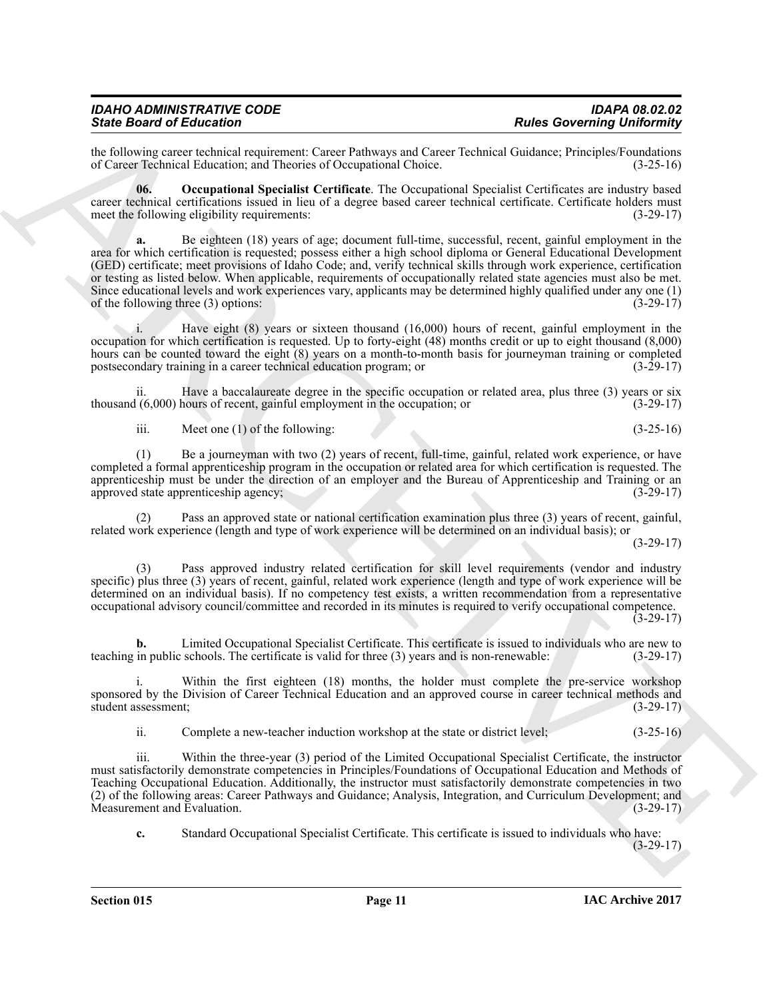| <b>IDAHO ADMINISTRATIVE CODE</b> | <b>IDAPA 08.02.02</b>             |
|----------------------------------|-----------------------------------|
| <b>State Board of Education</b>  | <b>Rules Governing Uniformity</b> |

the following career technical requirement: Career Pathways and Career Technical Guidance; Principles/Foundations of Career Technical Education; and Theories of Occupational Choice. (3-25-16) of Career Technical Education; and Theories of Occupational Choice.

<span id="page-10-0"></span>**06. Occupational Specialist Certificate**. The Occupational Specialist Certificates are industry based career technical certifications issued in lieu of a degree based career technical certificate. Certificate holders must meet the following eligibility requirements: (3-29-17)

Sink Bookmain of Hiddex Corresponds (Corresponds of the Corresponds of the Corresponds of Corresponds of Corresponds of Corresponds of Corresponds of Corresponds (Corresponds of Corresponds of Corresponds of Corresponds o **a.** Be eighteen (18) years of age; document full-time, successful, recent, gainful employment in the area for which certification is requested; possess either a high school diploma or General Educational Development (GED) certificate; meet provisions of Idaho Code; and, verify technical skills through work experience, certification or testing as listed below. When applicable, requirements of occupationally related state agencies must also be met. Since educational levels and work experiences vary, applicants may be determined highly qualified under any one (1) of the following three  $(3)$  options:

i. Have eight (8) years or sixteen thousand (16,000) hours of recent, gainful employment in the occupation for which certification is requested. Up to forty-eight (48) months credit or up to eight thousand (8,000) hours can be counted toward the eight (8) years on a month-to-month basis for journeyman training or completed postsecondary training in a career technical education program; or (3-29-17)

ii. Have a baccalaureate degree in the specific occupation or related area, plus three (3) years or six thousand (6,000) hours of recent, gainful employment in the occupation; or (3-29-17)

iii. Meet one (1) of the following:  $(3-25-16)$ 

(1) Be a journeyman with two (2) years of recent, full-time, gainful, related work experience, or have completed a formal apprenticeship program in the occupation or related area for which certification is requested. The apprenticeship must be under the direction of an employer and the Bureau of Apprenticeship and Training or an approved state apprenticeship agency; (3-29-17) approved state apprenticeship agency;

(2) Pass an approved state or national certification examination plus three (3) years of recent, gainful, related work experience (length and type of work experience will be determined on an individual basis); or

 $(3-29-17)$ 

Pass approved industry related certification for skill level requirements (vendor and industry specific) plus three (3) years of recent, gainful, related work experience (length and type of work experience will be determined on an individual basis). If no competency test exists, a written recommendation from a representative occupational advisory council/committee and recorded in its minutes is required to verify occupational competence. (3-29-17)

**b.** Limited Occupational Specialist Certificate. This certificate is issued to individuals who are new to teaching in public schools. The certificate is valid for three (3) years and is non-renewable: (3-29-17)

Within the first eighteen (18) months, the holder must complete the pre-service workshop sponsored by the Division of Career Technical Education and an approved course in career technical methods and student assessment; (3-29-17)

ii. Complete a new-teacher induction workshop at the state or district level; (3-25-16)

iii. Within the three-year (3) period of the Limited Occupational Specialist Certificate, the instructor must satisfactorily demonstrate competencies in Principles/Foundations of Occupational Education and Methods of Teaching Occupational Education. Additionally, the instructor must satisfactorily demonstrate competencies in two (2) of the following areas: Career Pathways and Guidance; Analysis, Integration, and Curriculum Development; and Measurement and Evaluation. (3-29-17)

**c.** Standard Occupational Specialist Certificate. This certificate is issued to individuals who have: (3-29-17)

**Section 015 Page 11**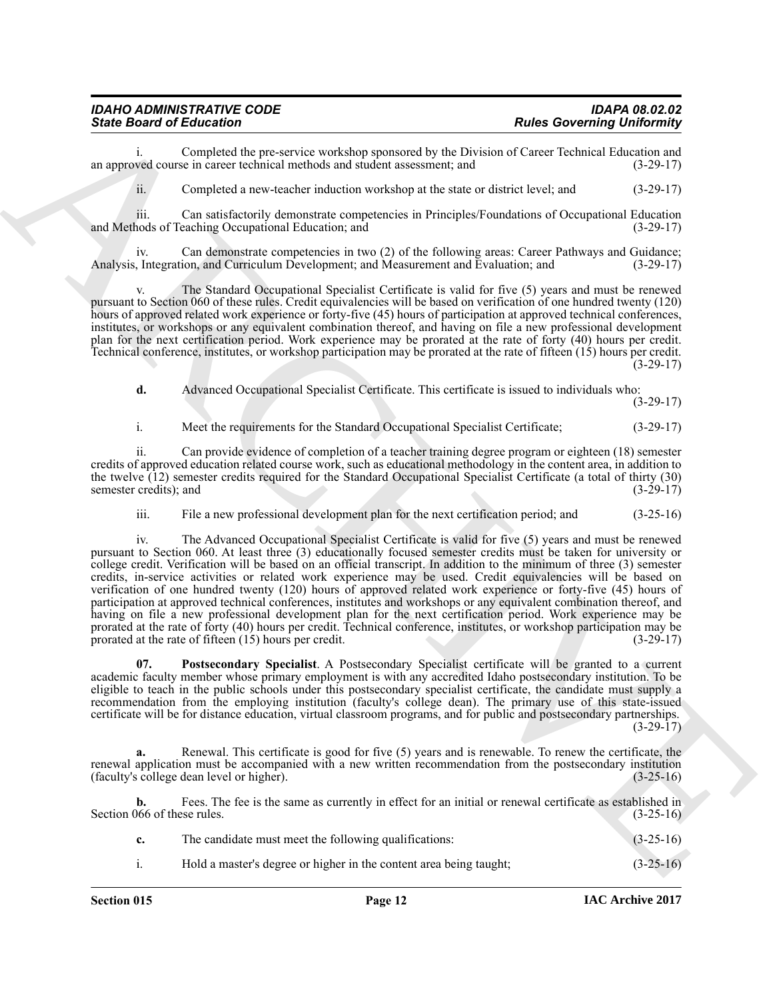| IDAHO ADMINISTRATIVE CODE       | <b>IDAPA 08.02.02</b>             |
|---------------------------------|-----------------------------------|
| <b>State Board of Education</b> | <b>Rules Governing Uniformity</b> |

i. Completed the pre-service workshop sponsored by the Division of Career Technical Education and ved course in career technical methods and student assessment; and (3-29-17) an approved course in career technical methods and student assessment; and

ii. Completed a new-teacher induction workshop at the state or district level; and (3-29-17)

iii. Can satisfactorily demonstrate competencies in Principles/Foundations of Occupational Education hods of Teaching Occupational Education; and (3-29-17) and Methods of Teaching Occupational Education; and

iv. Can demonstrate competencies in two (2) of the following areas: Career Pathways and Guidance;<br>Integration, and Curriculum Development; and Measurement and Evaluation; and (3-29-17) Analysis, Integration, and Curriculum Development; and Measurement and Evaluation; and

The Standard Occupational Specialist Certificate is valid for five (5) years and must be renewed pursuant to Section 060 of these rules. Credit equivalencies will be based on verification of one hundred twenty (120) hours of approved related work experience or forty-five (45) hours of participation at approved technical conferences, institutes, or workshops or any equivalent combination thereof, and having on file a new professional development plan for the next certification period. Work experience may be prorated at the rate of forty (40) hours per credit. Technical conference, institutes, or workshop participation may be prorated at the rate of fifteen (15) hours per credit.  $(3-29-17)$ 

**d.** Advanced Occupational Specialist Certificate. This certificate is issued to individuals who:

 $(3-29-17)$ 

i. Meet the requirements for the Standard Occupational Specialist Certificate; (3-29-17)

ii. Can provide evidence of completion of a teacher training degree program or eighteen (18) semester credits of approved education related course work, such as educational methodology in the content area, in addition to the twelve (12) semester credits required for the Standard Occupational Specialist Certificate (a total of thirty (30) semester credits): and (3-29-17) semester credits); and

iii. File a new professional development plan for the next certification period; and (3-25-16)

Since Board of Education Constraints weakles agreement to the Distance Research of the Constraints of the Constraints of the Constraints of the Constraints of the Constraints of the Constraints of the Constraints of the C iv. The Advanced Occupational Specialist Certificate is valid for five (5) years and must be renewed pursuant to Section 060. At least three (3) educationally focused semester credits must be taken for university or college credit. Verification will be based on an official transcript. In addition to the minimum of three (3) semester credits, in-service activities or related work experience may be used. Credit equivalencies will be based on verification of one hundred twenty (120) hours of approved related work experience or forty-five (45) hours of participation at approved technical conferences, institutes and workshops or any equivalent combination thereof, and having on file a new professional development plan for the next certification period. Work experience may be prorated at the rate of forty (40) hours per credit. Technical conference, institutes, or workshop participation may be prorated at the rate of fifteen (15) hours per credit. (3-29-17)

<span id="page-11-0"></span>**07. Postsecondary Specialist**. A Postsecondary Specialist certificate will be granted to a current academic faculty member whose primary employment is with any accredited Idaho postsecondary institution. To be eligible to teach in the public schools under this postsecondary specialist certificate, the candidate must supply a recommendation from the employing institution (faculty's college dean). The primary use of this state-issued certificate will be for distance education, virtual classroom programs, and for public and postsecondary partnerships.  $(3-29-17)$ 

**a.** Renewal. This certificate is good for five (5) years and is renewable. To renew the certificate, the renewal application must be accompanied with a new written recommendation from the postsecondary institution (faculty's college dean level or higher). (faculty's college dean level or higher).

**b.** Fees. The fee is the same as currently in effect for an initial or renewal certificate as established in  $(3-25-16)$ Section 066 of these rules.

| The candidate must meet the following qualifications:              | $(3-25-16)$ |
|--------------------------------------------------------------------|-------------|
| Hold a master's degree or higher in the content area being taught; | $(3-25-16)$ |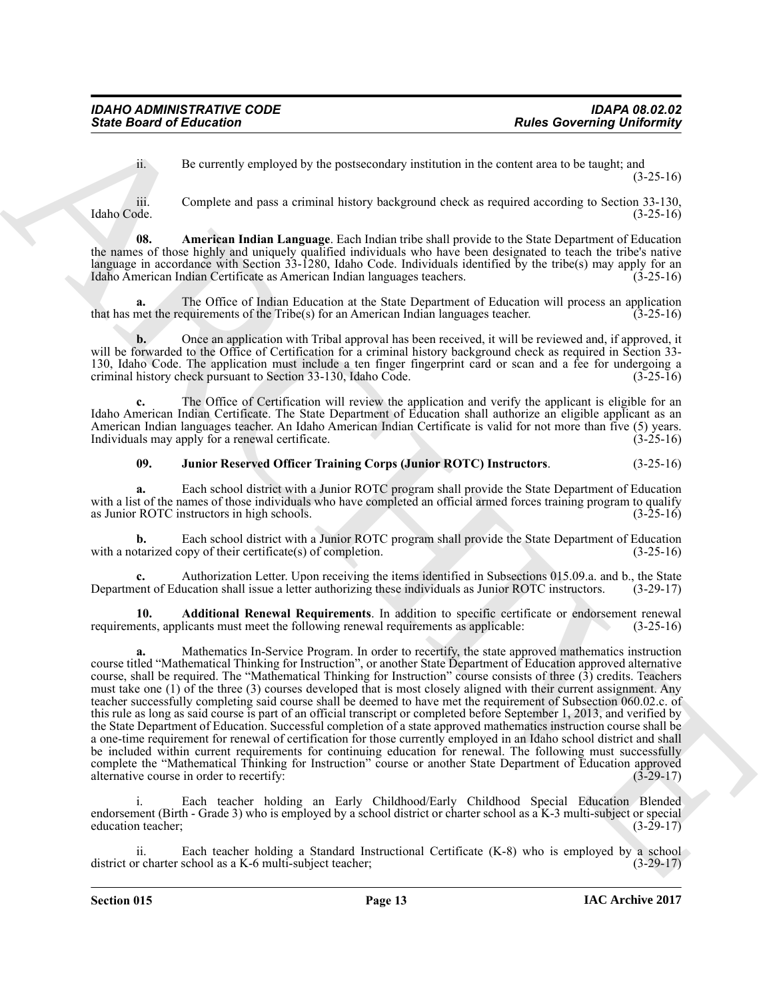<span id="page-12-1"></span>ii. Be currently employed by the postsecondary institution in the content area to be taught; and  $(3-25-16)$ 

iii. Complete and pass a criminal history background check as required according to Section 33-130, Idaho Code. (3-25-16)

**08. American Indian Language**. Each Indian tribe shall provide to the State Department of Education the names of those highly and uniquely qualified individuals who have been designated to teach the tribe's native language in accordance with Section 33-1280, Idaho Code. Individuals identified by the tribe(s) may apply for an Idaho American Indian Certificate as American Indian languages teachers. (3-25-16) Idaho American Indian Certificate as American Indian languages teachers.

**a.** The Office of Indian Education at the State Department of Education will process an application net the requirements of the Tribe(s) for an American Indian languages teacher. (3-25-16) that has met the requirements of the  $\text{Triple}(s)$  for an American Indian languages teacher.

**b.** Once an application with Tribal approval has been received, it will be reviewed and, if approved, it will be forwarded to the Office of Certification for a criminal history background check as required in Section 33- 130, Idaho Code. The application must include a ten finger fingerprint card or scan and a fee for undergoing a criminal history check pursuant to Section 33-130, Idaho Code. (3-25-16)

**c.** The Office of Certification will review the application and verify the applicant is eligible for an Idaho American Indian Certificate. The State Department of Education shall authorize an eligible applicant as an American Indian languages teacher. An Idaho American Indian Certificate is valid for not more than five (5) years. Individuals may apply for a renewal certificate. (3-25-16)

#### <span id="page-12-2"></span>**09. Junior Reserved Officer Training Corps (Junior ROTC) Instructors**. (3-25-16)

**a.** Each school district with a Junior ROTC program shall provide the State Department of Education with a list of the names of those individuals who have completed an official armed forces training program to qualify as Junior ROTC instructors in high schools. (3-25-16) as Junior ROTC instructors in high schools.

**b.** Each school district with a Junior ROTC program shall provide the State Department of Education with a notarized copy of their certificate(s) of completion. (3-25-16)

**c.** Authorization Letter. Upon receiving the items identified in Subsections 015.09.a. and b., the State ent of Education shall issue a letter authorizing these individuals as Junior ROTC instructors. (3-29-17) Department of Education shall issue a letter authorizing these individuals as Junior ROTC instructors.

<span id="page-12-0"></span>**10. Additional Renewal Requirements**. In addition to specific certificate or endorsement renewal requirements, applicants must meet the following renewal requirements as applicable: (3-25-16)

Since Board of Entremotion Compared by the posteversion multiplier and concerning University in the secondary of the secondary of the secondary of the secondary of the secondary of the secondary of the secondary of the se **a.** Mathematics In-Service Program. In order to recertify, the state approved mathematics instruction course titled "Mathematical Thinking for Instruction", or another State Department of Education approved alternative course, shall be required. The "Mathematical Thinking for Instruction" course consists of three (3) credits. Teachers must take one (1) of the three (3) courses developed that is most closely aligned with their current assignment. Any teacher successfully completing said course shall be deemed to have met the requirement of Subsection 060.02.c. of this rule as long as said course is part of an official transcript or completed before September 1, 2013, and verified by the State Department of Education. Successful completion of a state approved mathematics instruction course shall be a one-time requirement for renewal of certification for those currently employed in an Idaho school district and shall be included within current requirements for continuing education for renewal. The following must successfully complete the "Mathematical Thinking for Instruction" course or another State Department of Education approved<br>alternative course in order to recertify: (3-29-17) alternative course in order to recertify:

i. Each teacher holding an Early Childhood/Early Childhood Special Education Blended endorsement (Birth - Grade 3) who is employed by a school district or charter school as a K-3 multi-subject or special<br>(3-29-17) education teacher;

ii. Each teacher holding a Standard Instructional Certificate (K-8) who is employed by a school r charter school as a K-6 multi-subject teacher; district or charter school as a  $K-6$  multi-subject teacher;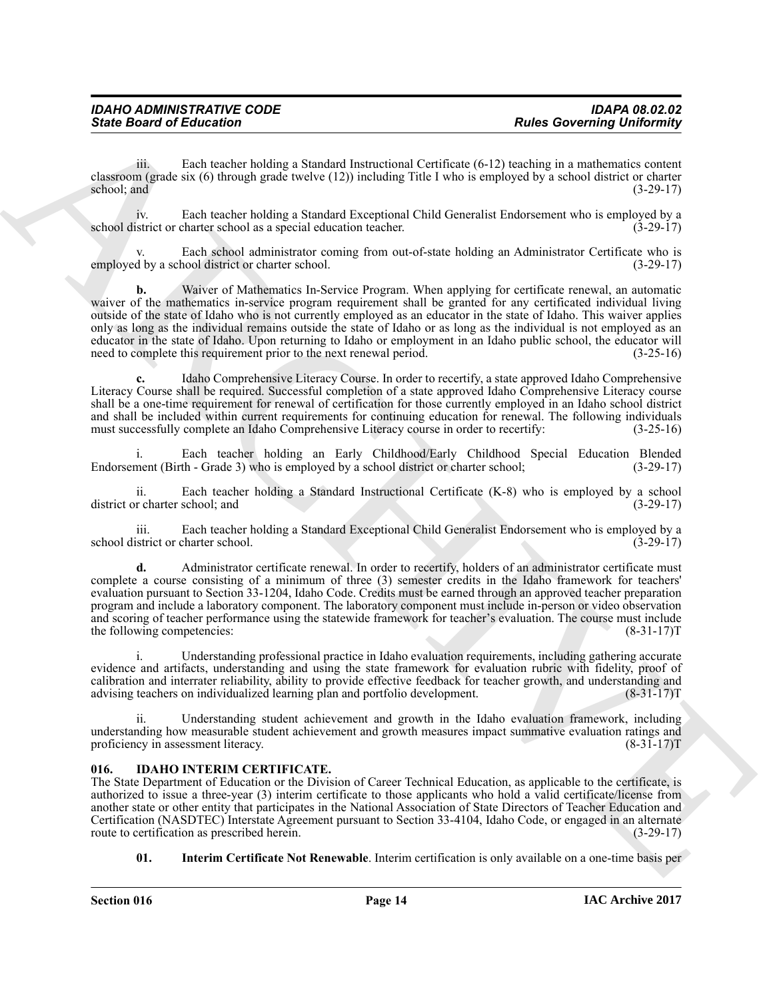iii. Each teacher holding a Standard Instructional Certificate (6-12) teaching in a mathematics content classroom (grade six (6) through grade twelve (12)) including Title I who is employed by a school district or charter school; and  $(3-29-17)$ 

iv. Each teacher holding a Standard Exceptional Child Generalist Endorsement who is employed by a school district or charter school as a special education teacher.

Each school administrator coming from out-of-state holding an Administrator Certificate who is<br>13-29-17) (3-29-17) employed by a school district or charter school.

Since Board of Entire theorem. The base of the contribute of the contribute of the contribute of the contribute of the contribute of the contribute of the contribute of the contribute of the contribute of the contribute o **b.** Waiver of Mathematics In-Service Program. When applying for certificate renewal, an automatic waiver of the mathematics in-service program requirement shall be granted for any certificated individual living outside of the state of Idaho who is not currently employed as an educator in the state of Idaho. This waiver applies only as long as the individual remains outside the state of Idaho or as long as the individual is not employed as an educator in the state of Idaho. Upon returning to Idaho or employment in an Idaho public school, the educator will need to complete this requirement prior to the next renewal period. (3-25-16)

**c.** Idaho Comprehensive Literacy Course. In order to recertify, a state approved Idaho Comprehensive Literacy Course shall be required. Successful completion of a state approved Idaho Comprehensive Literacy course shall be a one-time requirement for renewal of certification for those currently employed in an Idaho school district and shall be included within current requirements for continuing education for renewal. The following individuals must successfully complete an Idaho Comprehensive Literacy course in order to recertify: (3-25-16)

i. Each teacher holding an Early Childhood/Early Childhood Special Education Blended Endorsement (Birth - Grade 3) who is employed by a school district or charter school; (3-29-17)

ii. Each teacher holding a Standard Instructional Certificate (K-8) who is employed by a school district or charter school; and (3-29-17) (3-29-17)

iii. Each teacher holding a Standard Exceptional Child Generalist Endorsement who is employed by a school district or charter school. (3-29-17)

**d.** Administrator certificate renewal. In order to recertify, holders of an administrator certificate must complete a course consisting of a minimum of three (3) semester credits in the Idaho framework for teachers' evaluation pursuant to Section 33-1204, Idaho Code. Credits must be earned through an approved teacher preparation program and include a laboratory component. The laboratory component must include in-person or video observation and scoring of teacher performance using the statewide framework for teacher's evaluation. The course must include the following competencies: (8-31-17) the following competencies:

i. Understanding professional practice in Idaho evaluation requirements, including gathering accurate evidence and artifacts, understanding and using the state framework for evaluation rubric with fidelity, proof of calibration and interrater reliability, ability to provide effective feedback for teacher growth, and understanding and advising teachers on individualized learning plan and portfolio development. (8-31-17)T

Understanding student achievement and growth in the Idaho evaluation framework, including understanding how measurable student achievement and growth measures impact summative evaluation ratings and proficiency in assessment literacy. (8-31-17) proficiency in assessment literacy.

#### <span id="page-13-1"></span><span id="page-13-0"></span>**016. IDAHO INTERIM CERTIFICATE.**

The State Department of Education or the Division of Career Technical Education, as applicable to the certificate, is authorized to issue a three-year (3) interim certificate to those applicants who hold a valid certificate/license from another state or other entity that participates in the National Association of State Directors of Teacher Education and Certification (NASDTEC) Interstate Agreement pursuant to Section 33-4104, Idaho Code, or engaged in an alternate route to certification as prescribed herein.

<span id="page-13-2"></span>**01. Interim Certificate Not Renewable**. Interim certification is only available on a one-time basis per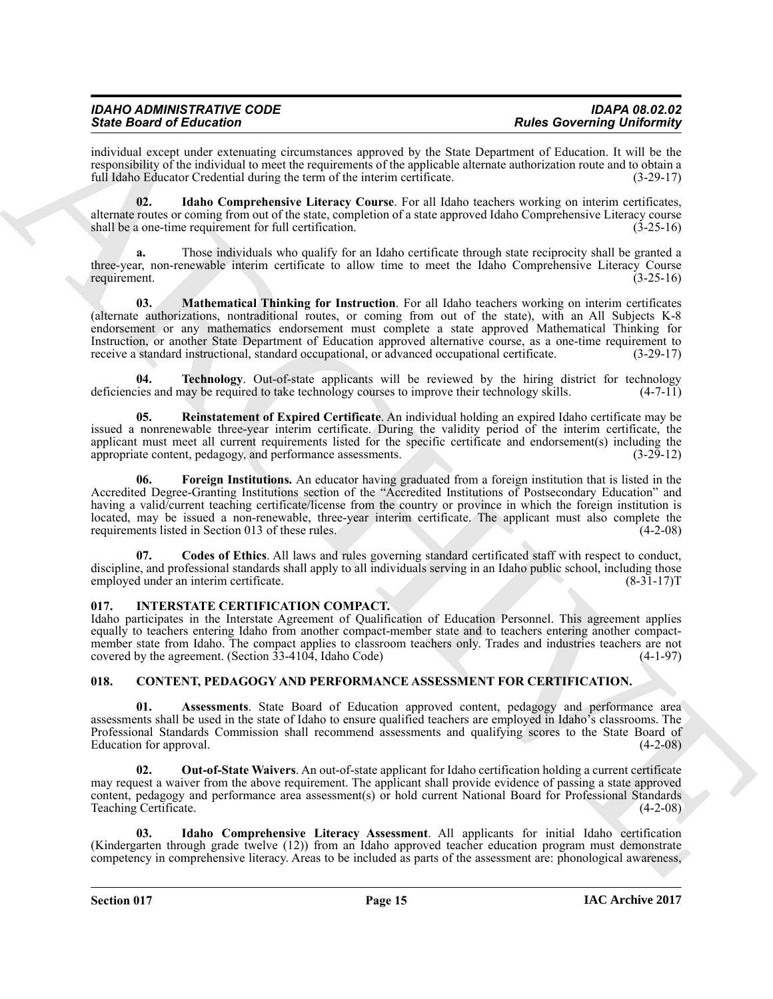### *IDAHO ADMINISTRATIVE CODE IDAPA 08.02.02 State Board of Education Rules Governing Uniformity*

individual except under extenuating circumstances approved by the State Department of Education. It will be the responsibility of the individual to meet the requirements of the applicable alternate authorization route and to obtain a full Idaho Educator Credential during the term of the interim certificate. (3-29-17)

<span id="page-14-8"></span>**02. Idaho Comprehensive Literacy Course**. For all Idaho teachers working on interim certificates, alternate routes or coming from out of the state, completion of a state approved Idaho Comprehensive Literacy course<br>shall be a one-time requirement for full certification. shall be a one-time requirement for full certification.

**a.** Those individuals who qualify for an Idaho certificate through state reciprocity shall be granted a three-year, non-renewable interim certificate to allow time to meet the Idaho Comprehensive Literacy Course requirement. (3-25-16)

<span id="page-14-9"></span>**03. Mathematical Thinking for Instruction**. For all Idaho teachers working on interim certificates (alternate authorizations, nontraditional routes, or coming from out of the state), with an All Subjects K-8 endorsement or any mathematics endorsement must complete a state approved Mathematical Thinking for Instruction, or another State Department of Education approved alternative course, as a one-time requirement to receive a standard instructional, standard occupational, or advanced occupational certificate. (3-29-17) receive a standard instructional, standard occupational, or advanced occupational certificate.

<span id="page-14-11"></span>**04. Technology**. Out-of-state applicants will be reviewed by the hiring district for technology deficiencies and may be required to take technology courses to improve their technology skills.  $(4-7-11)$ 

<span id="page-14-10"></span><span id="page-14-7"></span>**05. Reinstatement of Expired Certificate**. An individual holding an expired Idaho certificate may be issued a nonrenewable three-year interim certificate. During the validity period of the interim certificate, the applicant must meet all current requirements listed for the specific certificate and endorsement(s) including the appropriate content, pedagogy, and performance assessments. (3-29-12)

Since Book of Education Constraints approved by the Sec. Dermiss of Columbia and The Education Constraints are not the summarized by the Sec. Dermiss and the summarized by the Sec. Dermiss and the summarized by the Sec. D **06. Foreign Institutions.** An educator having graduated from a foreign institution that is listed in the Accredited Degree-Granting Institutions section of the "Accredited Institutions of Postsecondary Education" and having a valid/current teaching certificate/license from the country or province in which the foreign institution is located, may be issued a non-renewable, three-year interim certificate. The applicant must also complete the requirements listed in Section 013 of these rules. (4-2-08) requirements listed in Section 013 of these rules.

<span id="page-14-6"></span>**07. Codes of Ethics**. All laws and rules governing standard certificated staff with respect to conduct, discipline, and professional standards shall apply to all individuals serving in an Idaho public school, including those employed under an interim certificate. (8-31-17) employed under an interim certificate.

#### <span id="page-14-12"></span><span id="page-14-0"></span>**017. INTERSTATE CERTIFICATION COMPACT.**

Idaho participates in the Interstate Agreement of Qualification of Education Personnel. This agreement applies equally to teachers entering Idaho from another compact-member state and to teachers entering another compactmember state from Idaho. The compact applies to classroom teachers only. Trades and industries teachers are not covered by the agreement. (Section 33-4104, Idaho Code) (4-1-97)

#### <span id="page-14-2"></span><span id="page-14-1"></span>**018. CONTENT, PEDAGOGY AND PERFORMANCE ASSESSMENT FOR CERTIFICATION.**

<span id="page-14-3"></span>**01. Assessments**. State Board of Education approved content, pedagogy and performance area assessments shall be used in the state of Idaho to ensure qualified teachers are employed in Idaho's classrooms. The Professional Standards Commission shall recommend assessments and qualifying scores to the State Board of Education for approval. (4-2-08)

<span id="page-14-5"></span>**02. Out-of-State Waivers**. An out-of-state applicant for Idaho certification holding a current certificate may request a waiver from the above requirement. The applicant shall provide evidence of passing a state approved content, pedagogy and performance area assessment(s) or hold current National Board for Professional Standards Teaching Certificate. (4-2-08)

<span id="page-14-4"></span>**03. Idaho Comprehensive Literacy Assessment**. All applicants for initial Idaho certification (Kindergarten through grade twelve (12)) from an Idaho approved teacher education program must demonstrate competency in comprehensive literacy. Areas to be included as parts of the assessment are: phonological awareness,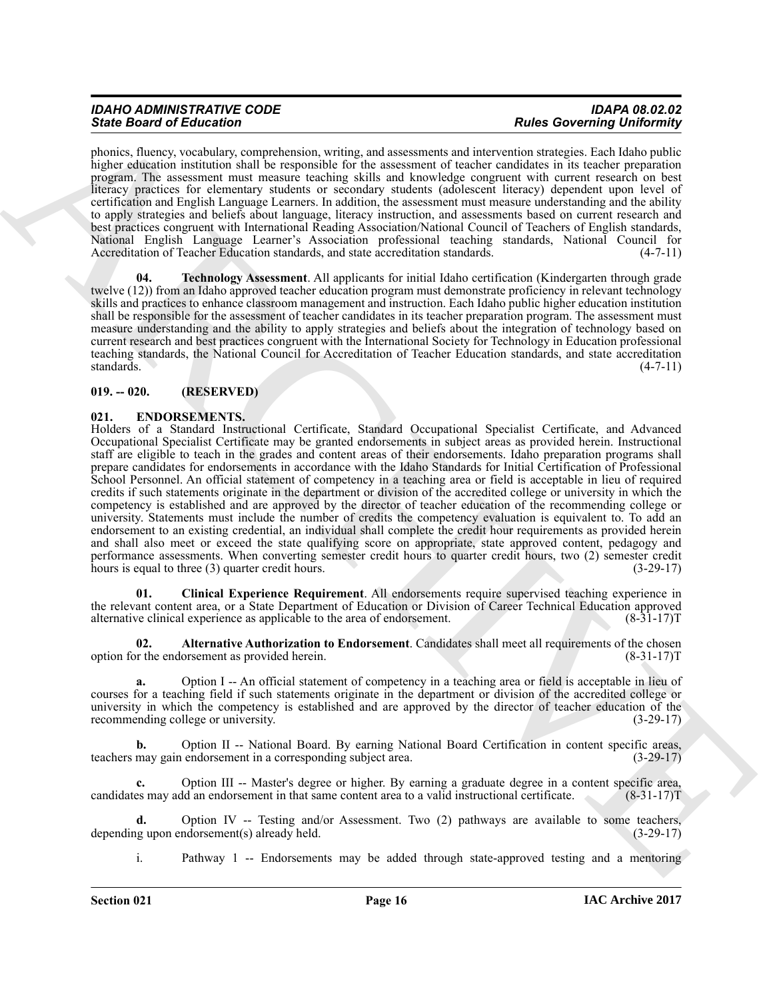## *IDAHO ADMINISTRATIVE CODE IDAPA 08.02.02*

phonics, fluency, vocabulary, comprehension, writing, and assessments and intervention strategies. Each Idaho public higher education institution shall be responsible for the assessment of teacher candidates in its teacher preparation program. The assessment must measure teaching skills and knowledge congruent with current research on best literacy practices for elementary students or secondary students (adolescent literacy) dependent upon level of certification and English Language Learners. In addition, the assessment must measure understanding and the ability to apply strategies and beliefs about language, literacy instruction, and assessments based on current research and best practices congruent with International Reading Association/National Council of Teachers of English standards, National English Language Learner's Association professional teaching standards, National Council for Accreditation of Teacher Education standards, and state accreditation standards. (4-7-11)

<span id="page-15-2"></span>**04. Technology Assessment**. All applicants for initial Idaho certification (Kindergarten through grade twelve (12)) from an Idaho approved teacher education program must demonstrate proficiency in relevant technology skills and practices to enhance classroom management and instruction. Each Idaho public higher education institution shall be responsible for the assessment of teacher candidates in its teacher preparation program. The assessment must measure understanding and the ability to apply strategies and beliefs about the integration of technology based on current research and best practices congruent with the International Society for Technology in Education professional teaching standards, the National Council for Accreditation of Teacher Education standards, and state accreditation standards. (4-7-11)

#### <span id="page-15-0"></span>**019. -- 020. (RESERVED)**

#### <span id="page-15-3"></span><span id="page-15-1"></span>**021. ENDORSEMENTS.**

Since Boston's Education Constrainers and the second section and the second interest in the second of the second section in the second section is the second section of the second section in the second section is the secon Holders of a Standard Instructional Certificate, Standard Occupational Specialist Certificate, and Advanced Occupational Specialist Certificate may be granted endorsements in subject areas as provided herein. Instructional staff are eligible to teach in the grades and content areas of their endorsements. Idaho preparation programs shall prepare candidates for endorsements in accordance with the Idaho Standards for Initial Certification of Professional School Personnel. An official statement of competency in a teaching area or field is acceptable in lieu of required credits if such statements originate in the department or division of the accredited college or university in which the competency is established and are approved by the director of teacher education of the recommending college or university. Statements must include the number of credits the competency evaluation is equivalent to. To add an endorsement to an existing credential, an individual shall complete the credit hour requirements as provided herein and shall also meet or exceed the state qualifying score on appropriate, state approved content, pedagogy and performance assessments. When converting semester credit hours to quarter credit hours, two (2) semester credit hours is equal to three (3) quarter credit hours. (3-29-17)

<span id="page-15-5"></span>**01. Clinical Experience Requirement**. All endorsements require supervised teaching experience in the relevant content area, or a State Department of Education or Division of Career Technical Education approved alternative clinical experience as applicable to the area of endorsement. (8-31-17)T

<span id="page-15-4"></span>**02. Alternative Authorization to Endorsement**. Candidates shall meet all requirements of the chosen option for the endorsement as provided herein. (8-31-17)T

**a.** Option I -- An official statement of competency in a teaching area or field is acceptable in lieu of courses for a teaching field if such statements originate in the department or division of the accredited college or university in which the competency is established and are approved by the director of teacher education of the recommending college or university. (3-29-17) recommending college or university.

**b.** Option II -- National Board. By earning National Board Certification in content specific areas, teachers may gain endorsement in a corresponding subject area. (3-29-17)

**c.** Option III -- Master's degree or higher. By earning a graduate degree in a content specific area, candidates may add an endorsement in that same content area to a valid instructional certificate. (8-31-17)T

**d.** Option IV -- Testing and/or Assessment. Two (2) pathways are available to some teachers, g upon endorsement(s) already held. (3-29-17) depending upon endorsement $(s)$  already held.

i. Pathway 1 -- Endorsements may be added through state-approved testing and a mentoring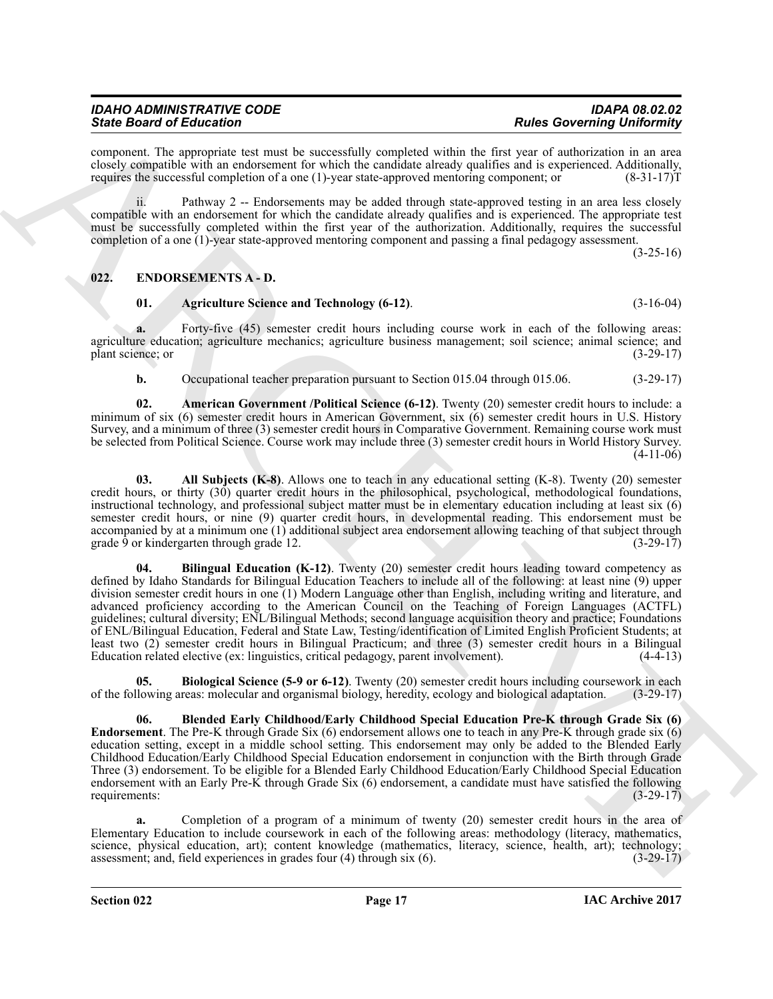| <b>IDAHO ADMINISTRATIVE CODE</b> | <b>IDAPA 08.02.02</b>             |
|----------------------------------|-----------------------------------|
| <b>State Board of Education</b>  | <b>Rules Governing Uniformity</b> |

component. The appropriate test must be successfully completed within the first year of authorization in an area closely compatible with an endorsement for which the candidate already qualifies and is experienced. Additionally, requires the successful completion of a one (1)-year state-approved mentoring component; or (8-31-17)T

ii. Pathway 2 -- Endorsements may be added through state-approved testing in an area less closely compatible with an endorsement for which the candidate already qualifies and is experienced. The appropriate test must be successfully completed within the first year of the authorization. Additionally, requires the successful completion of a one (1)-year state-approved mentoring component and passing a final pedagogy assessment.

 $(3-25-16)$ 

#### <span id="page-16-0"></span>**022. ENDORSEMENTS A - D.**

#### <span id="page-16-2"></span><span id="page-16-1"></span>**01. Agriculture Science and Technology (6-12)**. (3-16-04)

**a.** Forty-five (45) semester credit hours including course work in each of the following areas: agriculture education; agriculture mechanics; agriculture business management; soil science; animal science; and plant science; or (3-29-17) plant science; or

<span id="page-16-4"></span>**b.** Occupational teacher preparation pursuant to Section 015.04 through 015.06. (3-29-17)

**02. American Government /Political Science (6-12)**. Twenty (20) semester credit hours to include: a minimum of six (6) semester credit hours in American Government, six (6) semester credit hours in U.S. History Survey, and a minimum of three (3) semester credit hours in Comparative Government. Remaining course work must be selected from Political Science. Course work may include three (3) semester credit hours in World History Survey. (4-11-06)

<span id="page-16-5"></span><span id="page-16-3"></span>**03. All Subjects (K-8)**. Allows one to teach in any educational setting (K-8). Twenty (20) semester credit hours, or thirty (30) quarter credit hours in the philosophical, psychological, methodological foundations, instructional technology, and professional subject matter must be in elementary education including at least six (6) semester credit hours, or nine (9) quarter credit hours, in developmental reading. This endorsement must be accompanied by at a minimum one (1) additional subject area endorsement allowing teaching of that subject through grade 9 or kindergarten through grade 12. (3-29-17)

Since Board of Education 14. In the system of the system of the **Education Convention of the system of the system of the system of the system of the system of the system of the system of the system of the system of the sy 04. Bilingual Education (K-12)**. Twenty (20) semester credit hours leading toward competency as defined by Idaho Standards for Bilingual Education Teachers to include all of the following: at least nine (9) upper division semester credit hours in one (1) Modern Language other than English, including writing and literature, and advanced proficiency according to the American Council on the Teaching of Foreign Languages (ACTFL) guidelines; cultural diversity; ENL/Bilingual Methods; second language acquisition theory and practice; Foundations of ENL/Bilingual Education, Federal and State Law, Testing/identification of Limited English Proficient Students; at least two (2) semester credit hours in Bilingual Practicum; and three (3) semester credit hours in a Bilingual Education related elective (ex: linguistics, critical pedagogy, parent involvement). (4-4-13)

<span id="page-16-6"></span>**05. Biological Science (5-9 or 6-12)**. Twenty (20) semester credit hours including coursework in each llowing areas: molecular and organismal biology, heredity, ecology and biological adaptation. (3-29-17) of the following areas: molecular and organismal biology, heredity, ecology and biological adaptation. (3-29-17)

<span id="page-16-7"></span>**06. Blended Early Childhood/Early Childhood Special Education Pre-K through Grade Six (6) Endorsement**. The Pre-K through Grade Six (6) endorsement allows one to teach in any Pre-K through grade six (6) education setting, except in a middle school setting. This endorsement may only be added to the Blended Early Childhood Education/Early Childhood Special Education endorsement in conjunction with the Birth through Grade Three (3) endorsement. To be eligible for a Blended Early Childhood Education/Early Childhood Special Education endorsement with an Early Pre-K through Grade Six (6) endorsement, a candidate must have satisfied the following requirements:  $(3-29-17)$ 

**a.** Completion of a program of a minimum of twenty (20) semester credit hours in the area of Elementary Education to include coursework in each of the following areas: methodology (literacy, mathematics, science, physical education, art); content knowledge (mathematics, literacy, science, health, art); technology; assessment; and, field experiences in grades four (4) through six (6). (3-29-17)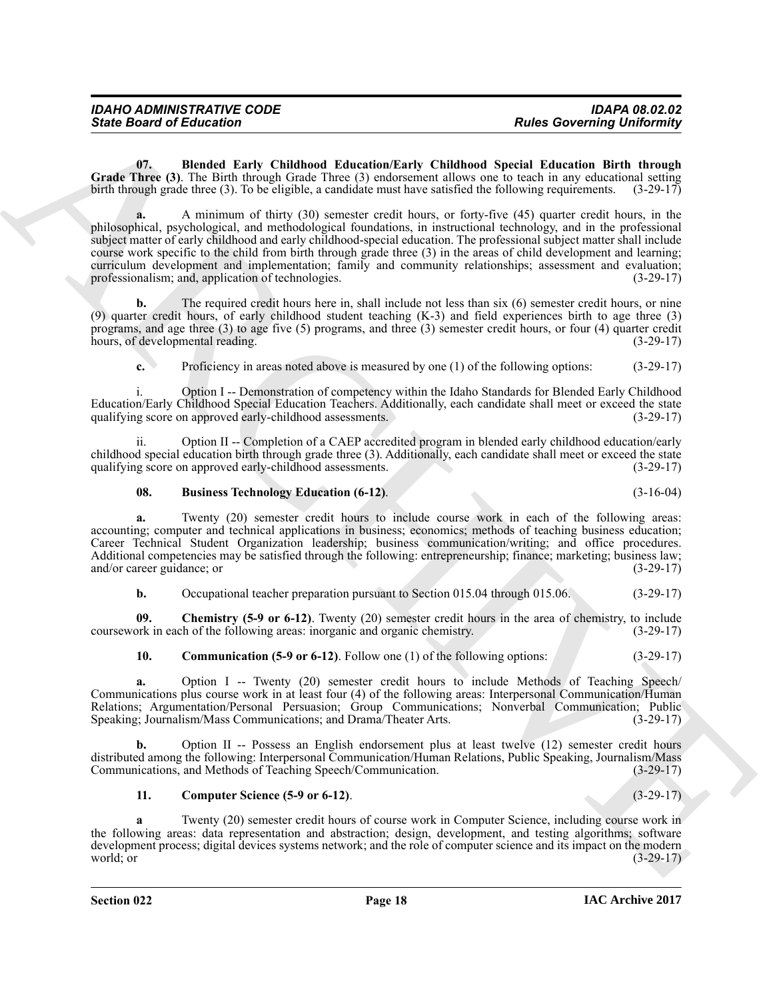<span id="page-17-0"></span>**07. Blended Early Childhood Education/Early Childhood Special Education Birth through Grade Three (3)**. The Birth through Grade Three (3) endorsement allows one to teach in any educational setting birth through grade three (3). To be eligible, a candidate must have satisfied the following requirements. (3-29-17)

Since Board of Enterston<br>
Could note that the Children Learnton Learnton Learnton Relations and the state of the state of the state of the state of the state of the state of the state of the state of the state of the stat **a.** A minimum of thirty (30) semester credit hours, or forty-five (45) quarter credit hours, in the philosophical, psychological, and methodological foundations, in instructional technology, and in the professional subject matter of early childhood and early childhood-special education. The professional subject matter shall include course work specific to the child from birth through grade three (3) in the areas of child development and learning; curriculum development and implementation; family and community relationships; assessment and evaluation; professionalism; and, application of technologies. (3-29-17)

**b.** The required credit hours here in, shall include not less than six (6) semester credit hours, or nine (9) quarter credit hours, of early childhood student teaching (K-3) and field experiences birth to age three (3) programs, and age three (3) to age five (5) programs, and three (3) semester credit hours, or four (4) quarter credit hours, of developmental reading. (3-29-17)

**c.** Proficiency in areas noted above is measured by one (1) of the following options: (3-29-17)

i. Option I -- Demonstration of competency within the Idaho Standards for Blended Early Childhood Education/Early Childhood Special Education Teachers. Additionally, each candidate shall meet or exceed the state qualifying score on approved early-childhood assessments.

ii. Option II -- Completion of a CAEP accredited program in blended early childhood education/early childhood special education birth through grade three (3). Additionally, each candidate shall meet or exceed the state qualifying score on approved early-childhood assessments. (3-29-17) qualifying score on approved early-childhood assessments.

#### <span id="page-17-1"></span>**08. Business Technology Education (6-12)**. (3-16-04)

**a.** Twenty (20) semester credit hours to include course work in each of the following areas: accounting; computer and technical applications in business; economics; methods of teaching business education; Career Technical Student Organization leadership; business communication/writing; and office procedures. Additional competencies may be satisfied through the following: entrepreneurship; finance; marketing; business law; and/or career guidance; or (3-29-17)

<span id="page-17-2"></span>**b.** Occupational teacher preparation pursuant to Section 015.04 through 015.06. (3-29-17)

**09. Chemistry (5-9 or 6-12)**. Twenty (20) semester credit hours in the area of chemistry, to include coursework in each of the following areas: inorganic and organic chemistry. (3-29-17)

<span id="page-17-3"></span>**10. Communication (5-9 or 6-12)**. Follow one (1) of the following options: (3-29-17)

**a.** Option I -- Twenty (20) semester credit hours to include Methods of Teaching Speech/ Communications plus course work in at least four (4) of the following areas: Interpersonal Communication/Human Relations; Argumentation/Personal Persuasion; Group Communications; Nonverbal Communication; Public Speaking; Journalism/Mass Communications; and Drama/Theater Arts. (3-29-17) Speaking; Journalism/Mass Communications; and Drama/Theater Arts.

**b.** Option II -- Possess an English endorsement plus at least twelve (12) semester credit hours distributed among the following: Interpersonal Communication/Human Relations, Public Speaking, Journalism/Mass<br>Communications, and Methods of Teaching Speech/Communication. (3-29-17) Communications, and Methods of Teaching Speech/Communication.

#### <span id="page-17-4"></span>**11. Computer Science (5-9 or 6-12)**. (3-29-17)

**a** Twenty (20) semester credit hours of course work in Computer Science, including course work in the following areas: data representation and abstraction; design, development, and testing algorithms; software development process; digital devices systems network; and the role of computer science and its impact on the modern world; or  $(3-29-17)$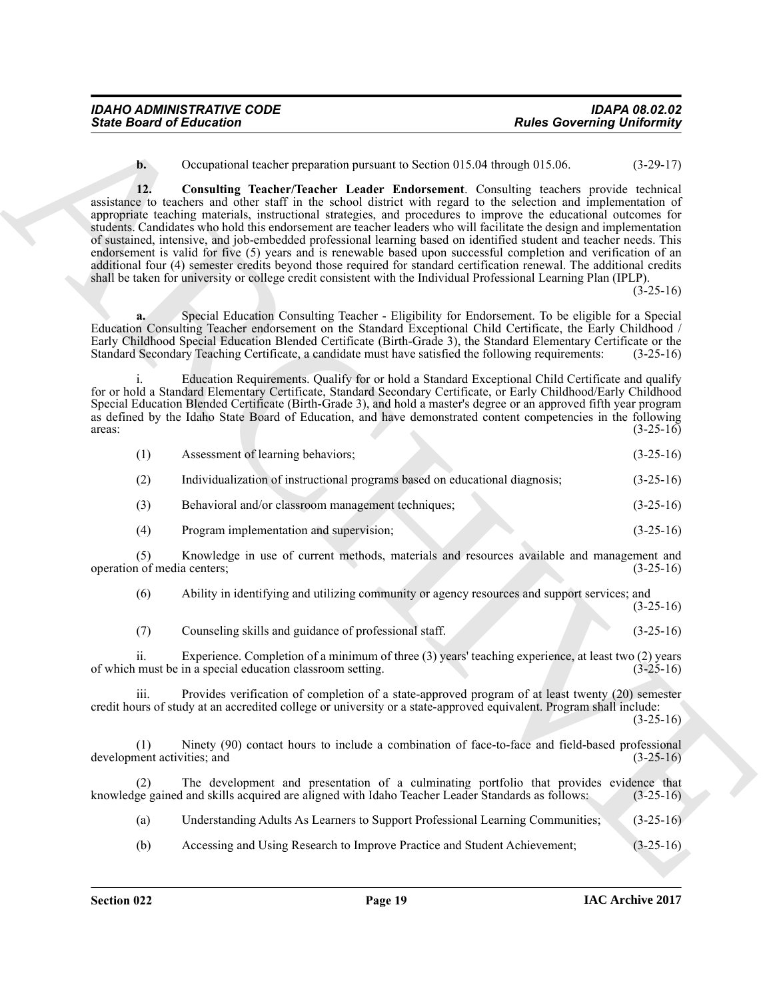<span id="page-18-0"></span>**b.** Occupational teacher preparation pursuant to Section 015.04 through 015.06. (3-29-17)

Sinte Board of Enterstone Comparison persons. Distributed Resolventing University University 2008.<br>
12. Compatibility Resolventing Tensors to Section 915.00. (a) 2008. (b) 2008.<br>
13. Compatibility Resolventing Tensors in **12. Consulting Teacher/Teacher Leader Endorsement**. Consulting teachers provide technical assistance to teachers and other staff in the school district with regard to the selection and implementation of appropriate teaching materials, instructional strategies, and procedures to improve the educational outcomes for students. Candidates who hold this endorsement are teacher leaders who will facilitate the design and implementation of sustained, intensive, and job-embedded professional learning based on identified student and teacher needs. This endorsement is valid for five (5) years and is renewable based upon successful completion and verification of an additional four (4) semester credits beyond those required for standard certification renewal. The additional credits shall be taken for university or college credit consistent with the Individual Professional Learning Plan (IPLP).

 $(3 - 25 - 16)$ 

**a.** Special Education Consulting Teacher - Eligibility for Endorsement. To be eligible for a Special Education Consulting Teacher endorsement on the Standard Exceptional Child Certificate, the Early Childhood / Early Childhood Special Education Blended Certificate (Birth-Grade 3), the Standard Elementary Certificate or the Standard Secondary Teaching Certificate, a candidate must have satisfied the following requirements: (3-25-16)

Education Requirements. Qualify for or hold a Standard Exceptional Child Certificate and qualify for or hold a Standard Elementary Certificate, Standard Secondary Certificate, or Early Childhood/Early Childhood Special Education Blended Certificate (Birth-Grade 3), and hold a master's degree or an approved fifth year program as defined by the Idaho State Board of Education, and have demonstrated content competencies in the following areas:<br>(3-25-16) areas:  $(3-25-16)$ 

| (1) | Assessment of learning behaviors;                                           | $(3-25-16)$ |
|-----|-----------------------------------------------------------------------------|-------------|
| (2) | Individualization of instructional programs based on educational diagnosis; | $(3-25-16)$ |
| (3) | Behavioral and/or classroom management techniques;                          | $(3-25-16)$ |
| (4) | Program implementation and supervision;                                     | $(3-25-16)$ |

(5) Knowledge in use of current methods, materials and resources available and management and operation of media centers; (3-25-16)

(6) Ability in identifying and utilizing community or agency resources and support services; and

(3-25-16)

(7) Counseling skills and guidance of professional staff. (3-25-16)

ii. Experience. Completion of a minimum of three (3) years' teaching experience, at least two (2) years of which must be in a special education classroom setting. (3-25-16)

iii. Provides verification of completion of a state-approved program of at least twenty (20) semester credit hours of study at an accredited college or university or a state-approved equivalent. Program shall include:  $(3-25-16)$ 

(1) Ninety (90) contact hours to include a combination of face-to-face and field-based professional development activities; and (3-25-16)

(2) The development and presentation of a culminating portfolio that provides evidence that knowledge gained and skills acquired are aligned with Idaho Teacher Leader Standards as follows: (3-25-16)

(a) Understanding Adults As Learners to Support Professional Learning Communities; (3-25-16)

(b) Accessing and Using Research to Improve Practice and Student Achievement; (3-25-16)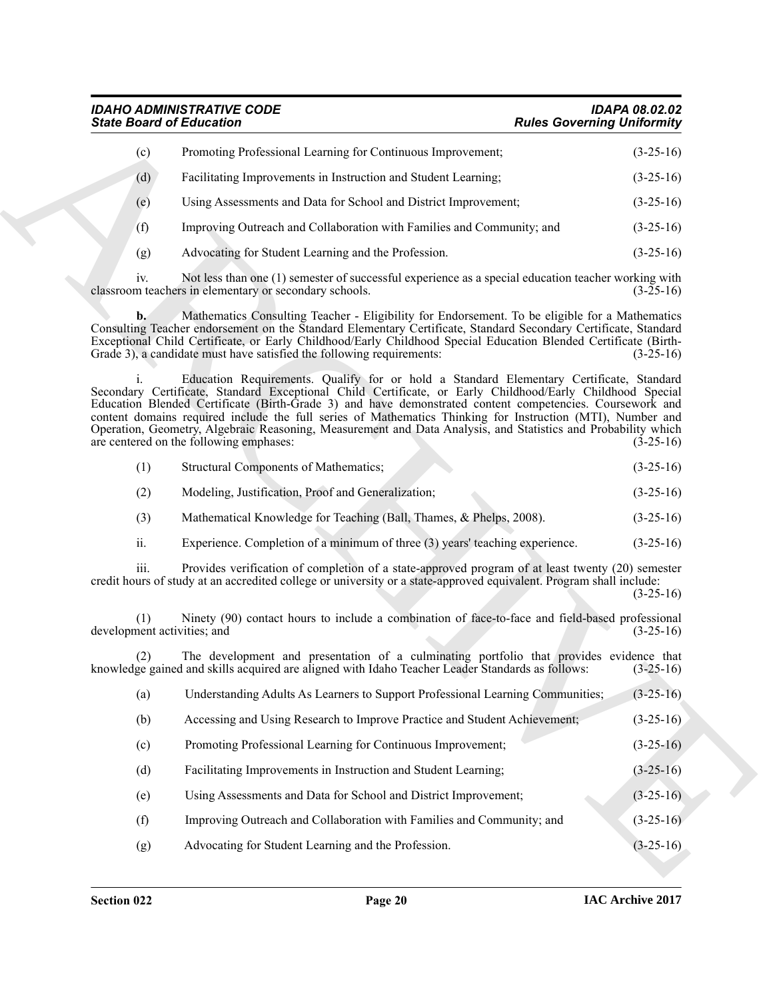### *IDAHO ADMINISTRATIVE CODE IDAPA 08.02.02 State Board of Education Rules Governing Uniformity*

| (c) | Promoting Professional Learning for Continuous Improvement;           | $(3-25-16)$ |
|-----|-----------------------------------------------------------------------|-------------|
| (d) | Facilitating Improvements in Instruction and Student Learning;        | $(3-25-16)$ |
| (e) | Using Assessments and Data for School and District Improvement;       | $(3-25-16)$ |
| (f) | Improving Outreach and Collaboration with Families and Community; and | $(3-25-16)$ |
| (g) | Advocating for Student Learning and the Profession.                   | $(3-25-16)$ |

|  | Structural Components of Mathematics: | $(3-25-16)$ |  |  |
|--|---------------------------------------|-------------|--|--|
|--|---------------------------------------|-------------|--|--|

- (2) Modeling, Justification, Proof and Generalization; (3-25-16)
- (3) Mathematical Knowledge for Teaching (Ball, Thames, & Phelps, 2008). (3-25-16)
- ii. Experience. Completion of a minimum of three (3) years' teaching experience. (3-25-16)

| <b>State Board of Education</b>    |                                                                                                                                                                                                                                                                                                                                                                                                                                                                                                                                                                                            | <b>Rules Governing Uniformity</b> |  |
|------------------------------------|--------------------------------------------------------------------------------------------------------------------------------------------------------------------------------------------------------------------------------------------------------------------------------------------------------------------------------------------------------------------------------------------------------------------------------------------------------------------------------------------------------------------------------------------------------------------------------------------|-----------------------------------|--|
| (c)                                | Promoting Professional Learning for Continuous Improvement;                                                                                                                                                                                                                                                                                                                                                                                                                                                                                                                                | $(3-25-16)$                       |  |
| (d)                                | Facilitating Improvements in Instruction and Student Learning;                                                                                                                                                                                                                                                                                                                                                                                                                                                                                                                             | $(3-25-16)$                       |  |
| (e)                                | Using Assessments and Data for School and District Improvement;                                                                                                                                                                                                                                                                                                                                                                                                                                                                                                                            | $(3-25-16)$                       |  |
| (f)                                | Improving Outreach and Collaboration with Families and Community; and                                                                                                                                                                                                                                                                                                                                                                                                                                                                                                                      | $(3-25-16)$                       |  |
| (g)                                | Advocating for Student Learning and the Profession.                                                                                                                                                                                                                                                                                                                                                                                                                                                                                                                                        | $(3-25-16)$                       |  |
| iv.                                | Not less than one (1) semester of successful experience as a special education teacher working with<br>classroom teachers in elementary or secondary schools.                                                                                                                                                                                                                                                                                                                                                                                                                              | $(3-25-16)$                       |  |
| $b$ .                              | Mathematics Consulting Teacher - Eligibility for Endorsement. To be eligible for a Mathematics<br>Consulting Teacher endorsement on the Standard Elementary Certificate, Standard Secondary Certificate, Standard<br>Exceptional Child Certificate, or Early Childhood/Early Childhood Special Education Blended Certificate (Birth-<br>Grade 3), a candidate must have satisfied the following requirements:                                                                                                                                                                              | $(3-25-16)$                       |  |
|                                    | Education Requirements. Qualify for or hold a Standard Elementary Certificate, Standard<br>Secondary Certificate, Standard Exceptional Child Certificate, or Early Childhood/Early Childhood Special<br>Education Blended Certificate (Birth-Grade 3) and have demonstrated content competencies. Coursework and<br>content domains required include the full series of Mathematics Thinking for Instruction (MTI), Number and<br>Operation, Geometry, Algebraic Reasoning, Measurement and Data Analysis, and Statistics and Probability which<br>are centered on the following emphases: | $(3-25-16)$                       |  |
| (1)                                | Structural Components of Mathematics;                                                                                                                                                                                                                                                                                                                                                                                                                                                                                                                                                      | $(3-25-16)$                       |  |
| (2)                                | Modeling, Justification, Proof and Generalization;                                                                                                                                                                                                                                                                                                                                                                                                                                                                                                                                         | $(3-25-16)$                       |  |
| (3)                                | Mathematical Knowledge for Teaching (Ball, Thames, & Phelps, 2008).                                                                                                                                                                                                                                                                                                                                                                                                                                                                                                                        | $(3-25-16)$                       |  |
|                                    |                                                                                                                                                                                                                                                                                                                                                                                                                                                                                                                                                                                            |                                   |  |
| ii.                                | Experience. Completion of a minimum of three (3) years' teaching experience.                                                                                                                                                                                                                                                                                                                                                                                                                                                                                                               | $(3-25-16)$                       |  |
| iii.                               | Provides verification of completion of a state-approved program of at least twenty (20) semester<br>credit hours of study at an accredited college or university or a state-approved equivalent. Program shall include:                                                                                                                                                                                                                                                                                                                                                                    | $(3-25-16)$                       |  |
| (1)<br>development activities; and | Ninety (90) contact hours to include a combination of face-to-face and field-based professional                                                                                                                                                                                                                                                                                                                                                                                                                                                                                            | $(3-25-16)$                       |  |
|                                    | The development and presentation of a culminating portfolio that provides evidence that<br>knowledge gained and skills acquired are aligned with Idaho Teacher Leader Standards as follows:                                                                                                                                                                                                                                                                                                                                                                                                | $(3-25-16)$                       |  |
| (a)                                | Understanding Adults As Learners to Support Professional Learning Communities;                                                                                                                                                                                                                                                                                                                                                                                                                                                                                                             | $(3-25-16)$                       |  |
| (b)                                | Accessing and Using Research to Improve Practice and Student Achievement;                                                                                                                                                                                                                                                                                                                                                                                                                                                                                                                  | $(3-25-16)$                       |  |
| (c)                                | Promoting Professional Learning for Continuous Improvement;                                                                                                                                                                                                                                                                                                                                                                                                                                                                                                                                | $(3-25-16)$                       |  |
| (d)                                | Facilitating Improvements in Instruction and Student Learning;                                                                                                                                                                                                                                                                                                                                                                                                                                                                                                                             | $(3-25-16)$                       |  |
| (e)                                | Using Assessments and Data for School and District Improvement;                                                                                                                                                                                                                                                                                                                                                                                                                                                                                                                            | $(3-25-16)$                       |  |
| (f)                                | Improving Outreach and Collaboration with Families and Community; and                                                                                                                                                                                                                                                                                                                                                                                                                                                                                                                      | $(3-25-16)$                       |  |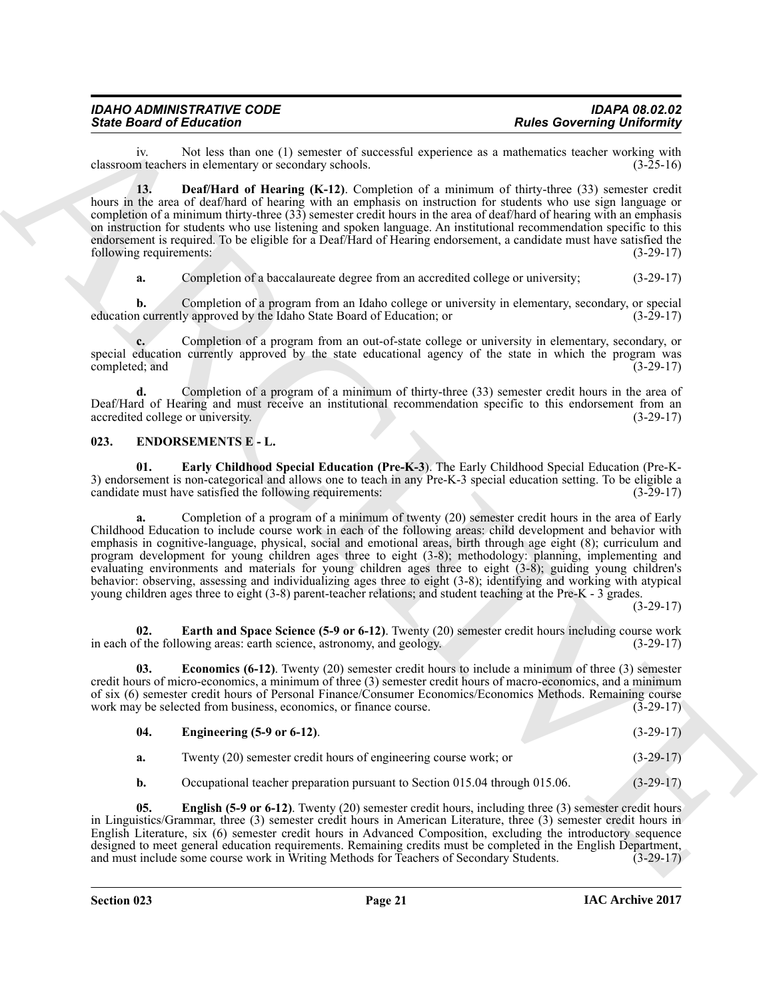## *IDAHO ADMINISTRATIVE CODE IDAPA 08.02.02*

iv. Not less than one (1) semester of successful experience as a mathematics teacher working with classroom teachers in elementary or secondary schools.

<span id="page-20-1"></span>**13. Deaf/Hard of Hearing (K-12)**. Completion of a minimum of thirty-three (33) semester credit hours in the area of deaf/hard of hearing with an emphasis on instruction for students who use sign language or completion of a minimum thirty-three (33) semester credit hours in the area of deaf/hard of hearing with an emphasis on instruction for students who use listening and spoken language. An institutional recommendation specific to this endorsement is required. To be eligible for a Deaf/Hard of Hearing endorsement, a candidate must have satisfied the following requirements: (3-29-17)

**a.** Completion of a baccalaureate degree from an accredited college or university;  $(3-29-17)$ 

**b.** Completion of a program from an Idaho college or university in elementary, secondary, or special education currently approved by the Idaho State Board of Education; or (3-29-17)

**c.** Completion of a program from an out-of-state college or university in elementary, secondary, or special education currently approved by the state educational agency of the state in which the program was completed; and (3-29-17)

**d.** Completion of a program of a minimum of thirty-three (33) semester credit hours in the area of Deaf/Hard of Hearing and must receive an institutional recommendation specific to this endorsement from an accredited college or university. (3-29-17) accredited college or university.

#### <span id="page-20-2"></span><span id="page-20-0"></span>**023. ENDORSEMENTS E - L.**

<span id="page-20-3"></span>**01. Early Childhood Special Education (Pre-K-3**). The Early Childhood Special Education (Pre-K-3) endorsement is non-categorical and allows one to teach in any Pre-K-3 special education setting. To be eligible a candidate must have satisfied the following requirements:

Since Board of Education to 1). The Res Covereing University of Education and South Company and South Language and South Company and South Company and South Company and South Company and South Company and South Company an **a.** Completion of a program of a minimum of twenty (20) semester credit hours in the area of Early Childhood Education to include course work in each of the following areas: child development and behavior with emphasis in cognitive-language, physical, social and emotional areas, birth through age eight (8); curriculum and program development for young children ages three to eight (3-8); methodology: planning, implementing and evaluating environments and materials for young children ages three to eight (3-8); guiding young children's behavior: observing, assessing and individualizing ages three to eight (3-8); identifying and working with atypical young children ages three to eight (3-8) parent-teacher relations; and student teaching at the Pre-K - 3 grades.

(3-29-17)

<span id="page-20-4"></span>**02. Earth and Space Science (5-9 or 6-12)**. Twenty (20) semester credit hours including course work f the following areas: earth science, astronomy, and geology. (3-29-17) in each of the following areas: earth science, astronomy, and geology.

**03. Economics (6-12)**. Twenty (20) semester credit hours to include a minimum of three (3) semester credit hours of micro-economics, a minimum of three (3) semester credit hours of macro-economics, and a minimum of six (6) semester credit hours of Personal Finance/Consumer Economics/Economics Methods. Remaining course work may be selected from business, economics, or finance course. (3-29-17)

#### <span id="page-20-6"></span><span id="page-20-5"></span>**04. Engineering (5-9 or 6-12)**. (3-29-17)

|  | Twenty (20) semester credit hours of engineering course work; or | $(3-29-17)$ |
|--|------------------------------------------------------------------|-------------|
|--|------------------------------------------------------------------|-------------|

<span id="page-20-7"></span>**b.** Occupational teacher preparation pursuant to Section 015.04 through 015.06. (3-29-17)

**05. English (5-9 or 6-12)**. Twenty (20) semester credit hours, including three (3) semester credit hours in Linguistics/Grammar, three (3) semester credit hours in American Literature, three (3) semester credit hours in English Literature, six (6) semester credit hours in Advanced Composition, excluding the introductory sequence designed to meet general education requirements. Remaining credits must be completed in the English Department, and must include some course work in Writing Methods for Teachers of Secondary Students. (3-29-17)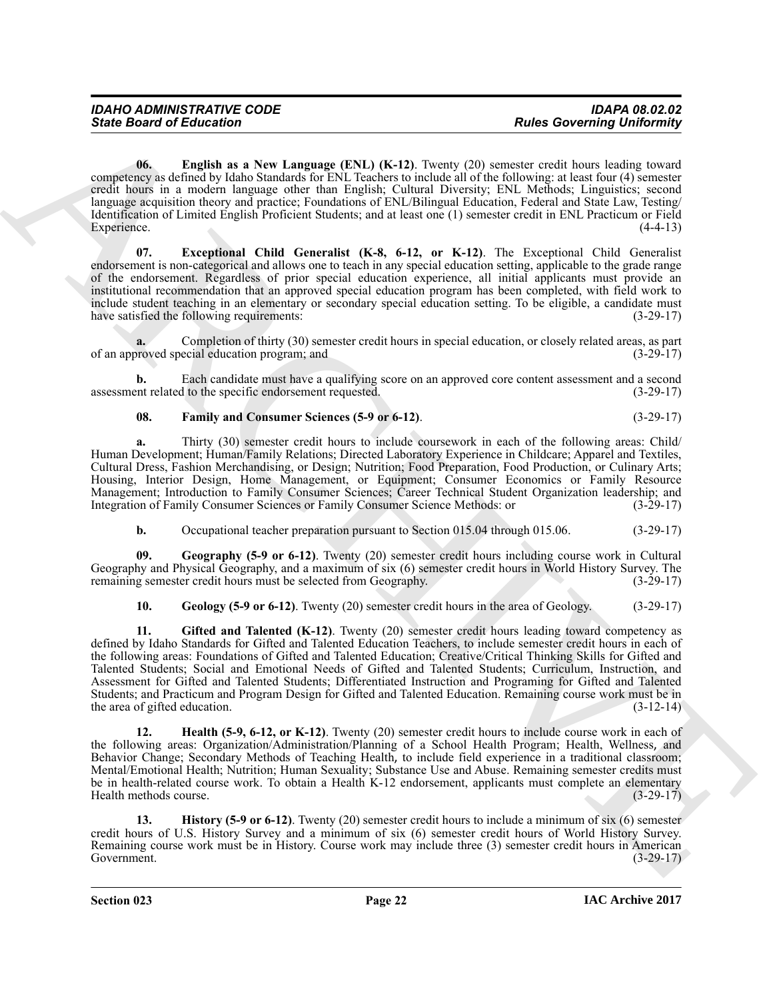<span id="page-21-0"></span>**06. English as a New Language (ENL) (K-12)**. Twenty (20) semester credit hours leading toward competency as defined by Idaho Standards for ENL Teachers to include all of the following: at least four (4) semester credit hours in a modern language other than English; Cultural Diversity; ENL Methods; Linguistics; second language acquisition theory and practice; Foundations of ENL/Bilingual Education, Federal and State Law, Testing/ Identification of Limited English Proficient Students; and at least one (1) semester credit in ENL Practicum or Field Experience.

<span id="page-21-1"></span>**07. Exceptional Child Generalist (K-8, 6-12, or K-12)**. The Exceptional Child Generalist endorsement is non-categorical and allows one to teach in any special education setting, applicable to the grade range of the endorsement. Regardless of prior special education experience, all initial applicants must provide an institutional recommendation that an approved special education program has been completed, with field work to include student teaching in an elementary or secondary special education setting. To be eligible, a candidate must have satisfied the following requirements: (3-29-17)

**a.** Completion of thirty (30) semester credit hours in special education, or closely related areas, as part roved special education program; and (3-29-17) of an approved special education program; and

**b.** Each candidate must have a qualifying score on an approved core content assessment and a second assessment related to the specific endorsement requested. (3-29-17)

#### <span id="page-21-2"></span>**08. Family and Consumer Sciences (5-9 or 6-12)**. (3-29-17)

**a.** Thirty (30) semester credit hours to include coursework in each of the following areas: Child/ Human Development; Human/Family Relations; Directed Laboratory Experience in Childcare; Apparel and Textiles, Cultural Dress, Fashion Merchandising, or Design; Nutrition; Food Preparation, Food Production, or Culinary Arts; Housing, Interior Design, Home Management, or Equipment; Consumer Economics or Family Resource Management; Introduction to Family Consumer Sciences; Career Technical Student Organization leadership; and Integration of Family Consumer Sciences or Family Consumer Science Methods: or (3-29-17)

<span id="page-21-3"></span>**b.** Occupational teacher preparation pursuant to Section 015.04 through 015.06. (3-29-17)

**09. Geography (5-9 or 6-12)**. Twenty (20) semester credit hours including course work in Cultural Geography and Physical Geography, and a maximum of six (6) semester credit hours in World History Survey. The remaining semester credit hours must be selected from Geography. (3-29-17) remaining semester credit hours must be selected from Geography.

<span id="page-21-5"></span><span id="page-21-4"></span>**10. Geology (5-9 or 6-12)**. Twenty (20) semester credit hours in the area of Geology. (3-29-17)

Since Board of Entreprise Convention (EN) (K.13), Toronto Distribution (Entreprise Convention University Convention (Section 2014)<br>
University (Convention 2011) (Convention 2012) (Convention 2013) (Convention 2013) (Conve **11. Gifted and Talented (K-12)**. Twenty (20) semester credit hours leading toward competency as defined by Idaho Standards for Gifted and Talented Education Teachers, to include semester credit hours in each of the following areas: Foundations of Gifted and Talented Education; Creative/Critical Thinking Skills for Gifted and Talented Students; Social and Emotional Needs of Gifted and Talented Students; Curriculum, Instruction, and Assessment for Gifted and Talented Students; Differentiated Instruction and Programing for Gifted and Talented Students; and Practicum and Program Design for Gifted and Talented Education. Remaining course work must be in the area of gifted education. (3-12-14)

<span id="page-21-6"></span>**12. Health (5-9, 6-12, or K-12)**. Twenty (20) semester credit hours to include course work in each of the following areas: Organization/Administration/Planning of a School Health Program; Health, Wellness, and Behavior Change; Secondary Methods of Teaching Health, to include field experience in a traditional classroom; Mental/Emotional Health; Nutrition; Human Sexuality; Substance Use and Abuse. Remaining semester credits must be in health-related course work. To obtain a Health K-12 endorsement, applicants must complete an elementary Health methods course. (3-29-17)

<span id="page-21-7"></span>**13. History (5-9 or 6-12)**. Twenty (20) semester credit hours to include a minimum of six (6) semester credit hours of U.S. History Survey and a minimum of six (6) semester credit hours of World History Survey. Remaining course work must be in History. Course work may include three (3) semester credit hours in American Government. (3-29-17)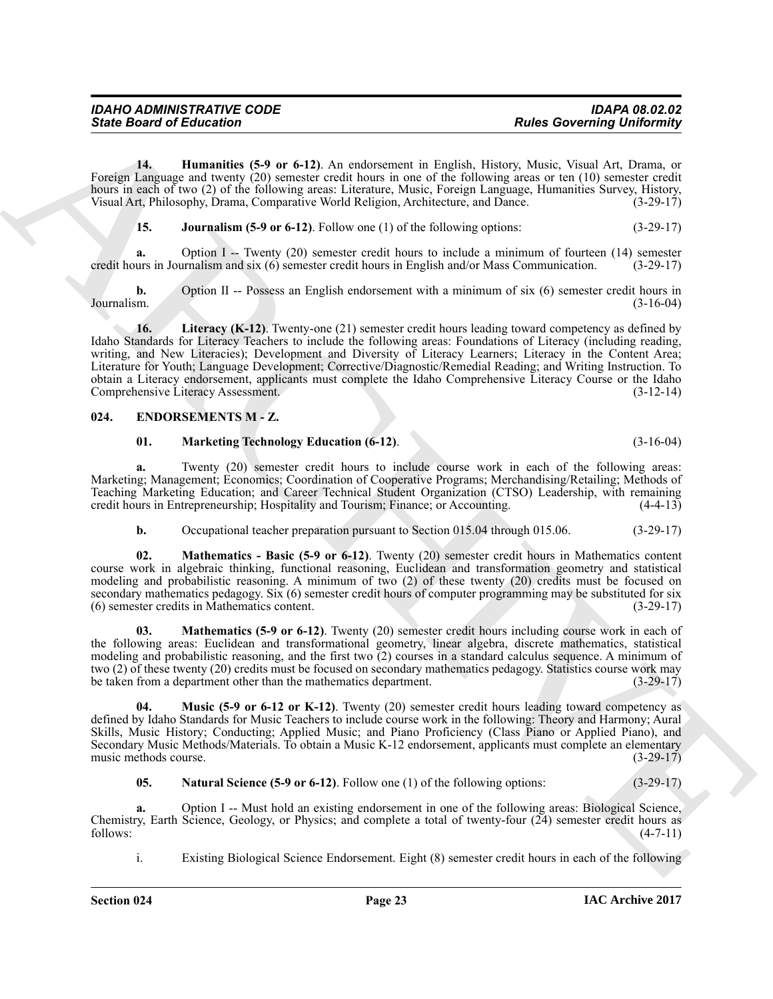| <b>IDAHO ADMINISTRATIVE CODE</b> | <b>IDAPA 08.02.02</b>             |
|----------------------------------|-----------------------------------|
| <b>State Board of Education</b>  | <b>Rules Governing Uniformity</b> |

**14. Humanities (5-9 or 6-12)**. An endorsement in English, History, Music, Visual Art, Drama, or Foreign Language and twenty (20) semester credit hours in one of the following areas or ten (10) semester credit hours in each of two (2) of the following areas: Literature, Music, Foreign Language, Humanities Survey, History, Visual Art, Philosophy, Drama, Comparative World Religion, Architecture, and Dance. (3-29-17)

<span id="page-22-2"></span><span id="page-22-1"></span>**15. Journalism (5-9 or 6-12)**. Follow one (1) of the following options: (3-29-17)

**a.** Option I -- Twenty (20) semester credit hours to include a minimum of fourteen (14) semester credit hours in Journalism and six (6) semester credit hours in English and/or Mass Communication. (3-29-17)

<span id="page-22-3"></span>**b.** Option II -- Possess an English endorsement with a minimum of six (6) semester credit hours in Journalism. (3-16-04) Journalism. (3-16-04)

Since Board of Entreprene (5 or 6-12). An externaous in English, these Governing University University Contact the Higgs Contact the Contact of the Contact of the Contact of the Contact of the Contact of the Contact of th **16. Literacy (K-12)**. Twenty-one (21) semester credit hours leading toward competency as defined by Idaho Standards for Literacy Teachers to include the following areas: Foundations of Literacy (including reading, writing, and New Literacies); Development and Diversity of Literacy Learners; Literacy in the Content Area; Literature for Youth; Language Development; Corrective/Diagnostic/Remedial Reading; and Writing Instruction. To obtain a Literacy endorsement, applicants must complete the Idaho Comprehensive Literacy Course or the Idaho Comprehensive Literacy Assessment. (3-12-14)

#### <span id="page-22-0"></span>**024. ENDORSEMENTS M - Z.**

#### <span id="page-22-5"></span><span id="page-22-4"></span>**01. Marketing Technology Education (6-12)**. (3-16-04)

**a.** Twenty (20) semester credit hours to include course work in each of the following areas: Marketing; Management; Economics; Coordination of Cooperative Programs; Merchandising/Retailing; Methods of Teaching Marketing Education; and Career Technical Student Organization (CTSO) Leadership, with remaining credit hours in Entrepreneurship; Hospitality and Tourism; Finance; or Accounting. (4-4-13)

<span id="page-22-6"></span>**b.** Occupational teacher preparation pursuant to Section 015.04 through 015.06. (3-29-17)

**02. Mathematics - Basic (5-9 or 6-12)**. Twenty (20) semester credit hours in Mathematics content course work in algebraic thinking, functional reasoning, Euclidean and transformation geometry and statistical modeling and probabilistic reasoning. A minimum of two (2) of these twenty (20) credits must be focused on secondary mathematics pedagogy. Six (6) semester credit hours of computer programming may be substituted for six (6) semester credits in Mathematics content. (3-29-17)

<span id="page-22-7"></span>**Mathematics (5-9 or 6-12)**. Twenty (20) semester credit hours including course work in each of the following areas: Euclidean and transformational geometry, linear algebra, discrete mathematics, statistical modeling and probabilistic reasoning, and the first two (2) courses in a standard calculus sequence. A minimum of two (2) of these twenty (20) credits must be focused on secondary mathematics pedagogy. Statistics course work may be taken from a department other than the mathematics department. (3-29-17)

<span id="page-22-8"></span>**04. Music (5-9 or 6-12 or K-12)**. Twenty (20) semester credit hours leading toward competency as defined by Idaho Standards for Music Teachers to include course work in the following: Theory and Harmony; Aural Skills, Music History; Conducting; Applied Music; and Piano Proficiency (Class Piano or Applied Piano), and Secondary Music Methods/Materials. To obtain a Music K-12 endorsement, applicants must complete an elementary<br>(3-29-17) music methods course.

<span id="page-22-9"></span>**05. Natural Science (5-9 or 6-12)**. Follow one (1) of the following options: (3-29-17)

**a.** Option I -- Must hold an existing endorsement in one of the following areas: Biological Science, Chemistry, Earth Science, Geology, or Physics; and complete a total of twenty-four (24) semester credit hours as follows: (4-7-11) follows: (4-7-11)

i. Existing Biological Science Endorsement. Eight (8) semester credit hours in each of the following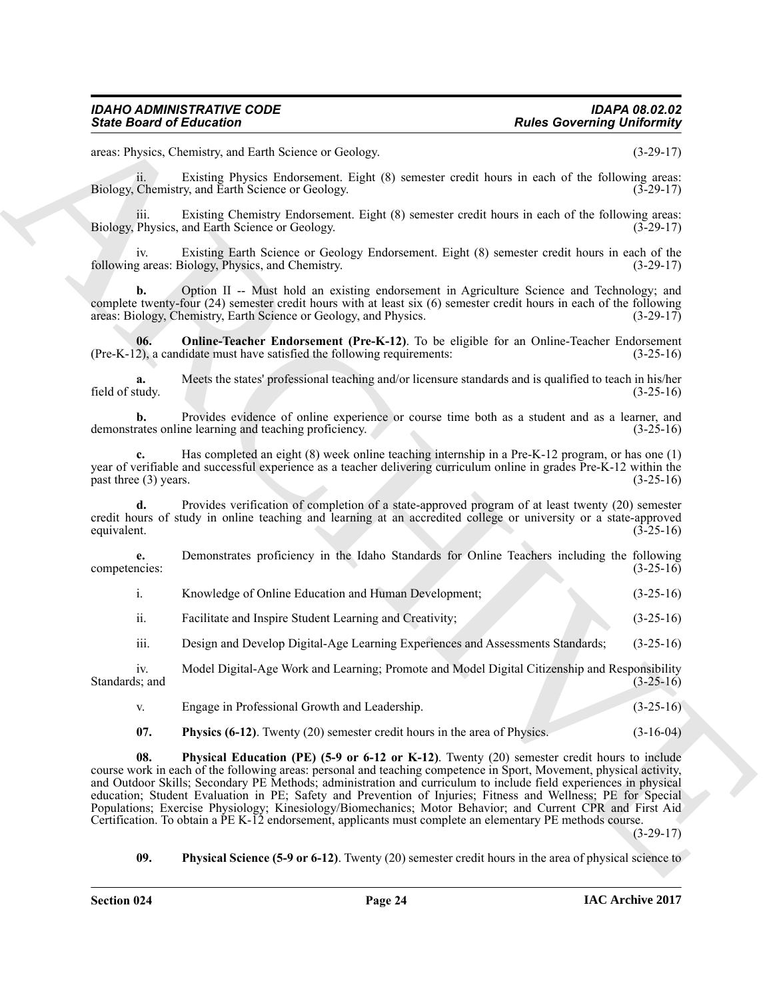areas: Physics, Chemistry, and Earth Science or Geology. (3-29-17)

ii. Existing Physics Endorsement. Eight (8) semester credit hours in each of the following areas: Biology, Chemistry, and Earth Science or Geology. (3-29-17)

iii. Existing Chemistry Endorsement. Eight (8) semester credit hours in each of the following areas:<br>Physics, and Earth Science or Geology. (3-29-17) Biology, Physics, and Earth Science or Geology.

iv. Existing Earth Science or Geology Endorsement. Eight (8) semester credit hours in each of the following areas: Biology, Physics, and Chemistry. (3-29-17)

**b.** Option II -- Must hold an existing endorsement in Agriculture Science and Technology; and complete twenty-four (24) semester credit hours with at least six (6) semester credit hours in each of the following areas: Biology, Chemistry, Earth Science or Geology, and Physics. (3-29-17)

<span id="page-23-0"></span>**06. Online-Teacher Endorsement (Pre-K-12)**. To be eligible for an Online-Teacher Endorsement 2), a candidate must have satisfied the following requirements:  $(3-25-16)$  $(Pre-K-12)$ , a candidate must have satisfied the following requirements:

**a.** Meets the states' professional teaching and/or licensure standards and is qualified to teach in his/her field of study.  $(3-25-16)$ 

**b.** Provides evidence of online experience or course time both as a student and as a learner, and rates online learning and teaching proficiency. (3-25-16) demonstrates online learning and teaching proficiency.

**c.** Has completed an eight (8) week online teaching internship in a Pre-K-12 program, or has one (1) year of verifiable and successful experience as a teacher delivering curriculum online in grades Pre-K-12 within the  $\text{past three (3) years.}$  (3-25-16)

**d.** Provides verification of completion of a state-approved program of at least twenty (20) semester credit hours of study in online teaching and learning at an accredited college or university or a state-approved equivalent.  $(3-25-16)$ 

**e.** Demonstrates proficiency in the Idaho Standards for Online Teachers including the following competencies: (3-25-16)

| Knowledge of Online Education and Human Development; |  | $(3-25-16)$ |
|------------------------------------------------------|--|-------------|
|                                                      |  |             |

ii. Facilitate and Inspire Student Learning and Creativity; (3-25-16)

iii. Design and Develop Digital-Age Learning Experiences and Assessments Standards; (3-25-16)

iv. Model Digital-Age Work and Learning; Promote and Model Digital Citizenship and Responsibility Standards; and (3-25-16) (3-25-16)

- v. Engage in Professional Growth and Leadership. (3-25-16)
- <span id="page-23-3"></span><span id="page-23-1"></span>**07. Physics (6-12)**. Twenty (20) semester credit hours in the area of Physics. (3-16-04)

Since Board of Ecliptorion<br>
The summatrix states of the summatrix particles and the summatrix states of the summatrix states of the summatrix states of the summatrix states of the summatrix states of the summatrix states **08. Physical Education (PE) (5-9 or 6-12 or K-12)**. Twenty (20) semester credit hours to include course work in each of the following areas: personal and teaching competence in Sport, Movement, physical activity, and Outdoor Skills; Secondary PE Methods; administration and curriculum to include field experiences in physical education; Student Evaluation in PE; Safety and Prevention of Injuries; Fitness and Wellness; PE for Special Populations; Exercise Physiology; Kinesiology/Biomechanics; Motor Behavior; and Current CPR and First Aid Certification. To obtain a PE K-12 endorsement, applicants must complete an elementary PE methods course.

(3-29-17)

<span id="page-23-2"></span>**09. Physical Science (5-9 or 6-12)**. Twenty (20) semester credit hours in the area of physical science to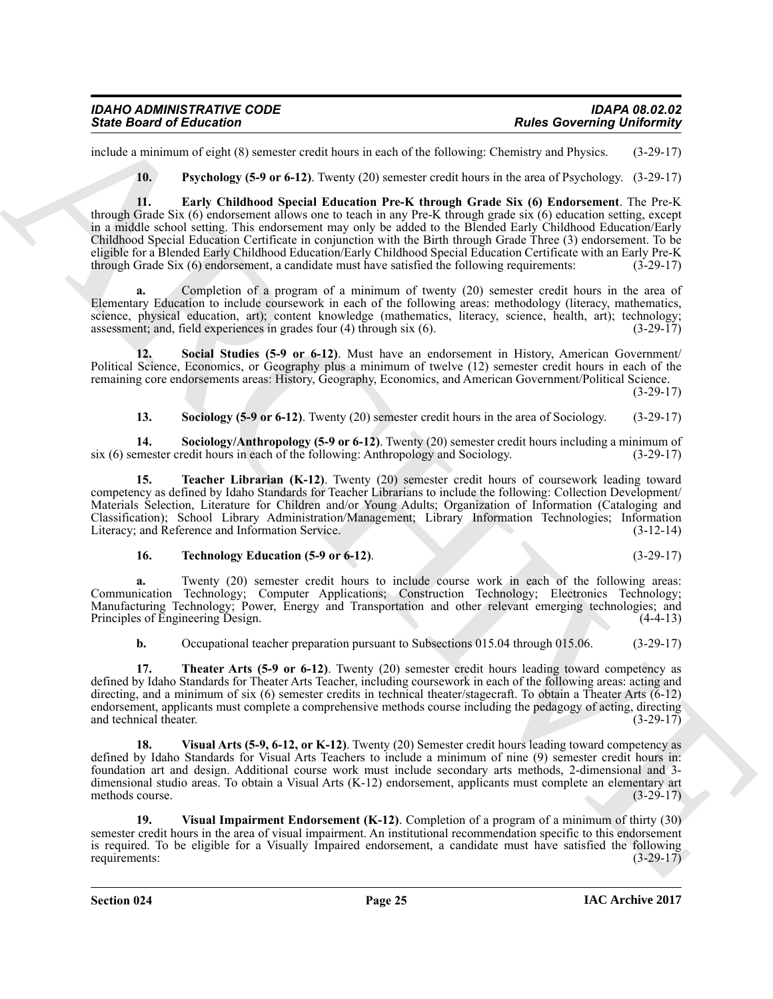include a minimum of eight (8) semester credit hours in each of the following: Chemistry and Physics. (3-29-17)

<span id="page-24-1"></span><span id="page-24-0"></span>**10. Psychology (5-9 or 6-12)**. Twenty (20) semester credit hours in the area of Psychology. (3-29-17)

Since Board of Education<br>
The Universe Contribute of the State Contribute of the State Contribute of the State Contribute of the State Contribute of the State Contribute of the State Contribute of the State Contribute of **11. Early Childhood Special Education Pre-K through Grade Six (6) Endorsement**. The Pre-K through Grade Six (6) endorsement allows one to teach in any Pre-K through grade six (6) education setting, except in a middle school setting. This endorsement may only be added to the Blended Early Childhood Education/Early Childhood Special Education Certificate in conjunction with the Birth through Grade Three (3) endorsement. To be eligible for a Blended Early Childhood Education/Early Childhood Special Education Certificate with an Early Pre-K through Grade Six (6) endorsement, a candidate must have satisfied the following requirements: (3-29-17)

**a.** Completion of a program of a minimum of twenty (20) semester credit hours in the area of Elementary Education to include coursework in each of the following areas: methodology (literacy, mathematics, science, physical education, art); content knowledge (mathematics, literacy, science, health, art); technology; assessment; and, field experiences in grades four (4) through six (6). (3-29-17)

**12. Social Studies (5-9 or 6-12)**. Must have an endorsement in History, American Government/ Political Science, Economics, or Geography plus a minimum of twelve (12) semester credit hours in each of the remaining core endorsements areas: History, Geography, Economics, and American Government/Political Science.  $(3-29-17)$ 

<span id="page-24-5"></span><span id="page-24-4"></span><span id="page-24-3"></span><span id="page-24-2"></span>**13. Sociology (5-9 or 6-12)**. Twenty (20) semester credit hours in the area of Sociology. (3-29-17)

**14. Sociology/Anthropology (5-9 or 6-12)**. Twenty (20) semester credit hours including a minimum of six (6) semester credit hours in each of the following: Anthropology and Sociology. (3-29-17)

**15. Teacher Librarian (K-12)**. Twenty (20) semester credit hours of coursework leading toward competency as defined by Idaho Standards for Teacher Librarians to include the following: Collection Development/ Materials Selection, Literature for Children and/or Young Adults; Organization of Information (Cataloging and Classification); School Library Administration/Management; Library Information Technologies; Information Literacy; and Reference and Information Service.

#### <span id="page-24-6"></span>**16. Technology Education (5-9 or 6-12)**. (3-29-17)

**a.** Twenty (20) semester credit hours to include course work in each of the following areas: Communication Technology; Computer Applications; Construction Technology; Electronics Technology; Manufacturing Technology; Power, Energy and Transportation and other relevant emerging technologies; and Principles of Engineering Design. (4-4-13) Principles of Engineering Design.

<span id="page-24-7"></span>**b.** Occupational teacher preparation pursuant to Subsections 015.04 through 015.06. (3-29-17)

**17. Theater Arts (5-9 or 6-12)**. Twenty (20) semester credit hours leading toward competency as defined by Idaho Standards for Theater Arts Teacher, including coursework in each of the following areas: acting and directing, and a minimum of six (6) semester credits in technical theater/stagecraft. To obtain a Theater Arts (6-12) endorsement, applicants must complete a comprehensive methods course including the pedagogy of acting, directing and technical theater. (3-29-17) and technical theater.

<span id="page-24-8"></span>**18. Visual Arts (5-9, 6-12, or K-12)**. Twenty (20) Semester credit hours leading toward competency as defined by Idaho Standards for Visual Arts Teachers to include a minimum of nine (9) semester credit hours in: foundation art and design. Additional course work must include secondary arts methods, 2-dimensional and 3 dimensional studio areas. To obtain a Visual Arts (K-12) endorsement, applicants must complete an elementary art methods course. (3-29-17)

<span id="page-24-9"></span>**19. Visual Impairment Endorsement (K-12)**. Completion of a program of a minimum of thirty (30) semester credit hours in the area of visual impairment. An institutional recommendation specific to this endorsement is required. To be eligible for a Visually Impaired endorsement, a candidate must have satisfied the following requirements: (3-29-17)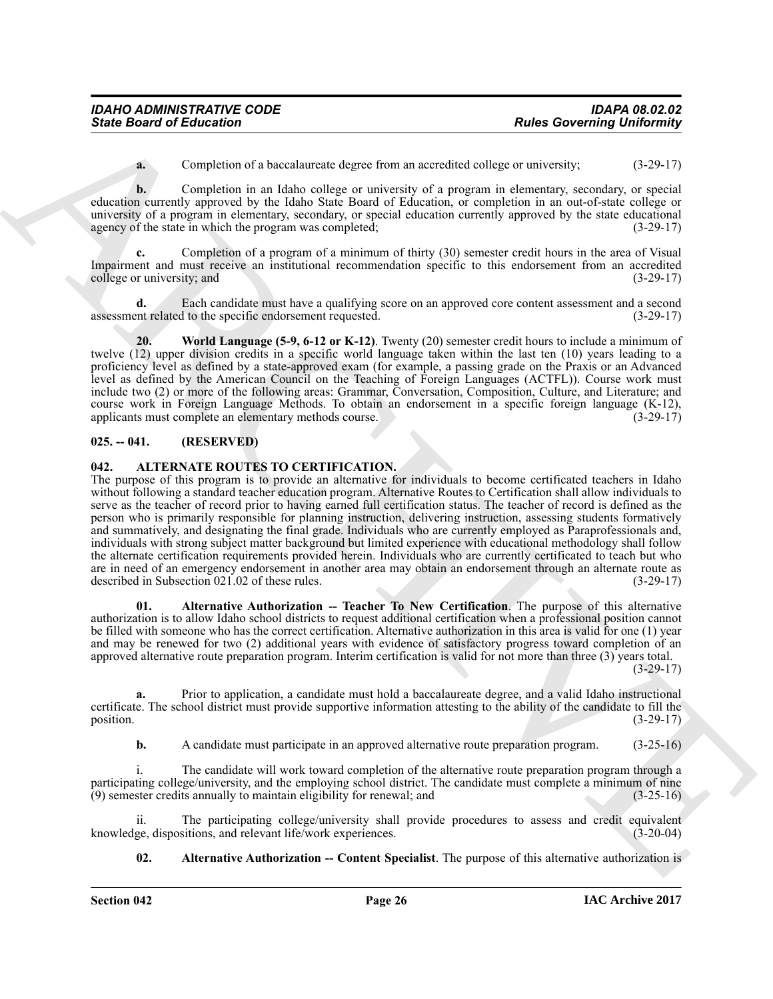**a.** Completion of a baccalaureate degree from an accredited college or university; (3-29-17)

**b.** Completion in an Idaho college or university of a program in elementary, secondary, or special education currently approved by the Idaho State Board of Education, or completion in an out-of-state college or university of a program in elementary, secondary, or special education currently approved by the state educational agency of the state in which the program was completed: (3-29-17) agency of the state in which the program was completed;

**c.** Completion of a program of a minimum of thirty (30) semester credit hours in the area of Visual Impairment and must receive an institutional recommendation specific to this endorsement from an accredited college or university; and (3-29-17)

**d.** Each candidate must have a qualifying score on an approved core content assessment and a second assessment related to the specific endorsement requested. (3-29-17)

<span id="page-25-5"></span>**20. World Language (5-9, 6-12 or K-12)**. Twenty (20) semester credit hours to include a minimum of twelve (12) upper division credits in a specific world language taken within the last ten (10) years leading to a proficiency level as defined by a state-approved exam (for example, a passing grade on the Praxis or an Advanced level as defined by the American Council on the Teaching of Foreign Languages (ACTFL)). Course work must include two (2) or more of the following areas: Grammar, Conversation, Composition, Culture, and Literature; and course work in Foreign Language Methods. To obtain an endorsement in a specific foreign language (K-12), applicants must complete an elementary methods course. (3-29-17) applicants must complete an elementary methods course.

#### <span id="page-25-0"></span>**025. -- 041. (RESERVED)**

#### <span id="page-25-2"></span><span id="page-25-1"></span>**042. ALTERNATE ROUTES TO CERTIFICATION.**

Since Board of Enterston of the University equality in the subsection of the Soverning University of the Soverning University of the Soverning University of the Soverning Control of the Soverning Control of the Soverning The purpose of this program is to provide an alternative for individuals to become certificated teachers in Idaho without following a standard teacher education program. Alternative Routes to Certification shall allow individuals to serve as the teacher of record prior to having earned full certification status. The teacher of record is defined as the person who is primarily responsible for planning instruction, delivering instruction, assessing students formatively and summatively, and designating the final grade. Individuals who are currently employed as Paraprofessionals and, individuals with strong subject matter background but limited experience with educational methodology shall follow the alternate certification requirements provided herein. Individuals who are currently certificated to teach but who are in need of an emergency endorsement in another area may obtain an endorsement through an alternate route as described in Subsection 021.02 of these rules. (3-29-17) described in Subsection 021.02 of these rules.

<span id="page-25-4"></span>**01. Alternative Authorization -- Teacher To New Certification**. The purpose of this alternative authorization is to allow Idaho school districts to request additional certification when a professional position cannot be filled with someone who has the correct certification. Alternative authorization in this area is valid for one (1) year and may be renewed for two (2) additional years with evidence of satisfactory progress toward completion of an approved alternative route preparation program. Interim certification is valid for not more than three (3) years total. (3-29-17)

**a.** Prior to application, a candidate must hold a baccalaureate degree, and a valid Idaho instructional certificate. The school district must provide supportive information attesting to the ability of the candidate to fill the position.  $(3-29-17)$ 

**b.** A candidate must participate in an approved alternative route preparation program. (3-25-16)

i. The candidate will work toward completion of the alternative route preparation program through a participating college/university, and the employing school district. The candidate must complete a minimum of nine (9) semester credits annually to maintain eligibility for renewal; and (3-25-16)

ii. The participating college/university shall provide procedures to assess and credit equivalent ge, dispositions, and relevant life/work experiences. (3-20-04) knowledge, dispositions, and relevant life/work experiences.

<span id="page-25-3"></span>**02.** Alternative Authorization -- Content Specialist. The purpose of this alternative authorization is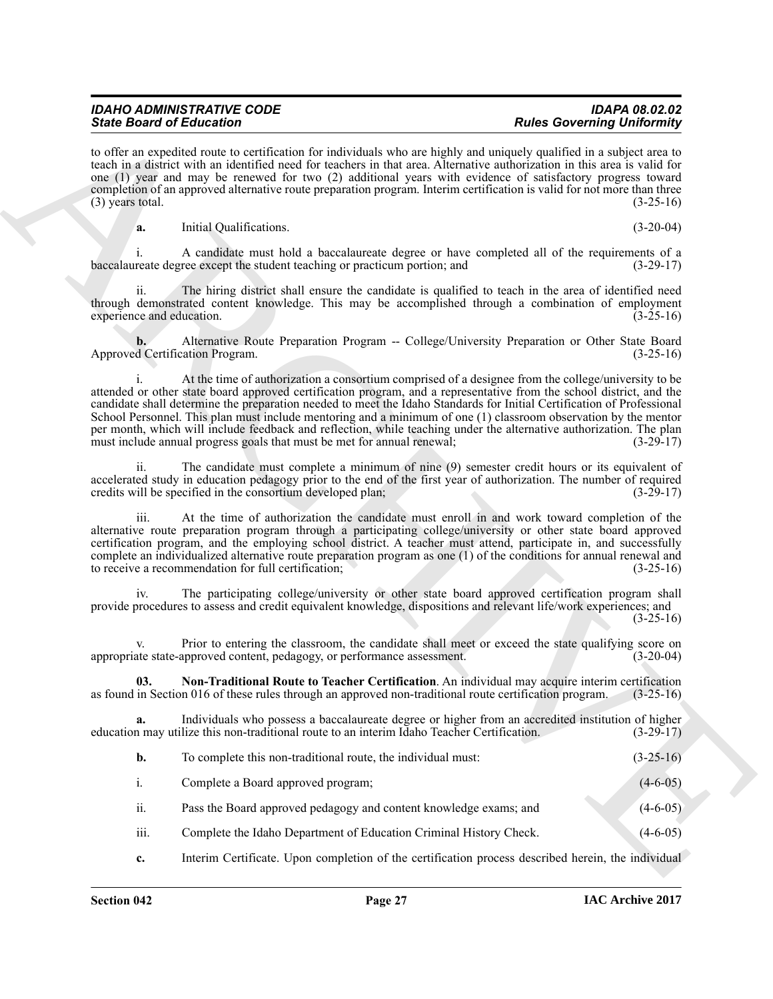| <b>IDAHO ADMINISTRATIVE CODE</b> |  |
|----------------------------------|--|
| <b>State Board of Education</b>  |  |

to offer an expedited route to certification for individuals who are highly and uniquely qualified in a subject area to teach in a district with an identified need for teachers in that area. Alternative authorization in this area is valid for one (1) year and may be renewed for two (2) additional years with evidence of satisfactory progress toward completion of an approved alternative route preparation program. Interim certification is valid for not more than three  $(3)$  years total.  $(3-25-16)$ 

**a.** Initial Qualifications. (3-20-04)

i. A candidate must hold a baccalaureate degree or have completed all of the requirements of a baccalaureate degree except the student teaching or practicum portion; and (3-29-17)

The hiring district shall ensure the candidate is qualified to teach in the area of identified need through demonstrated content knowledge. This may be accomplished through a combination of employment experience and education. (3-25-16)

**b.** Alternative Route Preparation Program -- College/University Preparation or Other State Board d Certification Program. (3-25-16) Approved Certification Program.

Sink Bookholm of Editorial contents in the following for the bookholm shall convention of the state of the state of the state of the state of the state of the state of the state of the state of the state of the state of t i. At the time of authorization a consortium comprised of a designee from the college/university to be attended or other state board approved certification program, and a representative from the school district, and the candidate shall determine the preparation needed to meet the Idaho Standards for Initial Certification of Professional School Personnel. This plan must include mentoring and a minimum of one (1) classroom observation by the mentor per month, which will include feedback and reflection, while teaching under the alternative authorization. The plan must include annual progress goals that must be met for annual renewal; (3-29-17)

ii. The candidate must complete a minimum of nine (9) semester credit hours or its equivalent of accelerated study in education pedagogy prior to the end of the first year of authorization. The number of required credits will be specified in the consortium developed plan; (3-29-17) credits will be specified in the consortium developed plan;

iii. At the time of authorization the candidate must enroll in and work toward completion of the alternative route preparation program through a participating college/university or other state board approved certification program, and the employing school district. A teacher must attend, participate in, and successfully complete an individualized alternative route preparation program as one (1) of the conditions for annual renewal and to receive a recommendation for full certification; (3-25-16)

iv. The participating college/university or other state board approved certification program shall provide procedures to assess and credit equivalent knowledge, dispositions and relevant life/work experiences; and  $(3-25-16)$ 

v. Prior to entering the classroom, the candidate shall meet or exceed the state qualifying score on version-<br>(3-20-04) (3-20-04) appropriate state-approved content, pedagogy, or performance assessment.

<span id="page-26-0"></span>**03.** Non-Traditional Route to Teacher Certification. An individual may acquire interim certification in Section 016 of these rules through an approved non-traditional route certification program. (3-25-16) as found in Section 016 of these rules through an approved non-traditional route certification program.

**a.** Individuals who possess a baccalaureate degree or higher from an accredited institution of higher education may utilize this non-traditional route to an interim Idaho Teacher Certification. (3-29-17)

| b. | To complete this non-traditional route, the individual must: | $(3-25-16)$ |
|----|--------------------------------------------------------------|-------------|
|----|--------------------------------------------------------------|-------------|

i. Complete a Board approved program; (4-6-05)

ii. Pass the Board approved pedagogy and content knowledge exams; and (4-6-05)

- iii. Complete the Idaho Department of Education Criminal History Check. (4-6-05)
- **c.** Interim Certificate. Upon completion of the certification process described herein, the individual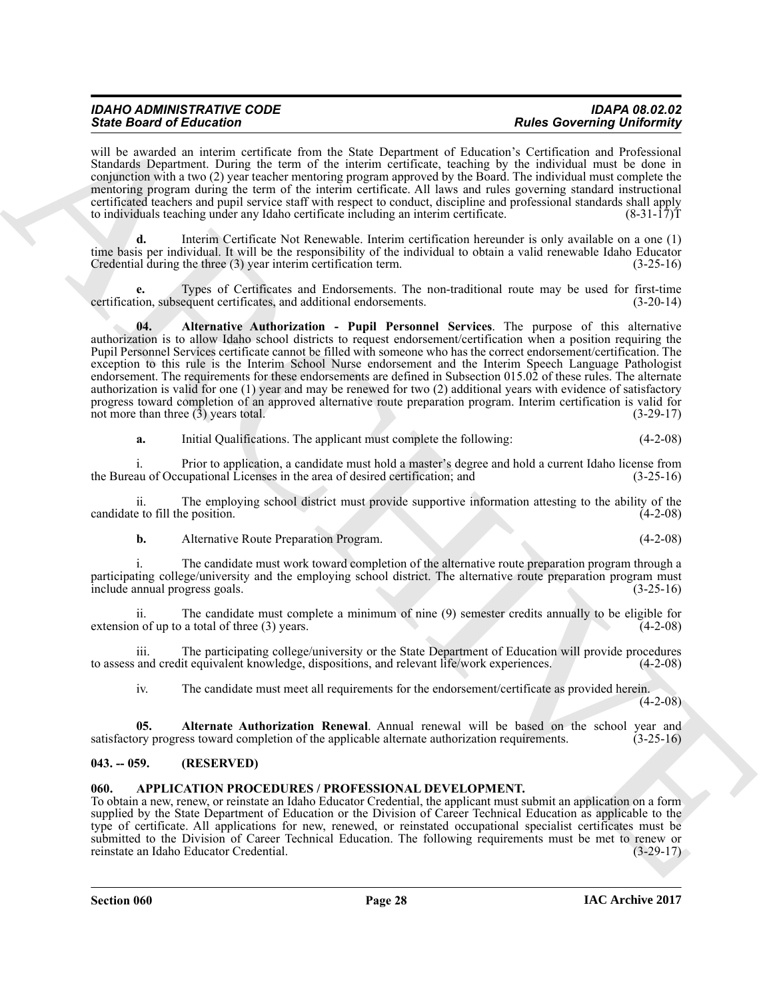| <b>IDAHO ADMINISTRATIVE CODE</b> | <b>IDAPA 08.02.02</b>             |
|----------------------------------|-----------------------------------|
| <b>State Board of Education</b>  | <b>Rules Governing Uniformity</b> |

will be awarded an interim certificate from the State Department of Education's Certification and Professional Standards Department. During the term of the interim certificate, teaching by the individual must be done in conjunction with a two (2) year teacher mentoring program approved by the Board. The individual must complete the mentoring program during the term of the interim certificate. All laws and rules governing standard instructional certificated teachers and pupil service staff with respect to conduct, discipline and professional standards shall apply<br>to individuals teaching under any Idaho certificate including an interim certificate. (8-31-17)T to individuals teaching under any Idaho certificate including an interim certificate.

**d.** Interim Certificate Not Renewable. Interim certification hereunder is only available on a one (1) time basis per individual. It will be the responsibility of the individual to obtain a valid renewable Idaho Educator Credential during the three (3) year interim certification term. (3-25-16)

<span id="page-27-3"></span>**e.** Types of Certificates and Endorsements. The non-traditional route may be used for first-time certification, subsequent certificates, and additional endorsements. (3-20-14)

Sink Board of Education 1.1 The contribute from the Sink Depression of March 200 Minimum of the sink of the sink of the sink of the sink of the sink of the sink of the sink of the sink of the sink of the sink of the sink **04. Alternative Authorization - Pupil Personnel Services**. The purpose of this alternative authorization is to allow Idaho school districts to request endorsement/certification when a position requiring the Pupil Personnel Services certificate cannot be filled with someone who has the correct endorsement/certification. The exception to this rule is the Interim School Nurse endorsement and the Interim Speech Language Pathologist endorsement. The requirements for these endorsements are defined in Subsection 015.02 of these rules. The alternate authorization is valid for one (1) year and may be renewed for two (2) additional years with evidence of satisfactory progress toward completion of an approved alternative route preparation program. Interim certification is valid for not more than three (3) years total. (3-29-17) not more than three  $(\hat{3})$  years total.

| a. |  | Initial Qualifications. The applicant must complete the following: | $(4-2-08)$ |
|----|--|--------------------------------------------------------------------|------------|
|    |  |                                                                    |            |

i. Prior to application, a candidate must hold a master's degree and hold a current Idaho license from the Bureau of Occupational Licenses in the area of desired certification; and

ii. The employing school district must provide supportive information attesting to the ability of the candidate to fill the position. (4-2-08)

**b.** Alternative Route Preparation Program. (4-2-08)

i. The candidate must work toward completion of the alternative route preparation program through a participating college/university and the employing school district. The alternative route preparation program must<br>(3-25-16) (3-25-16) include annual progress goals.

ii. The candidate must complete a minimum of nine (9) semester credits annually to be eligible for extension of up to a total of three  $(3)$  years.  $(4-2-08)$ 

iii. The participating college/university or the State Department of Education will provide procedures and credit equivalent knowledge, dispositions, and relevant life/work experiences. (4-2-08) to assess and credit equivalent knowledge, dispositions, and relevant life/work experiences.

<span id="page-27-2"></span>iv. The candidate must meet all requirements for the endorsement/certificate as provided herein.

(4-2-08)

**05. Alternate Authorization Renewal**. Annual renewal will be based on the school year and satisfactory progress toward completion of the applicable alternate authorization requirements. (3-25-16)

#### <span id="page-27-0"></span>**043. -- 059. (RESERVED)**

#### <span id="page-27-4"></span><span id="page-27-1"></span>**060. APPLICATION PROCEDURES / PROFESSIONAL DEVELOPMENT.**

To obtain a new, renew, or reinstate an Idaho Educator Credential, the applicant must submit an application on a form supplied by the State Department of Education or the Division of Career Technical Education as applicable to the type of certificate. All applications for new, renewed, or reinstated occupational specialist certificates must be submitted to the Division of Career Technical Education. The following requirements must be met to renew or reinstate an Idaho Educator Credential. (3-29-17)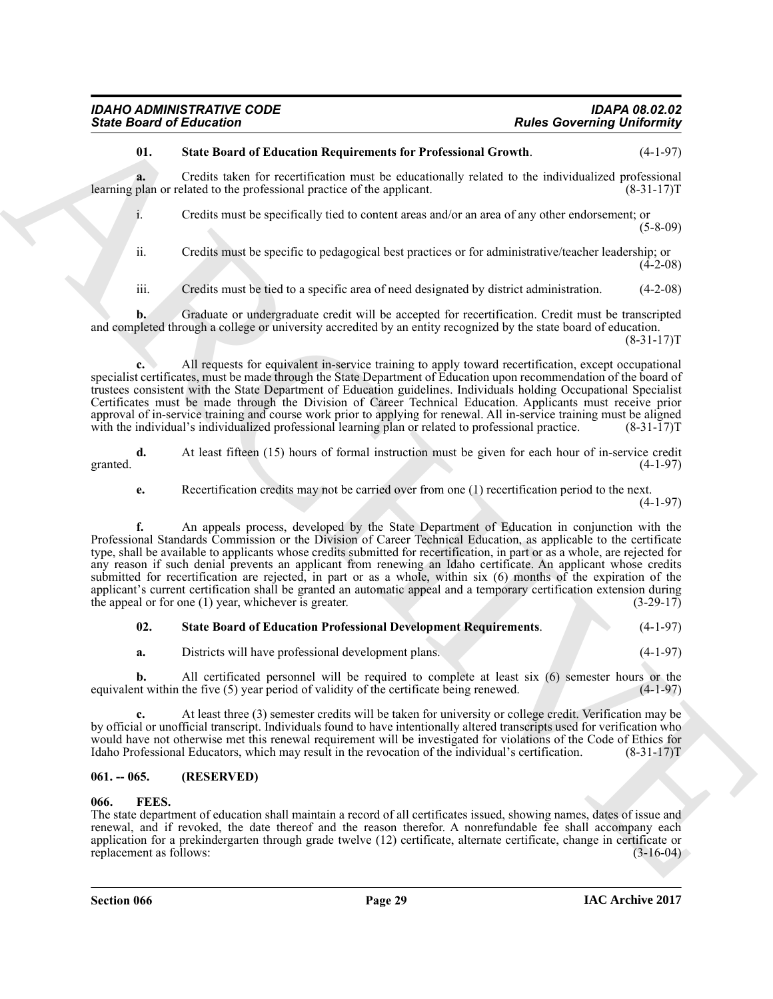#### <span id="page-28-3"></span>**01. State Board of Education Requirements for Professional Growth**. (4-1-97)

**a.** Credits taken for recertification must be educationally related to the individualized professional learning plan or related to the professional practice of the applicant. (8-31-17)T

i. Credits must be specifically tied to content areas and/or an area of any other endorsement; or (5-8-09)

ii. Credits must be specific to pedagogical best practices or for administrative/teacher leadership; or (4-2-08)

iii. Credits must be tied to a specific area of need designated by district administration. (4-2-08)

**b.** Graduate or undergraduate credit will be accepted for recertification. Credit must be transcripted and completed through a college or university accredited by an entity recognized by the state board of education.

 $(8-31-17)T$ 

**c.** All requests for equivalent in-service training to apply toward recertification, except occupational specialist certificates, must be made through the State Department of Education upon recommendation of the board of trustees consistent with the State Department of Education guidelines. Individuals holding Occupational Specialist Certificates must be made through the Division of Career Technical Education. Applicants must receive prior approval of in-service training and course work prior to applying for renewal. All in-service training must be aligned with the individual's individualized professional learning plan or related to professional practice. (8-31-17)T

**d.** At least fifteen (15) hours of formal instruction must be given for each hour of in-service credit granted.  $(4-1-97)$ 

**e.** Recertification credits may not be carried over from one (1) recertification period to the next.

(4-1-97)

Since Board of Eclication 1<sup>2</sup> and the Characteristics for Petersians Relationship Relationship in the Eclication of the U-1201<br>
13 and the Board of Eclication International Eclication and the state of the U-1201<br>
14 Char **f.** An appeals process, developed by the State Department of Education in conjunction with the Professional Standards Commission or the Division of Career Technical Education, as applicable to the certificate type, shall be available to applicants whose credits submitted for recertification, in part or as a whole, are rejected for any reason if such denial prevents an applicant from renewing an Idaho certificate. An applicant whose credits submitted for recertification are rejected, in part or as a whole, within six (6) months of the expiration of the applicant's current certification shall be granted an automatic appeal and a temporary certification extension during the appeal or for one  $(1)$  year, whichever is greater.  $(3-29-17)$ the appeal or for one  $(1)$  year, whichever is greater.

<span id="page-28-2"></span>

| 02. | <b>State Board of Education Professional Development Requirements.</b> |  | $(4-1-97)$ |
|-----|------------------------------------------------------------------------|--|------------|
|-----|------------------------------------------------------------------------|--|------------|

**a.** Districts will have professional development plans. (4-1-97)

**b.** All certificated personnel will be required to complete at least six (6) semester hours or the equivalent within the five (5) year period of validity of the certificate being renewed. (4-1-97)

**c.** At least three (3) semester credits will be taken for university or college credit. Verification may be by official or unofficial transcript. Individuals found to have intentionally altered transcripts used for verification who would have not otherwise met this renewal requirement will be investigated for violations of the Code of Ethics for Idaho Professional Educators, which may result in the revocation of the individual's certification. (8-31-17)T

#### <span id="page-28-0"></span>**061. -- 065. (RESERVED)**

#### <span id="page-28-4"></span><span id="page-28-1"></span>**066. FEES.**

The state department of education shall maintain a record of all certificates issued, showing names, dates of issue and renewal, and if revoked, the date thereof and the reason therefor. A nonrefundable fee shall accompany each application for a prekindergarten through grade twelve (12) certificate, alternate certificate, change in certificate or replacement as follows:  $(3-16-04)$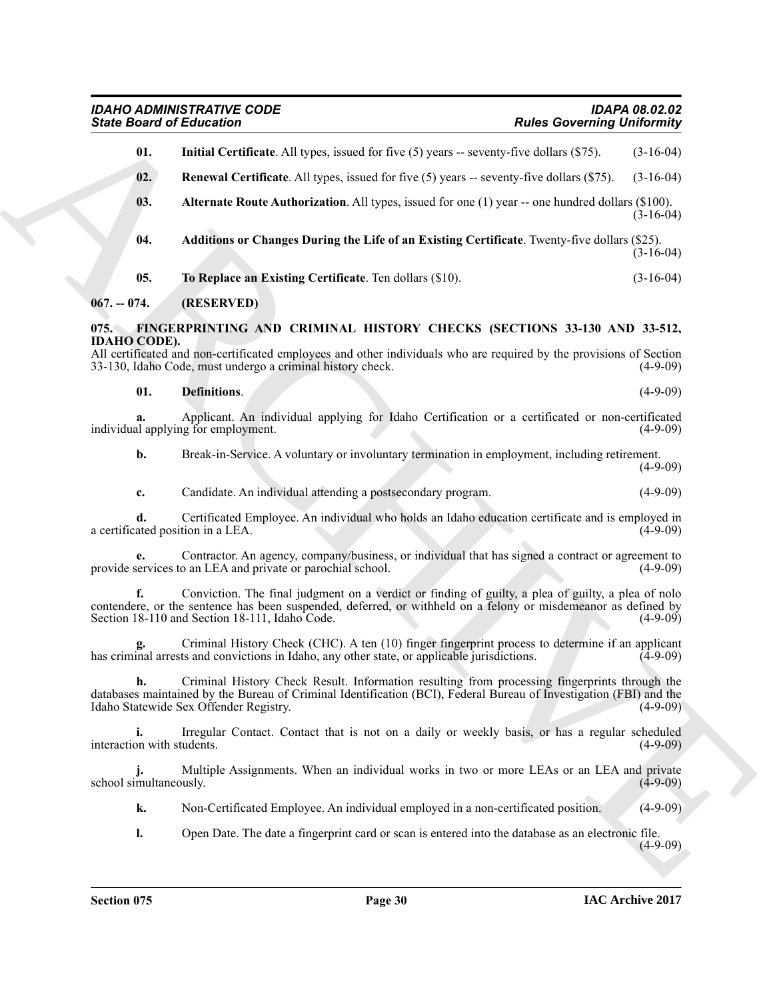<span id="page-29-8"></span><span id="page-29-7"></span><span id="page-29-6"></span><span id="page-29-5"></span><span id="page-29-4"></span><span id="page-29-3"></span><span id="page-29-2"></span><span id="page-29-1"></span><span id="page-29-0"></span>

|                             | <b>State Board of Education</b>                                                                                                                                                                                                                                        | <b>Rules Governing Uniformity</b> |             |
|-----------------------------|------------------------------------------------------------------------------------------------------------------------------------------------------------------------------------------------------------------------------------------------------------------------|-----------------------------------|-------------|
| 01.                         | <b>Initial Certificate.</b> All types, issued for five $(5)$ years -- seventy-five dollars $(\$75)$ .                                                                                                                                                                  |                                   | $(3-16-04)$ |
| 02.                         | <b>Renewal Certificate.</b> All types, issued for five (5) years -- seventy-five dollars (\$75).                                                                                                                                                                       |                                   | $(3-16-04)$ |
| 03.                         | Alternate Route Authorization. All types, issued for one (1) year -- one hundred dollars (\$100).                                                                                                                                                                      |                                   | $(3-16-04)$ |
| 04.                         | Additions or Changes During the Life of an Existing Certificate. Twenty-five dollars (\$25).                                                                                                                                                                           |                                   | $(3-16-04)$ |
| 05.                         | To Replace an Existing Certificate. Ten dollars (\$10).                                                                                                                                                                                                                |                                   | $(3-16-04)$ |
| $067. - 074.$               | (RESERVED)                                                                                                                                                                                                                                                             |                                   |             |
| 075.<br><b>IDAHO CODE).</b> | FINGERPRINTING AND CRIMINAL HISTORY CHECKS (SECTIONS 33-130 AND 33-512,<br>All certificated and non-certificated employees and other individuals who are required by the provisions of Section<br>33-130, Idaho Code, must undergo a criminal history check.           |                                   | $(4-9-09)$  |
| 01.                         | <b>Definitions.</b>                                                                                                                                                                                                                                                    |                                   | $(4-9-09)$  |
|                             | Applicant. An individual applying for Idaho Certification or a certificated or non-certificated<br>individual applying for employment.                                                                                                                                 |                                   | $(4-9-09)$  |
| b.                          | Break-in-Service. A voluntary or involuntary termination in employment, including retirement.                                                                                                                                                                          |                                   | $(4-9-09)$  |
| c.                          | Candidate. An individual attending a postsecondary program.                                                                                                                                                                                                            |                                   | $(4-9-09)$  |
| d.                          | Certificated Employee. An individual who holds an Idaho education certificate and is employed in<br>a certificated position in a LEA.                                                                                                                                  |                                   | $(4-9-09)$  |
| е.                          | Contractor. An agency, company/business, or individual that has signed a contract or agreement to<br>provide services to an LEA and private or parochial school.                                                                                                       |                                   | $(4-9-09)$  |
|                             | Conviction. The final judgment on a verdict or finding of guilty, a plea of guilty, a plea of nolo<br>contendere, or the sentence has been suspended, deferred, or withheld on a felony or misdemeanor as defined by<br>Section 18-110 and Section 18-111, Idaho Code. |                                   | $(4-9-09)$  |
|                             | Criminal History Check (CHC). A ten (10) finger fingerprint process to determine if an applicant<br>has criminal arrests and convictions in Idaho, any other state, or applicable jurisdictions.                                                                       |                                   | $(4-9-09)$  |
|                             | Criminal History Check Result. Information resulting from processing fingerprints through the<br>databases maintained by the Bureau of Criminal Identification (BCI), Federal Bureau of Investigation (FBI) and the<br>Idaho Statewide Sex Offender Registry.          |                                   | $(4-9-09)$  |
| interaction with students.  | Irregular Contact. Contact that is not on a daily or weekly basis, or has a regular scheduled                                                                                                                                                                          |                                   | $(4-9-09)$  |
| school simultaneously.      | Multiple Assignments. When an individual works in two or more LEAs or an LEA and private                                                                                                                                                                               |                                   | $(4-9-09)$  |
| k.                          | Non-Certificated Employee. An individual employed in a non-certificated position.                                                                                                                                                                                      |                                   | $(4-9-09)$  |
| 1.                          | Open Date. The date a fingerprint card or scan is entered into the database as an electronic file.                                                                                                                                                                     |                                   | $(4-9-09)$  |
|                             |                                                                                                                                                                                                                                                                        |                                   |             |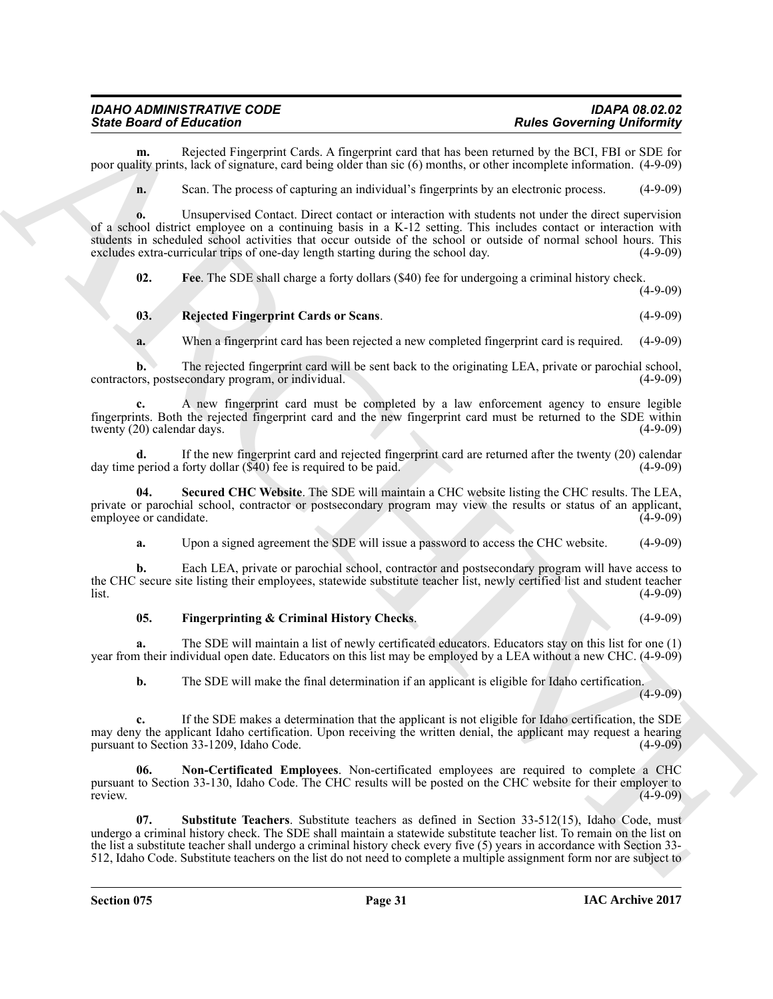**m.** Rejected Fingerprint Cards. A fingerprint card that has been returned by the BCI, FBI or SDE for poor quality prints, lack of signature, card being older than sic (6) months, or other incomplete information. (4-9-09)

**n.** Scan. The process of capturing an individual's fingerprints by an electronic process. (4-9-09)

Sinte Board of Education<br>
Sinte Board Panceman Creb, A European and Junk to see a Reads. One of the ULY 1998 per<br>
particular and Creation and Creation and Creation and Creation and Creation and Creation and Creation and C **o.** Unsupervised Contact. Direct contact or interaction with students not under the direct supervision of a school district employee on a continuing basis in a K-12 setting. This includes contact or interaction with students in scheduled school activities that occur outside of the school or outside of normal school hours. This excludes extra-curricular trips of one-day length starting during the school day. (4-9-09)

<span id="page-30-0"></span>**02. Fee**. The SDE shall charge a forty dollars (\$40) fee for undergoing a criminal history check. (4-9-09)

#### <span id="page-30-3"></span>**03. Rejected Fingerprint Cards or Scans**. (4-9-09)

**a.** When a fingerprint card has been rejected a new completed fingerprint card is required. (4-9-09)

**b.** The rejected fingerprint card will be sent back to the originating LEA, private or parochial school, contractors, postsecondary program, or individual. (4-9-09)

**c.** A new fingerprint card must be completed by a law enforcement agency to ensure legible fingerprints. Both the rejected fingerprint card and the new fingerprint card must be returned to the SDE within twenty  $(20)$  calendar days.

**d.** If the new fingerprint card and rejected fingerprint card are returned after the twenty (20) calendar period a forty dollar (\$40) fee is required to be paid. (4-9-09) day time period a forty dollar  $(\overline{$}40)$  fee is required to be paid.

**04. Secured CHC Website**. The SDE will maintain a CHC website listing the CHC results. The LEA, private or parochial school, contractor or postsecondary program may view the results or status of an applicant, employee or candidate. (4-9-09)

<span id="page-30-4"></span>**a.** Upon a signed agreement the SDE will issue a password to access the CHC website. (4-9-09)

**b.** Each LEA, private or parochial school, contractor and postsecondary program will have access to the CHC secure site listing their employees, statewide substitute teacher list, newly certified list and student teacher  $\frac{1}{100}$  (4-9-09)

#### <span id="page-30-1"></span>**05. Fingerprinting & Criminal History Checks**. (4-9-09)

**a.** The SDE will maintain a list of newly certificated educators. Educators stay on this list for one (1) year from their individual open date. Educators on this list may be employed by a LEA without a new CHC. (4-9-09)

<span id="page-30-2"></span>**b.** The SDE will make the final determination if an applicant is eligible for Idaho certification.

 $(4-9-09)$ 

**c.** If the SDE makes a determination that the applicant is not eligible for Idaho certification, the SDE may deny the applicant Idaho certification. Upon receiving the written denial, the applicant may request a hearing pursuant to Section 33-1209, Idaho Code. (4-9-09)

**06. Non-Certificated Employees**. Non-certificated employees are required to complete a CHC pursuant to Section 33-130, Idaho Code. The CHC results will be posted on the CHC website for their employer to review. **CALCER 1999** (4-9-09)

<span id="page-30-5"></span>**07. Substitute Teachers**. Substitute teachers as defined in Section 33-512(15), Idaho Code, must undergo a criminal history check. The SDE shall maintain a statewide substitute teacher list. To remain on the list on the list a substitute teacher shall undergo a criminal history check every five (5) years in accordance with Section 33- 512, Idaho Code. Substitute teachers on the list do not need to complete a multiple assignment form nor are subject to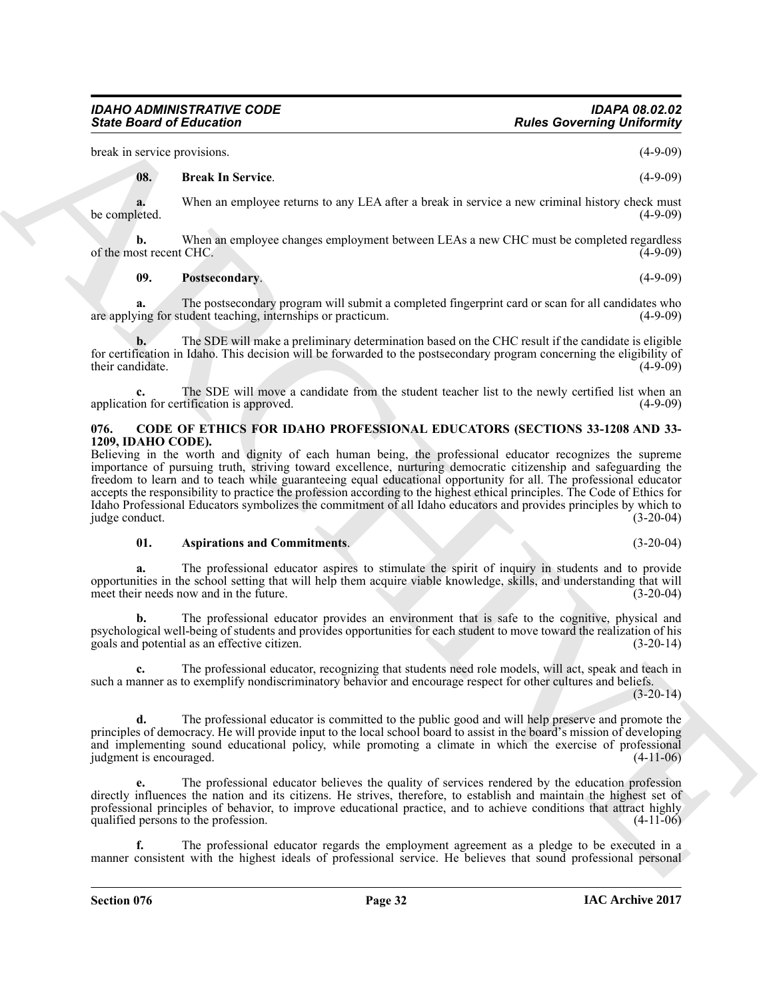## *IDAHO ADMINISTRATIVE CODE IDAPA 08.02.02*

break in service provisions. (4-9-09)

#### <span id="page-31-3"></span>**08. Break In Service**. (4-9-09)

**a.** When an employee returns to any LEA after a break in service a new criminal history check must be completed.  $(4-9-09)$ 

**b.** When an employee changes employment between LEAs a new CHC must be completed regardless of the most recent CHC.  $(4-9-09)$ 

#### <span id="page-31-4"></span>**09. Postsecondary**. (4-9-09)

**a.** The postsecondary program will submit a completed fingerprint card or scan for all candidates who are applying for student teaching, internships or practicum. (4-9-09)

**b.** The SDE will make a preliminary determination based on the CHC result if the candidate is eligible for certification in Idaho. This decision will be forwarded to the postsecondary program concerning the eligibility of their candidate. (4-9-09)

**c.** The SDE will move a candidate from the student teacher list to the newly certified list when an application for certification is approved. (4-9-09) (4-9-09)

#### <span id="page-31-1"></span><span id="page-31-0"></span>**076. CODE OF ETHICS FOR IDAHO PROFESSIONAL EDUCATORS (SECTIONS 33-1208 AND 33- 1209, IDAHO CODE).**

Since Board of Eclication<br>
transformation and the problem of the state of the state of the state of the state of the state of the state of the state of the state of the state of the state of the state of the state of the Believing in the worth and dignity of each human being, the professional educator recognizes the supreme importance of pursuing truth, striving toward excellence, nurturing democratic citizenship and safeguarding the freedom to learn and to teach while guaranteeing equal educational opportunity for all. The professional educator accepts the responsibility to practice the profession according to the highest ethical principles. The Code of Ethics for Idaho Professional Educators symbolizes the commitment of all Idaho educators and provides principles by which to judge conduct. (3-20-04)

#### <span id="page-31-2"></span>**01. Aspirations and Commitments**. (3-20-04)

**a.** The professional educator aspires to stimulate the spirit of inquiry in students and to provide opportunities in the school setting that will help them acquire viable knowledge, skills, and understanding that will meet their needs now and in the future. (3-20-04)

**b.** The professional educator provides an environment that is safe to the cognitive, physical and psychological well-being of students and provides opportunities for each student to move toward the realization of his goals and potential as an effective citizen.

**c.** The professional educator, recognizing that students need role models, will act, speak and teach in such a manner as to exemplify nondiscriminatory behavior and encourage respect for other cultures and beliefs.

 $(3-20-14)$ 

**d.** The professional educator is committed to the public good and will help preserve and promote the principles of democracy. He will provide input to the local school board to assist in the board's mission of developing and implementing sound educational policy, while promoting a climate in which the exercise of professional judgment is encouraged. (4-11-06) judgment is encouraged.

**e.** The professional educator believes the quality of services rendered by the education profession directly influences the nation and its citizens. He strives, therefore, to establish and maintain the highest set of professional principles of behavior, to improve educational practice, and to achieve conditions that attract highly qualified persons to the profession. (4-11-06)

**f.** The professional educator regards the employment agreement as a pledge to be executed in a manner consistent with the highest ideals of professional service. He believes that sound professional personal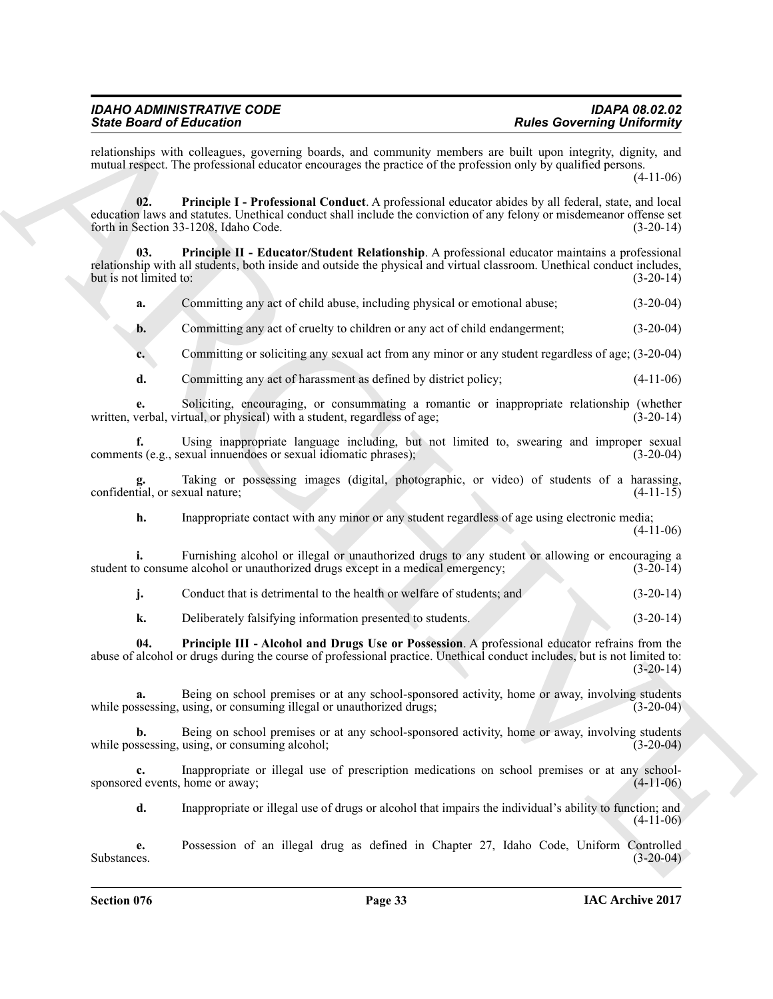| <b>IDAPA 08.02.02</b>             |
|-----------------------------------|
| <b>Rules Governing Uniformity</b> |
|                                   |

<span id="page-32-0"></span>relationships with colleagues, governing boards, and community members are built upon integrity, dignity, and mutual respect. The professional educator encourages the practice of the profession only by qualified persons.

(4-11-06)

Since Book of Editorion's continuous prevention, the continuous method Since Convention (2014)<br>
And the main of the since the probability of the since of the since of the since of the since of the since of the since of th **02. Principle I - Professional Conduct**. A professional educator abides by all federal, state, and local education laws and statutes. Unethical conduct shall include the conviction of any felony or misdemeanor offense set forth in Section 33-1208, Idaho Code.

**03. Principle II - Educator/Student Relationship**. A professional educator maintains a professional relationship with all students, both inside and outside the physical and virtual classroom. Unethical conduct includes, but is not limited to: (3-20-14) but is not limited to:

<span id="page-32-1"></span>**a.** Committing any act of child abuse, including physical or emotional abuse; (3-20-04)

**b.** Committing any act of cruelty to children or any act of child endangerment; (3-20-04)

**c.** Committing or soliciting any sexual act from any minor or any student regardless of age; (3-20-04)

**d.** Committing any act of harassment as defined by district policy; (4-11-06)

**e.** Soliciting, encouraging, or consummating a romantic or inappropriate relationship (whether verbal, virtual, or physical) with a student, regardless of age; written, verbal, virtual, or physical) with a student, regardless of age;

**f.** Using inappropriate language including, but not limited to, swearing and improper sexual comments (e.g., sexual innuendoes or sexual idiomatic phrases); (3-20-04)

**g.** Taking or possessing images (digital, photographic, or video) of students of a harassing, confidential, or sexual nature;  $(4-11-15)$ 

**h.** Inappropriate contact with any minor or any student regardless of age using electronic media; (4-11-06)

**i.** Furnishing alcohol or illegal or unauthorized drugs to any student or allowing or encouraging a student to consume alcohol or unauthorized drugs except in a medical emergency; (3-20-14)

**j.** Conduct that is detrimental to the health or welfare of students; and (3-20-14)

<span id="page-32-2"></span>**k.** Deliberately falsifying information presented to students. (3-20-14)

**04. Principle III - Alcohol and Drugs Use or Possession**. A professional educator refrains from the abuse of alcohol or drugs during the course of professional practice. Unethical conduct includes, but is not limited to:  $(3-20-14)$ 

**a.** Being on school premises or at any school-sponsored activity, home or away, involving students while possessing, using, or consuming illegal or unauthorized drugs; (3-20-04)

**b.** Being on school premises or at any school-sponsored activity, home or away, involving students while possessing, using, or consuming alcohol; (3-20-04)

**c.** Inappropriate or illegal use of prescription medications on school premises or at any schoolsponsored events, home or away; (4-11-06)

**d.** Inappropriate or illegal use of drugs or alcohol that impairs the individual's ability to function; and (4-11-06)

**e.** Possession of an illegal drug as defined in Chapter 27, Idaho Code, Uniform Controlled Substances. (3-20-04)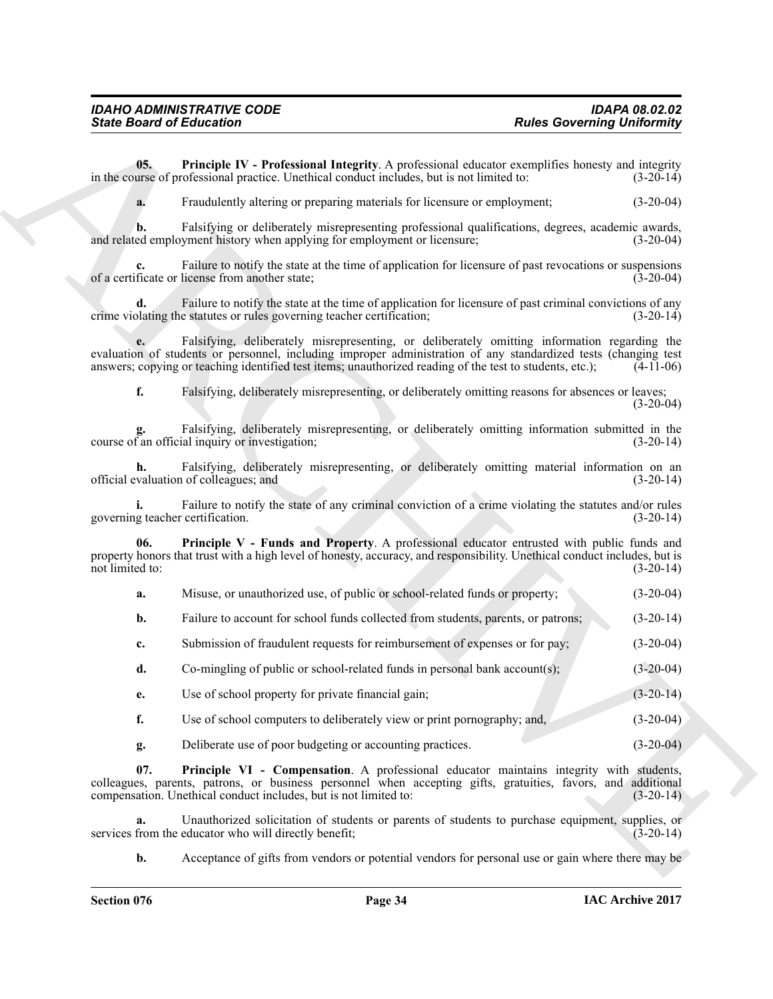**05. Principle IV - Professional Integrity**. A professional educator exemplifies honesty and integrity in the course of professional practice. Unethical conduct includes, but is not limited to: (3-20-14)

<span id="page-33-0"></span>**a.** Fraudulently altering or preparing materials for licensure or employment;  $(3-20-04)$ 

**b.** Falsifying or deliberately misrepresenting professional qualifications, degrees, academic awards, ed employment history when applying for employment or licensure: (3-20-04) and related employment history when applying for employment or licensure;

Failure to notify the state at the time of application for licensure of past revocations or suspensions of a certificate or license from another state; (3-20-04)

**d.** Failure to notify the state at the time of application for licensure of past criminal convictions of any crime violating the statutes or rules governing teacher certification;  $(3-20-14)$ 

**e.** Falsifying, deliberately misrepresenting, or deliberately omitting information regarding the evaluation of students or personnel, including improper administration of any standardized tests (changing test answers; copying or teaching identified test items; unauthorized reading of the test to students, etc.); (4-11-06)

**f.** Falsifying, deliberately misrepresenting, or deliberately omitting reasons for absences or leaves;  $(3-20-04)$ 

**g.** Falsifying, deliberately misrepresenting, or deliberately omitting information submitted in the course of an official inquiry or investigation; (3-20-14)

**h.** Falsifying, deliberately misrepresenting, or deliberately omitting material information on an official evaluation of colleagues; and (3-20-14)

**i.** Failure to notify the state of any criminal conviction of a crime violating the statutes and/or rules governing teacher certification. (3-20-14)

Since Board of Ecliptorias <br>
We also Governing University in the same of the same of the same of the same of the same of the same of the same of the same of the same of the same of the same of the same of the same of the **Principle V - Funds and Property.** A professional educator entrusted with public funds and property honors that trust with a high level of honesty, accuracy, and responsibility. Unethical conduct includes, but is not limited to: (3-20-14) not limited to:

<span id="page-33-1"></span>

| a. |  | Misuse, or unauthorized use, of public or school-related funds or property: | $(3-20-04)$ |  |
|----|--|-----------------------------------------------------------------------------|-------------|--|
|----|--|-----------------------------------------------------------------------------|-------------|--|

**b.** Failure to account for school funds collected from students, parents, or patrons; (3-20-14)

- **c.** Submission of fraudulent requests for reimbursement of expenses or for pay; (3-20-04)
- **d.** Co-mingling of public or school-related funds in personal bank account(s); (3-20-04)
- **e.** Use of school property for private financial gain; (3-20-14)
- **f.** Use of school computers to deliberately view or print pornography; and,  $(3-20-04)$
- <span id="page-33-2"></span>**g.** Deliberate use of poor budgeting or accounting practices. (3-20-04)

**07. Principle VI - Compensation**. A professional educator maintains integrity with students, colleagues, parents, patrons, or business personnel when accepting gifts, gratuities, favors, and additional compensation. Unethical conduct includes, but is not limited to: (3-20-14)

**a.** Unauthorized solicitation of students or parents of students to purchase equipment, supplies, or from the educator who will directly benefit; (3-20-14) services from the educator who will directly benefit;

**b.** Acceptance of gifts from vendors or potential vendors for personal use or gain where there may be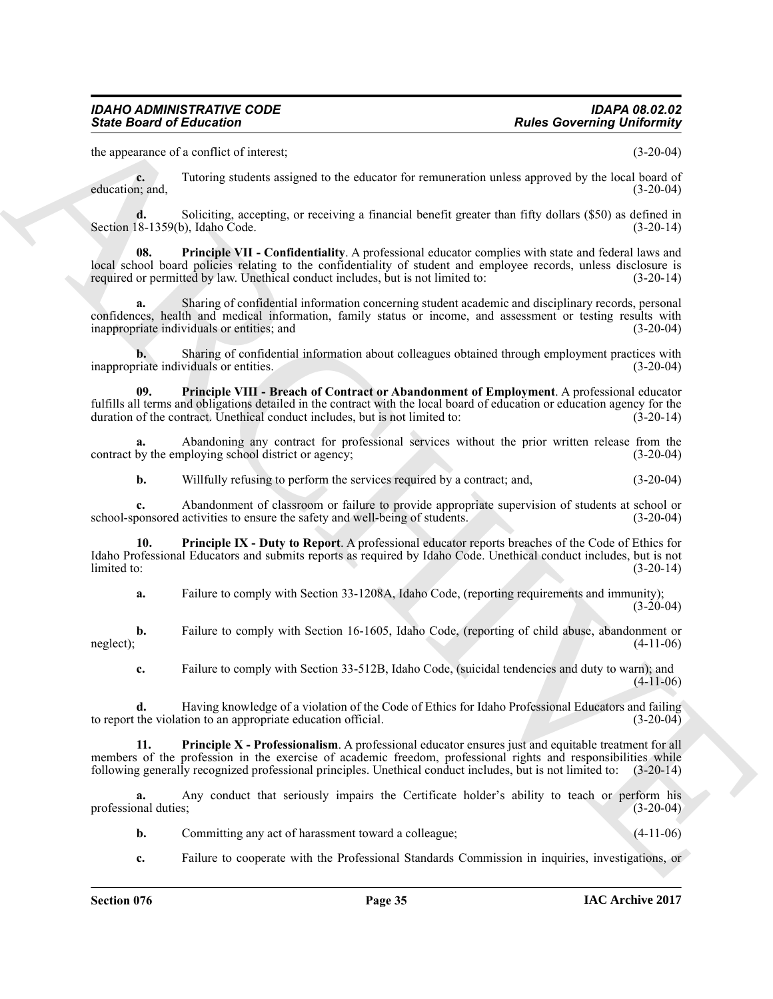the appearance of a conflict of interest; (3-20-04)

**c.** Tutoring students assigned to the educator for remuneration unless approved by the local board of education; and, (3-20-04)

**d.** Soliciting, accepting, or receiving a financial benefit greater than fifty dollars (\$50) as defined in 8-1359(b), Idaho Code. (3-20-14) Section  $18-1359(b)$ , Idaho Code.

<span id="page-34-1"></span>**08. Principle VII - Confidentiality**. A professional educator complies with state and federal laws and local school board policies relating to the confidentiality of student and employee records, unless disclosure is required or permitted by law. Unethical conduct includes, but is not limited to: (3-20-14)

**a.** Sharing of confidential information concerning student academic and disciplinary records, personal confidences, health and medical information, family status or income, and assessment or testing results with inappropriate individuals or entities; and (3-20-04)

**b.** Sharing of confidential information about colleagues obtained through employment practices with inappropriate individuals or entities. (3-20-04)

<span id="page-34-2"></span>**09. Principle VIII - Breach of Contract or Abandonment of Employment**. A professional educator fulfills all terms and obligations detailed in the contract with the local board of education or education agency for the duration of the contract. Unethical conduct includes, but is not limited to: (3-20-14) duration of the contract. Unethical conduct includes, but is not limited to:

**a.** Abandoning any contract for professional services without the prior written release from the contract by the employing school district or agency; (3-20-04)

<span id="page-34-0"></span>**b.** Willfully refusing to perform the services required by a contract; and,  $(3-20-04)$ 

**c.** Abandonment of classroom or failure to provide appropriate supervision of students at school or school-sponsored activities to ensure the safety and well-being of students. (3-20-04)

Since Board of Eclication <sup>2</sup><br>
Andes Governing Uniformly<br>
the operator of Collision and the shanner for resumestion makes approach by the local boards<br>
spin-<br>
spin-<br>
spin-<br>
spin-<br>
spin-<br>
spin-<br>
spin-<br>
spin-<br>
spin-<br>
spin-<br> **10. Principle IX - Duty to Report**. A professional educator reports breaches of the Code of Ethics for Idaho Professional Educators and submits reports as required by Idaho Code. Unethical conduct includes, but is not  $\lim \left( 3-20-14 \right)$  (3-20-14)

**a.** Failure to comply with Section 33-1208A, Idaho Code, (reporting requirements and immunity);  $(3-20-04)$ 

**b.** Failure to comply with Section 16-1605, Idaho Code, (reporting of child abuse, abandonment or  $(4-11-06)$ ) neglect);  $(4-11-06)$ 

<span id="page-34-3"></span>**c.** Failure to comply with Section 33-512B, Idaho Code, (suicidal tendencies and duty to warn); and (4-11-06)

**d.** Having knowledge of a violation of the Code of Ethics for Idaho Professional Educators and failing the violation to an appropriate education official. (3-20-04) to report the violation to an appropriate education official.

**11. Principle X - Professionalism**. A professional educator ensures just and equitable treatment for all members of the profession in the exercise of academic freedom, professional rights and responsibilities while following generally recognized professional principles. Unethical conduct includes, but is not limited to: (3-20 following generally recognized professional principles. Unethical conduct includes, but is not limited to:

**a.** Any conduct that seriously impairs the Certificate holder's ability to teach or perform his professional duties; (3-20-04)

**b.** Committing any act of harassment toward a colleague; (4-11-06)

**c.** Failure to cooperate with the Professional Standards Commission in inquiries, investigations, or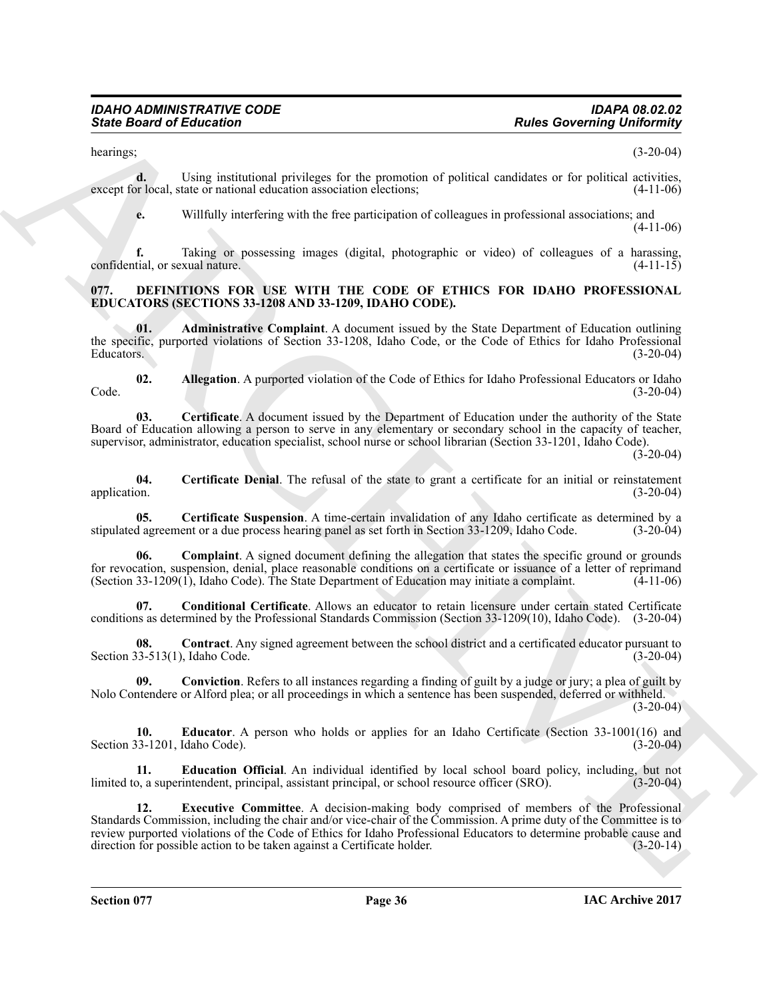hearings;  $(3-20-04)$ 

**d.** Using institutional privileges for the promotion of political candidates or for political activities, except for local, state or national education association elections; (4-11-06)

**e.** Willfully interfering with the free participation of colleagues in professional associations; and (4-11-06)

**f.** Taking or possessing images (digital, photographic or video) of colleagues of a harassing, confidential, or sexual nature. (4-11-15)

#### <span id="page-35-1"></span><span id="page-35-0"></span>**077. DEFINITIONS FOR USE WITH THE CODE OF ETHICS FOR IDAHO PROFESSIONAL EDUCATORS (SECTIONS 33-1208 AND 33-1209, IDAHO CODE).**

<span id="page-35-2"></span>**01. Administrative Complaint**. A document issued by the State Department of Education outlining the specific, purported violations of Section 33-1208, Idaho Code, or the Code of Ethics for Idaho Professional<br>Educators. (3-20-04) Educators. (3-20-04)

<span id="page-35-3"></span>**02. Allegation**. A purported violation of the Code of Ethics for Idaho Professional Educators or Idaho Code. (3-20-04)

<span id="page-35-4"></span>**03. Certificate**. A document issued by the Department of Education under the authority of the State Board of Education allowing a person to serve in any elementary or secondary school in the capacity of teacher, supervisor, administrator, education specialist, school nurse or school librarian (Section 33-1201, Idaho Code).

 $(3-20-04)$ 

<span id="page-35-5"></span>**04.** Certificate Denial. The refusal of the state to grant a certificate for an initial or reinstatement application. (3-20-04) application. (3-20-04)

<span id="page-35-6"></span>**05. Certificate Suspension**. A time-certain invalidation of any Idaho certificate as determined by a diagreement or a due process hearing panel as set forth in Section 33-1209. Idaho Code. (3-20-04) stipulated agreement or a due process hearing panel as set forth in Section 33-1209, Idaho Code.

<span id="page-35-7"></span>**Complaint**. A signed document defining the allegation that states the specific ground or grounds for revocation, suspension, denial, place reasonable conditions on a certificate or issuance of a letter of reprimand (Section 33-1209(1), Idaho Code). The State Department of Education may initiate a complaint. (4-11-06) (Section 33-1209 $(1)$ , Idaho Code). The State Department of Education may initiate a complaint.

<span id="page-35-8"></span>**07. Conditional Certificate**. Allows an educator to retain licensure under certain stated Certificate conditions as determined by the Professional Standards Commission (Section 33-1209(10), Idaho Code). (3-20-04)

<span id="page-35-9"></span>**08. Contract**. Any signed agreement between the school district and a certificated educator pursuant to Section  $33-513(1)$ , Idaho Code. (3-20-04)

<span id="page-35-10"></span>**09. Conviction**. Refers to all instances regarding a finding of guilt by a judge or jury; a plea of guilt by Nolo Contendere or Alford plea; or all proceedings in which a sentence has been suspended, deferred or withheld.

(3-20-04)

<span id="page-35-12"></span>**10. Educator**. A person who holds or applies for an Idaho Certificate (Section 33-1001(16) and Section 33-1201, Idaho Code). (3-20-04)

<span id="page-35-13"></span><span id="page-35-11"></span>**11. Education Official**. An individual identified by local school board policy, including, but not limited to, a superintendent, principal, assistant principal, or school resource officer (SRO).

**Example Conserver Conserver Conserver Conserver Conserver Conserver Conserver Conserver Conserver Conserver Conserver Conserver Conserver Conserver Conserver Conserver Conserver Conserver Conserver Conserver Conserver Co 12. Executive Committee**. A decision-making body comprised of members of the Professional Standards Commission, including the chair and/or vice-chair of the Commission. A prime duty of the Committee is to review purported violations of the Code of Ethics for Idaho Professional Educators to determine probable cause and direction for possible action to be taken against a Certificate holder. (3-20-14) direction for possible action to be taken against a Certificate holder.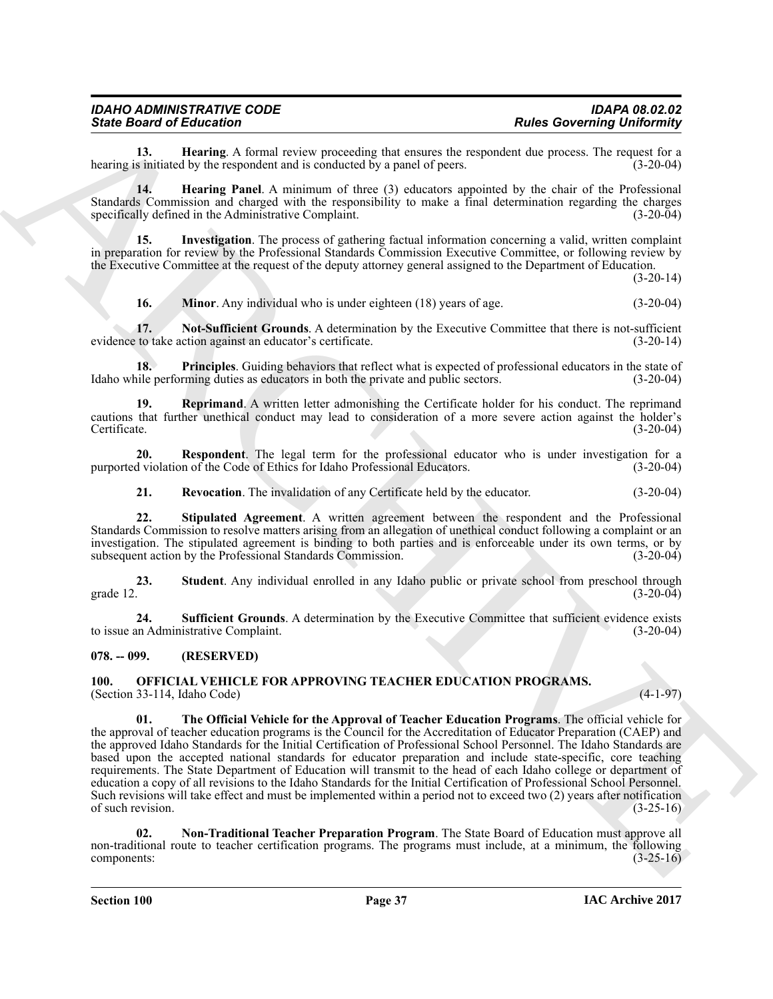| <b>IDAHO ADMINISTRATIVE CODE</b> | <b>IDAPA 08.02.02</b>             |
|----------------------------------|-----------------------------------|
| <b>State Board of Education</b>  | <b>Rules Governing Uniformity</b> |

<span id="page-36-2"></span>**13. Hearing**. A formal review proceeding that ensures the respondent due process. The request for a s initiated by the respondent and is conducted by a panel of peers. (3-20-04) hearing is initiated by the respondent and is conducted by a panel of peers.

<span id="page-36-3"></span>**14. Hearing Panel**. A minimum of three (3) educators appointed by the chair of the Professional Standards Commission and charged with the responsibility to make a final determination regarding the charges specifically defined in the Administrative Complaint. (3-20-04)

**15. Investigation**. The process of gathering factual information concerning a valid, written complaint in preparation for review by the Professional Standards Commission Executive Committee, or following review by the Executive Committee at the request of the deputy attorney general assigned to the Department of Education.

 $(3-20-14)$ 

<span id="page-36-7"></span><span id="page-36-6"></span><span id="page-36-5"></span><span id="page-36-4"></span>**16. Minor**. Any individual who is under eighteen (18) years of age. (3-20-04)

**17. Not-Sufficient Grounds**. A determination by the Executive Committee that there is not-sufficient evidence to take action against an educator's certificate. (3-20-14)

**18. Principles**. Guiding behaviors that reflect what is expected of professional educators in the state of Idaho while performing duties as educators in both the private and public sectors. (3-20-04)

<span id="page-36-8"></span>**19. Reprimand**. A written letter admonishing the Certificate holder for his conduct. The reprimand cautions that further unethical conduct may lead to consideration of a more severe action against the holder's Certificate. (3-20-04)

**20.** Respondent. The legal term for the professional educator who is under investigation for a d violation of the Code of Ethics for Idaho Professional Educators. (3-20-04) purported violation of the Code of Ethics for Idaho Professional Educators.

<span id="page-36-11"></span><span id="page-36-10"></span><span id="page-36-9"></span>**21. Revocation**. The invalidation of any Certificate held by the educator. (3-20-04)

**22. Stipulated Agreement**. A written agreement between the respondent and the Professional Standards Commission to resolve matters arising from an allegation of unethical conduct following a complaint or an investigation. The stipulated agreement is binding to both parties and is enforceable under its own terms, or by subsequent action by the Professional Standards Commission. (3-20-04)

<span id="page-36-12"></span>**23. Student**. Any individual enrolled in any Idaho public or private school from preschool through grade 12. (3-20-04)

<span id="page-36-13"></span>**24. Sufficient Grounds**. A determination by the Executive Committee that sufficient evidence exists to issue an Administrative Complaint. (3-20-04)

#### <span id="page-36-0"></span>**078. -- 099. (RESERVED)**

<span id="page-36-16"></span><span id="page-36-14"></span><span id="page-36-1"></span>**100. OFFICIAL VEHICLE FOR APPROVING TEACHER EDUCATION PROGRAMS.** (Section 33-114, Idaho Code) (4-1-97)

Since Browning Hard Entertainment Commission in the state of the state of the state of the state of the state of the state of the state of the state of the state of the state of the state of the state of the state of the **01. The Official Vehicle for the Approval of Teacher Education Programs**. The official vehicle for the approval of teacher education programs is the Council for the Accreditation of Educator Preparation (CAEP) and the approved Idaho Standards for the Initial Certification of Professional School Personnel. The Idaho Standards are based upon the accepted national standards for educator preparation and include state-specific, core teaching requirements. The State Department of Education will transmit to the head of each Idaho college or department of education a copy of all revisions to the Idaho Standards for the Initial Certification of Professional School Personnel. Such revisions will take effect and must be implemented within a period not to exceed two (2) years after notification of such revision. (3-25-16)

<span id="page-36-15"></span>**02. Non-Traditional Teacher Preparation Program**. The State Board of Education must approve all non-traditional route to teacher certification programs. The programs must include, at a minimum, the following components: (3-25-16)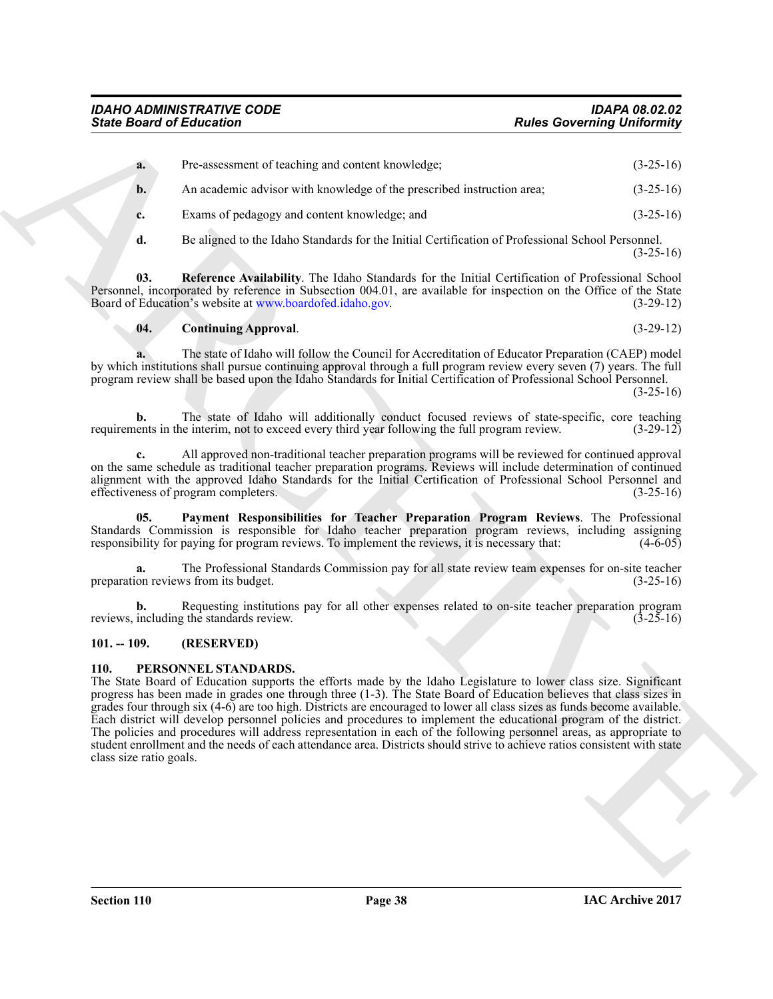| a. | Pre-assessment of teaching and content knowledge;                      | $(3-25-16)$ |
|----|------------------------------------------------------------------------|-------------|
| b. | An academic advisor with knowledge of the prescribed instruction area; | $(3-25-16)$ |
|    | Exams of pedagogy and content knowledge; and                           | $(3-25-16)$ |

<span id="page-37-4"></span>**d.** Be aligned to the Idaho Standards for the Initial Certification of Professional School Personnel.  $(3-25-16)$ 

**03. Reference Availability**. The Idaho Standards for the Initial Certification of Professional School Personnel, incorporated by reference in Subsection 004.01, are available for inspection on the Office of the State Board of Education's website at www.boardofed.idaho.gov. (3-29-12) Board of Education's website at www.boardofed.idaho.gov.

#### <span id="page-37-2"></span>**04. Continuing Approval**. (3-29-12)

**a.** The state of Idaho will follow the Council for Accreditation of Educator Preparation (CAEP) model by which institutions shall pursue continuing approval through a full program review every seven (7) years. The full program review shall be based upon the Idaho Standards for Initial Certification of Professional School Personnel.  $(3-25-16)$ 

**b.** The state of Idaho will additionally conduct focused reviews of state-specific, core teaching ents in the interim, not to exceed every third year following the full program review. (3-29-12) requirements in the interim, not to exceed every third year following the full program review.

**c.** All approved non-traditional teacher preparation programs will be reviewed for continued approval on the same schedule as traditional teacher preparation programs. Reviews will include determination of continued alignment with the approved Idaho Standards for the Initial Certification of Professional School Personnel and effectiveness of program completers. (3-25-16) effectiveness of program completers.

<span id="page-37-3"></span>**05. Payment Responsibilities for Teacher Preparation Program Reviews**. The Professional Standards Commission is responsible for Idaho teacher preparation program reviews, including assigning responsibility for paying for program reviews. To implement the reviews, it is necessary that: (4-6-05)

**a.** The Professional Standards Commission pay for all state review team expenses for on-site teacher on reviews from its budget. (3-25-16) preparation reviews from its budget.

**b.** Requesting institutions pay for all other expenses related to on-site teacher preparation program including the standards review.  $(3-25-16)$ reviews, including the standards review.

#### <span id="page-37-0"></span>**101. -- 109. (RESERVED)**

#### <span id="page-37-5"></span><span id="page-37-1"></span>**110. PERSONNEL STANDARDS.**

Since Board of Entrances \*\*\*\*\*<br>
Note Governing University that  $(2.14)$ <br>  $\pm 0.24$ <br>  $\pm 0.24$ <br>  $\pm 0.24$ <br>  $\pm 0.24$ <br>  $\pm 0.24$ <br>  $\pm 0.24$ <br>  $\pm 0.24$ <br>  $\pm 0.24$ <br>  $\pm 0.24$ <br>  $\pm 0.24$ <br>  $\pm 0.24$ <br>  $\pm 0.24$ <br>  $\pm 0.24$ <br>  $\pm 0$ The State Board of Education supports the efforts made by the Idaho Legislature to lower class size. Significant progress has been made in grades one through three (1-3). The State Board of Education believes that class sizes in grades four through six (4-6) are too high. Districts are encouraged to lower all class sizes as funds become available. Each district will develop personnel policies and procedures to implement the educational program of the district. The policies and procedures will address representation in each of the following personnel areas, as appropriate to student enrollment and the needs of each attendance area. Districts should strive to achieve ratios consistent with state class size ratio goals.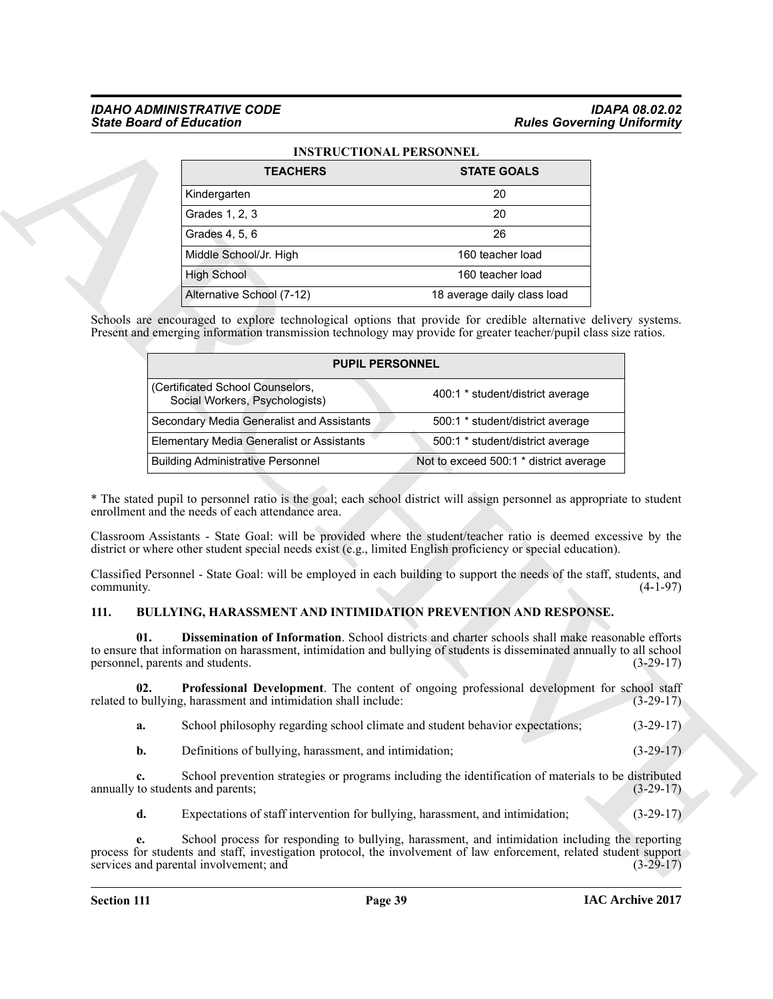## *IDAHO ADMINISTRATIVE CODE IDAPA 08.02.02*

|                    | <b>State Board of Education</b>                                                                                                                                                                                                                                                                                                                          |                                        | <b>Rules Governing Uniformity</b>         |
|--------------------|----------------------------------------------------------------------------------------------------------------------------------------------------------------------------------------------------------------------------------------------------------------------------------------------------------------------------------------------------------|----------------------------------------|-------------------------------------------|
|                    | <b>INSTRUCTIONAL PERSONNEL</b>                                                                                                                                                                                                                                                                                                                           |                                        |                                           |
|                    | <b>TEACHERS</b>                                                                                                                                                                                                                                                                                                                                          | <b>STATE GOALS</b>                     |                                           |
|                    | Kindergarten                                                                                                                                                                                                                                                                                                                                             | 20                                     |                                           |
|                    | Grades 1, 2, 3                                                                                                                                                                                                                                                                                                                                           | 20                                     |                                           |
|                    | Grades 4, 5, 6                                                                                                                                                                                                                                                                                                                                           | 26                                     |                                           |
|                    | Middle School/Jr. High                                                                                                                                                                                                                                                                                                                                   | 160 teacher load                       |                                           |
|                    | <b>High School</b>                                                                                                                                                                                                                                                                                                                                       | 160 teacher load                       |                                           |
|                    | Alternative School (7-12)                                                                                                                                                                                                                                                                                                                                | 18 average daily class load            |                                           |
|                    | Schools are encouraged to explore technological options that provide for credible alternative delivery systems.<br>Present and emerging information transmission technology may provide for greater teacher/pupil class size ratios.                                                                                                                     |                                        |                                           |
|                    | <b>PUPIL PERSONNEL</b>                                                                                                                                                                                                                                                                                                                                   |                                        |                                           |
|                    | (Certificated School Counselors,<br>Social Workers, Psychologists)                                                                                                                                                                                                                                                                                       | 400:1 * student/district average       |                                           |
|                    | Secondary Media Generalist and Assistants                                                                                                                                                                                                                                                                                                                | 500:1 * student/district average       |                                           |
|                    | <b>Elementary Media Generalist or Assistants</b>                                                                                                                                                                                                                                                                                                         | 500:1 * student/district average       |                                           |
|                    | <b>Building Administrative Personnel</b>                                                                                                                                                                                                                                                                                                                 | Not to exceed 500:1 * district average |                                           |
|                    | * The stated pupil to personnel ratio is the goal; each school district will assign personnel as appropriate to student<br>enrollment and the needs of each attendance area.                                                                                                                                                                             |                                        |                                           |
|                    | Classroom Assistants - State Goal: will be provided where the student/teacher ratio is deemed excessive by the<br>district or where other student special needs exist (e.g., limited English proficiency or special education).<br>Classified Personnel - State Goal: will be employed in each building to support the needs of the staff, students, and |                                        |                                           |
| community.<br>111. |                                                                                                                                                                                                                                                                                                                                                          |                                        | $(4-1-97)$                                |
| 01.                | BULLYING, HARASSMENT AND INTIMIDATION PREVENTION AND RESPONSE.<br>Dissemination of Information. School districts and charter schools shall make reasonable efforts<br>to ensure that information on harassment, intimidation and bullying of students is disseminated annually to all school<br>personnel, parents and students.                         |                                        |                                           |
| 02.                | Professional Development. The content of ongoing professional development for school staff<br>related to bullying, harassment and intimidation shall include:                                                                                                                                                                                            |                                        |                                           |
| a.                 | School philosophy regarding school climate and student behavior expectations;                                                                                                                                                                                                                                                                            |                                        | $(3-29-17)$<br>$(3-29-17)$<br>$(3-29-17)$ |
| b.                 | Definitions of bullying, harassment, and intimidation;                                                                                                                                                                                                                                                                                                   |                                        |                                           |
| c.                 | School prevention strategies or programs including the identification of materials to be distributed<br>annually to students and parents;                                                                                                                                                                                                                |                                        | $(3-29-17)$<br>$(3-29-17)$                |
| d.                 | Expectations of staff intervention for bullying, harassment, and intimidation;                                                                                                                                                                                                                                                                           |                                        | $(3-29-17)$                               |

#### **INSTRUCTIONAL PERSONNEL**

| <b>PUPIL PERSONNEL</b>                                             |                                        |  |
|--------------------------------------------------------------------|----------------------------------------|--|
| (Certificated School Counselors,<br>Social Workers, Psychologists) | 400:1 * student/district average       |  |
| Secondary Media Generalist and Assistants                          | 500:1 * student/district average       |  |
| <b>Elementary Media Generalist or Assistants</b>                   | 500:1 * student/district average       |  |
| <b>Building Administrative Personnel</b>                           | Not to exceed 500:1 * district average |  |

#### <span id="page-38-3"></span><span id="page-38-2"></span><span id="page-38-1"></span><span id="page-38-0"></span>**111. BULLYING, HARASSMENT AND INTIMIDATION PREVENTION AND RESPONSE.**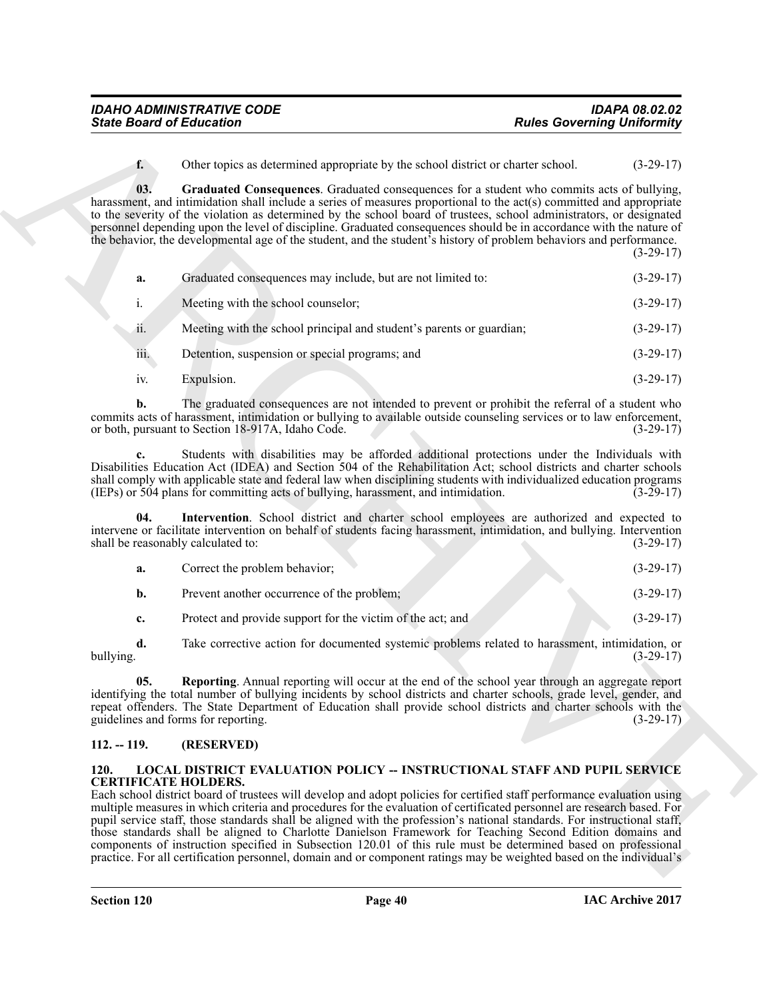<span id="page-39-2"></span>

| <b>State Board of Education</b>           |                                                                                                                                                                                                                                                                                                                                                                                                                                                                                                                                                                                                                                                                                                                                                                                                                           | <b>Rules Governing Uniformity</b> |
|-------------------------------------------|---------------------------------------------------------------------------------------------------------------------------------------------------------------------------------------------------------------------------------------------------------------------------------------------------------------------------------------------------------------------------------------------------------------------------------------------------------------------------------------------------------------------------------------------------------------------------------------------------------------------------------------------------------------------------------------------------------------------------------------------------------------------------------------------------------------------------|-----------------------------------|
| $f_{\star}$                               | Other topics as determined appropriate by the school district or charter school.                                                                                                                                                                                                                                                                                                                                                                                                                                                                                                                                                                                                                                                                                                                                          | $(3-29-17)$                       |
| 03.                                       | Graduated Consequences. Graduated consequences for a student who commits acts of bullying,<br>harassment, and intimidation shall include a series of measures proportional to the act(s) committed and appropriate<br>to the severity of the violation as determined by the school board of trustees, school administrators, or designated<br>personnel depending upon the level of discipline. Graduated consequences should be in accordance with the nature of<br>the behavior, the developmental age of the student, and the student's history of problem behaviors and performance.                                                                                                                                                                                                                                  | $(3-29-17)$                       |
| a.                                        | Graduated consequences may include, but are not limited to:                                                                                                                                                                                                                                                                                                                                                                                                                                                                                                                                                                                                                                                                                                                                                               | $(3-29-17)$                       |
| i.                                        | Meeting with the school counselor;                                                                                                                                                                                                                                                                                                                                                                                                                                                                                                                                                                                                                                                                                                                                                                                        | $(3-29-17)$                       |
| ii.                                       | Meeting with the school principal and student's parents or guardian;                                                                                                                                                                                                                                                                                                                                                                                                                                                                                                                                                                                                                                                                                                                                                      | $(3-29-17)$                       |
| iii.                                      | Detention, suspension or special programs; and                                                                                                                                                                                                                                                                                                                                                                                                                                                                                                                                                                                                                                                                                                                                                                            | $(3-29-17)$                       |
| iv.                                       | Expulsion.                                                                                                                                                                                                                                                                                                                                                                                                                                                                                                                                                                                                                                                                                                                                                                                                                | $(3-29-17)$                       |
| b.                                        | The graduated consequences are not intended to prevent or prohibit the referral of a student who<br>commits acts of harassment, intimidation or bullying to available outside counseling services or to law enforcement,<br>or both, pursuant to Section 18-917A, Idaho Code.                                                                                                                                                                                                                                                                                                                                                                                                                                                                                                                                             | $(3-29-17)$                       |
|                                           | Students with disabilities may be afforded additional protections under the Individuals with<br>Disabilities Education Act (IDEA) and Section 504 of the Rehabilitation Act; school districts and charter schools<br>shall comply with applicable state and federal law when disciplining students with individualized education programs<br>(IEPs) or 504 plans for committing acts of bullying, harassment, and intimidation.                                                                                                                                                                                                                                                                                                                                                                                           | $(3-29-17)$                       |
| 04.<br>shall be reasonably calculated to: | Intervention. School district and charter school employees are authorized and expected to<br>intervene or facilitate intervention on behalf of students facing harassment, intimidation, and bullying. Intervention                                                                                                                                                                                                                                                                                                                                                                                                                                                                                                                                                                                                       | $(3-29-17)$                       |
| a.                                        | Correct the problem behavior;                                                                                                                                                                                                                                                                                                                                                                                                                                                                                                                                                                                                                                                                                                                                                                                             | $(3-29-17)$                       |
| $\mathbf{b}$ .                            | Prevent another occurrence of the problem;                                                                                                                                                                                                                                                                                                                                                                                                                                                                                                                                                                                                                                                                                                                                                                                | $(3-29-17)$                       |
| c.                                        | Protect and provide support for the victim of the act; and                                                                                                                                                                                                                                                                                                                                                                                                                                                                                                                                                                                                                                                                                                                                                                | $(3-29-17)$                       |
| d.<br>bullying.                           | Take corrective action for documented systemic problems related to harassment, intimidation, or                                                                                                                                                                                                                                                                                                                                                                                                                                                                                                                                                                                                                                                                                                                           | $(3-29-17)$                       |
| 05.                                       | Reporting. Annual reporting will occur at the end of the school year through an aggregate report<br>identifying the total number of bullying incidents by school districts and charter schools, grade level, gender, and<br>repeat offenders. The State Department of Education shall provide school districts and charter schools with the<br>guidelines and forms for reporting.                                                                                                                                                                                                                                                                                                                                                                                                                                        | $(3-29-17)$                       |
| $112. - 119.$                             | (RESERVED)                                                                                                                                                                                                                                                                                                                                                                                                                                                                                                                                                                                                                                                                                                                                                                                                                |                                   |
| 120.<br><b>CERTIFICATE HOLDERS.</b>       | <b>LOCAL DISTRICT EVALUATION POLICY -- INSTRUCTIONAL STAFF AND PUPIL SERVICE</b><br>Each school district board of trustees will develop and adopt policies for certified staff performance evaluation using<br>multiple measures in which criteria and procedures for the evaluation of certificated personnel are research based. For<br>pupil service staff, those standards shall be aligned with the profession's national standards. For instructional staff,<br>those standards shall be aligned to Charlotte Danielson Framework for Teaching Second Edition domains and<br>components of instruction specified in Subsection 120.01 of this rule must be determined based on professional<br>practice. For all certification personnel, domain and or component ratings may be weighted based on the individual's |                                   |

<span id="page-39-3"></span>

| а. | Correct the problem behavior;                              | $(3-29-17)$ |
|----|------------------------------------------------------------|-------------|
| b. | Prevent another occurrence of the problem;                 | $(3-29-17)$ |
| c. | Protect and provide support for the victim of the act; and | $(3-29-17)$ |

#### <span id="page-39-4"></span><span id="page-39-0"></span>**112. -- 119. (RESERVED)**

#### <span id="page-39-5"></span><span id="page-39-1"></span>**120. LOCAL DISTRICT EVALUATION POLICY -- INSTRUCTIONAL STAFF AND PUPIL SERVICE CERTIFICATE HOLDERS.**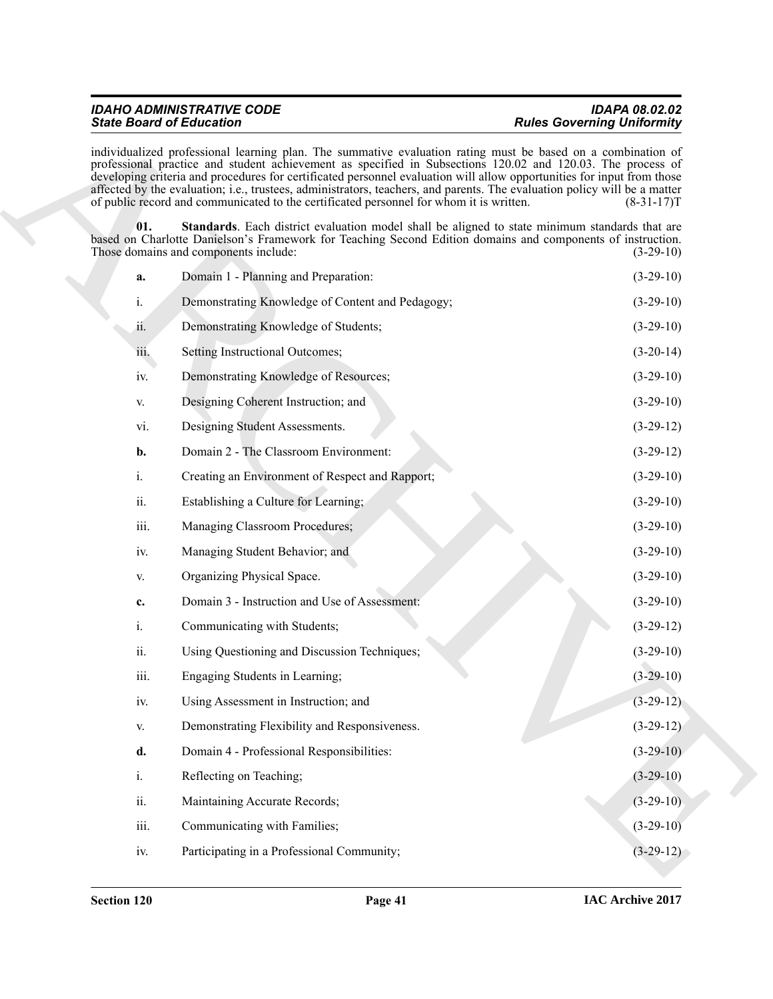#### <span id="page-40-0"></span>**IDAHO ADMINISTRATIVE CODE State Board of Education**

|                                   | <b>IDAPA 08.02.02</b> |
|-----------------------------------|-----------------------|
| <b>Rules Governing Uniformity</b> |                       |

|                                                                                                                                                                                                                                                                                                                                                                                                                                                                                                                                                                               | <b>Rules Governing Uniformity</b> |
|-------------------------------------------------------------------------------------------------------------------------------------------------------------------------------------------------------------------------------------------------------------------------------------------------------------------------------------------------------------------------------------------------------------------------------------------------------------------------------------------------------------------------------------------------------------------------------|-----------------------------------|
| individualized professional learning plan. The summative evaluation rating must be based on a combination of<br>professional practice and student achievement as specified in Subsections 120.02 and 120.03. The process of<br>developing criteria and procedures for certificated personnel evaluation will allow opportunities for input from those<br>affected by the evaluation; i.e., trustees, administrators, teachers, and parents. The evaluation policy will be a matter<br>of public record and communicated to the certificated personnel for whom it is written. | $(8-31-17)T$                      |
| <b>Standards</b> . Each district evaluation model shall be aligned to state minimum standards that are<br>based on Charlotte Danielson's Framework for Teaching Second Edition domains and components of instruction.<br>Those domains and components include:                                                                                                                                                                                                                                                                                                                | $(3-29-10)$                       |
| Domain 1 - Planning and Preparation:                                                                                                                                                                                                                                                                                                                                                                                                                                                                                                                                          | $(3-29-10)$                       |
| Demonstrating Knowledge of Content and Pedagogy;                                                                                                                                                                                                                                                                                                                                                                                                                                                                                                                              | $(3-29-10)$                       |
| Demonstrating Knowledge of Students;                                                                                                                                                                                                                                                                                                                                                                                                                                                                                                                                          | $(3-29-10)$                       |
| Setting Instructional Outcomes;                                                                                                                                                                                                                                                                                                                                                                                                                                                                                                                                               | $(3-20-14)$                       |
| Demonstrating Knowledge of Resources;                                                                                                                                                                                                                                                                                                                                                                                                                                                                                                                                         | $(3-29-10)$                       |
| Designing Coherent Instruction; and                                                                                                                                                                                                                                                                                                                                                                                                                                                                                                                                           | $(3-29-10)$                       |
| Designing Student Assessments.                                                                                                                                                                                                                                                                                                                                                                                                                                                                                                                                                | $(3-29-12)$                       |
| Domain 2 - The Classroom Environment:                                                                                                                                                                                                                                                                                                                                                                                                                                                                                                                                         | $(3-29-12)$                       |
| Creating an Environment of Respect and Rapport;                                                                                                                                                                                                                                                                                                                                                                                                                                                                                                                               | $(3-29-10)$                       |
| Establishing a Culture for Learning;                                                                                                                                                                                                                                                                                                                                                                                                                                                                                                                                          | $(3-29-10)$                       |
| Managing Classroom Procedures;                                                                                                                                                                                                                                                                                                                                                                                                                                                                                                                                                | $(3-29-10)$                       |
| Managing Student Behavior; and                                                                                                                                                                                                                                                                                                                                                                                                                                                                                                                                                | $(3-29-10)$                       |
| Organizing Physical Space.                                                                                                                                                                                                                                                                                                                                                                                                                                                                                                                                                    | $(3-29-10)$                       |
| Domain 3 - Instruction and Use of Assessment:                                                                                                                                                                                                                                                                                                                                                                                                                                                                                                                                 | $(3-29-10)$                       |
| Communicating with Students;                                                                                                                                                                                                                                                                                                                                                                                                                                                                                                                                                  | $(3-29-12)$                       |
| Using Questioning and Discussion Techniques;                                                                                                                                                                                                                                                                                                                                                                                                                                                                                                                                  | $(3-29-10)$                       |
| Engaging Students in Learning;                                                                                                                                                                                                                                                                                                                                                                                                                                                                                                                                                | $(3-29-10)$                       |
| Using Assessment in Instruction; and                                                                                                                                                                                                                                                                                                                                                                                                                                                                                                                                          | $(3-29-12)$                       |
| Demonstrating Flexibility and Responsiveness.                                                                                                                                                                                                                                                                                                                                                                                                                                                                                                                                 | $(3-29-12)$                       |
| Domain 4 - Professional Responsibilities:                                                                                                                                                                                                                                                                                                                                                                                                                                                                                                                                     | $(3-29-10)$                       |
| Reflecting on Teaching;                                                                                                                                                                                                                                                                                                                                                                                                                                                                                                                                                       | $(3-29-10)$                       |
| Maintaining Accurate Records;                                                                                                                                                                                                                                                                                                                                                                                                                                                                                                                                                 | $(3-29-10)$                       |
| Communicating with Families;                                                                                                                                                                                                                                                                                                                                                                                                                                                                                                                                                  | $(3-29-10)$                       |
| Participating in a Professional Community;                                                                                                                                                                                                                                                                                                                                                                                                                                                                                                                                    | $(3-29-12)$                       |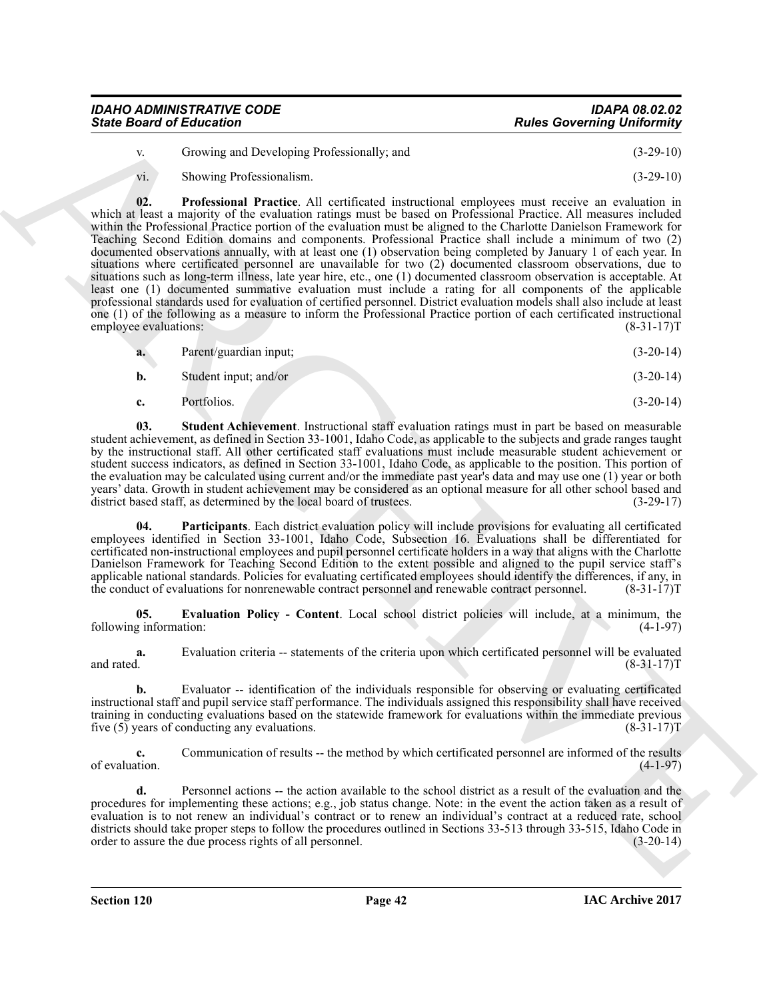| <b>State Board of Education</b>  | <b>Rules Governing Uniformity</b> |
|----------------------------------|-----------------------------------|
| <b>IDAHO ADMINISTRATIVE CODE</b> | <b>IDAPA 08.02.02</b>             |

| Growing and Developing Professionally; and   | $(3-29-10)$ |
|----------------------------------------------|-------------|
| $\alpha$ $\alpha$ $\alpha$ $\alpha$ $\alpha$ | (2.22)      |

<span id="page-41-2"></span>vi. Showing Professionalism. (3-29-10)

Since Board of Enterstone<br>
4. Soveting to Dovedopter Ordenton in the transmitter and the Concerning University of the Concerning Concerning Concerning (3.29 to)<br>
4. Soveting the theoretical and the concerning terms of the **02. Professional Practice**. All certificated instructional employees must receive an evaluation in which at least a majority of the evaluation ratings must be based on Professional Practice. All measures included within the Professional Practice portion of the evaluation must be aligned to the Charlotte Danielson Framework for Teaching Second Edition domains and components. Professional Practice shall include a minimum of two (2) documented observations annually, with at least one (1) observation being completed by January 1 of each year. In situations where certificated personnel are unavailable for two (2) documented classroom observations, due to situations such as long-term illness, late year hire, etc., one (1) documented classroom observation is acceptable. At least one (1) documented summative evaluation must include a rating for all components of the applicable professional standards used for evaluation of certified personnel. District evaluation models shall also include at least one (1) of the following as a measure to inform the Professional Practice portion of each certificated instructional employee evaluations:  $(8-31-17)T$ employee evaluations:

| a. | Parent/guardian input; | $(3-20-14)$ |
|----|------------------------|-------------|
| b. | Student input; and/or  | $(3-20-14)$ |

<span id="page-41-3"></span>**c.** Portfolios. (3-20-14)

**03. Student Achievement**. Instructional staff evaluation ratings must in part be based on measurable student achievement, as defined in Section 33-1001, Idaho Code, as applicable to the subjects and grade ranges taught by the instructional staff. All other certificated staff evaluations must include measurable student achievement or student success indicators, as defined in Section 33-1001, Idaho Code, as applicable to the position. This portion of the evaluation may be calculated using current and/or the immediate past year's data and may use one (1) year or both years' data. Growth in student achievement may be considered as an optional measure for all other school based and district based staff, as determined by the local board of trustees. (3-29-17)

<span id="page-41-1"></span>Participants. Each district evaluation policy will include provisions for evaluating all certificated employees identified in Section 33-1001, Idaho Code, Subsection 16. Evaluations shall be differentiated for certificated non-instructional employees and pupil personnel certificate holders in a way that aligns with the Charlotte Danielson Framework for Teaching Second Edition to the extent possible and aligned to the pupil service staff's applicable national standards. Policies for evaluating certificated employees should identify the differences, if any, in the conduct of evaluations for nonrenewable contract personnel and renewable contract personnel. (8-31-17)T

<span id="page-41-0"></span>**05. Evaluation Policy - Content**. Local school district policies will include, at a minimum, the following information: (4-1-97)

**a.** Evaluation criteria -- statements of the criteria upon which certificated personnel will be evaluated and rated.  $(8-31-17)T$ 

**b.** Evaluator -- identification of the individuals responsible for observing or evaluating certificated instructional staff and pupil service staff performance. The individuals assigned this responsibility shall have received training in conducting evaluations based on the statewide framework for evaluations within the immediate previous five (5) years of conducting any evaluations. (8-31-17)T

**c.** Communication of results -- the method by which certificated personnel are informed of the results of evaluation.  $(4-1-97)$ 

**d.** Personnel actions -- the action available to the school district as a result of the evaluation and the procedures for implementing these actions; e.g., job status change. Note: in the event the action taken as a result of evaluation is to not renew an individual's contract or to renew an individual's contract at a reduced rate, school districts should take proper steps to follow the procedures outlined in Sections 33-513 through 33-515, Idaho Code in order to assure the due process rights of all personnel. order to assure the due process rights of all personnel.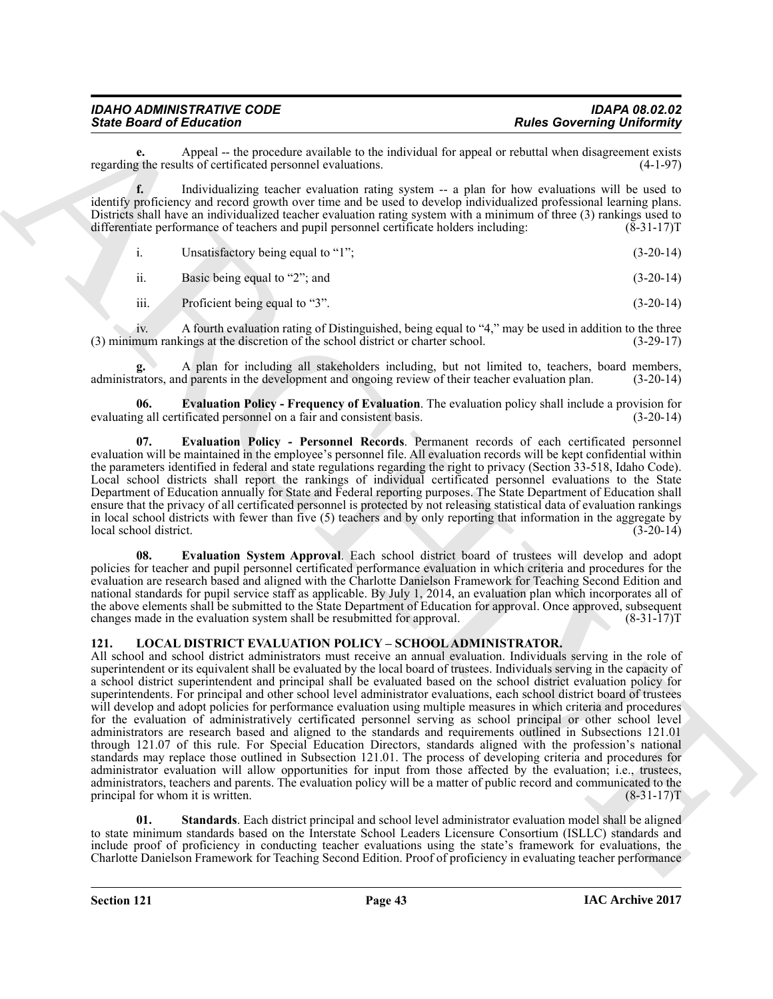## *IDAHO ADMINISTRATIVE CODE IDAPA 08.02.02*

**e.** Appeal -- the procedure available to the individual for appeal or rebuttal when disagreement exists <br>z the results of certificated personnel evaluations. regarding the results of certificated personnel evaluations.

**f.** Individualizing teacher evaluation rating system -- a plan for how evaluations will be used to identify proficiency and record growth over time and be used to develop individualized professional learning plans. Districts shall have an individualized teacher evaluation rating system with a minimum of three (3) rankings used to differentiate performance of teachers and pupil personnel certificate holders including: (8-31-17) differentiate performance of teachers and pupil personnel certificate holders including:

i. Unsatisfactory being equal to "1"; (3-20-14)

ii. Basic being equal to "2"; and  $(3-20-14)$ 

iii. Proficient being equal to "3". (3-20-14)

iv. A fourth evaluation rating of Distinguished, being equal to "4," may be used in addition to the three (3) minimum rankings at the discretion of the school district or charter school. (3-29-17)

**g.** A plan for including all stakeholders including, but not limited to, teachers, board members, administrators, and parents in the development and ongoing review of their teacher evaluation plan. (3-20-14)

<span id="page-42-3"></span>**06. Evaluation Policy - Frequency of Evaluation**. The evaluation policy shall include a provision for g all certificated personnel on a fair and consistent basis. (3-20-14) evaluating all certificated personnel on a fair and consistent basis.

<span id="page-42-4"></span>**07. Evaluation Policy - Personnel Records**. Permanent records of each certificated personnel evaluation will be maintained in the employee's personnel file. All evaluation records will be kept confidential within the parameters identified in federal and state regulations regarding the right to privacy (Section 33-518, Idaho Code). Local school districts shall report the rankings of individual certificated personnel evaluations to the State Department of Education annually for State and Federal reporting purposes. The State Department of Education shall ensure that the privacy of all certificated personnel is protected by not releasing statistical data of evaluation rankings in local school districts with fewer than five (5) teachers and by only reporting that information in the aggregate by local school district. (3-20-14)

<span id="page-42-5"></span>**08. Evaluation System Approval**. Each school district board of trustees will develop and adopt policies for teacher and pupil personnel certificated performance evaluation in which criteria and procedures for the evaluation are research based and aligned with the Charlotte Danielson Framework for Teaching Second Edition and national standards for pupil service staff as applicable. By July 1, 2014, an evaluation plan which incorporates all of the above elements shall be submitted to the State Department of Education for approval. Once approved, subsequent changes made in the evaluation system shall be resubmitted for approval. (8-31-17)T

#### <span id="page-42-1"></span><span id="page-42-0"></span>**121. LOCAL DISTRICT EVALUATION POLICY – SCHOOL ADMINISTRATOR.**

Since Board of Entertainment (i.e., and the state of the state of the state of the state of the state of the state of the state of the state of the state of the state of the state of the state of the state of the state of All school and school district administrators must receive an annual evaluation. Individuals serving in the role of superintendent or its equivalent shall be evaluated by the local board of trustees. Individuals serving in the capacity of a school district superintendent and principal shall be evaluated based on the school district evaluation policy for superintendents. For principal and other school level administrator evaluations, each school district board of trustees will develop and adopt policies for performance evaluation using multiple measures in which criteria and procedures for the evaluation of administratively certificated personnel serving as school principal or other school level administrators are research based and aligned to the standards and requirements outlined in Subsections 121.01 through 121.07 of this rule. For Special Education Directors, standards aligned with the profession's national standards may replace those outlined in Subsection 121.01. The process of developing criteria and procedures for administrator evaluation will allow opportunities for input from those affected by the evaluation; i.e., trustees, administrators, teachers and parents. The evaluation policy will be a matter of public record and communicated to the principal for whom it is written. (8-31-17) T

<span id="page-42-2"></span>**01. Standards**. Each district principal and school level administrator evaluation model shall be aligned to state minimum standards based on the Interstate School Leaders Licensure Consortium (ISLLC) standards and include proof of proficiency in conducting teacher evaluations using the state's framework for evaluations, the Charlotte Danielson Framework for Teaching Second Edition. Proof of proficiency in evaluating teacher performance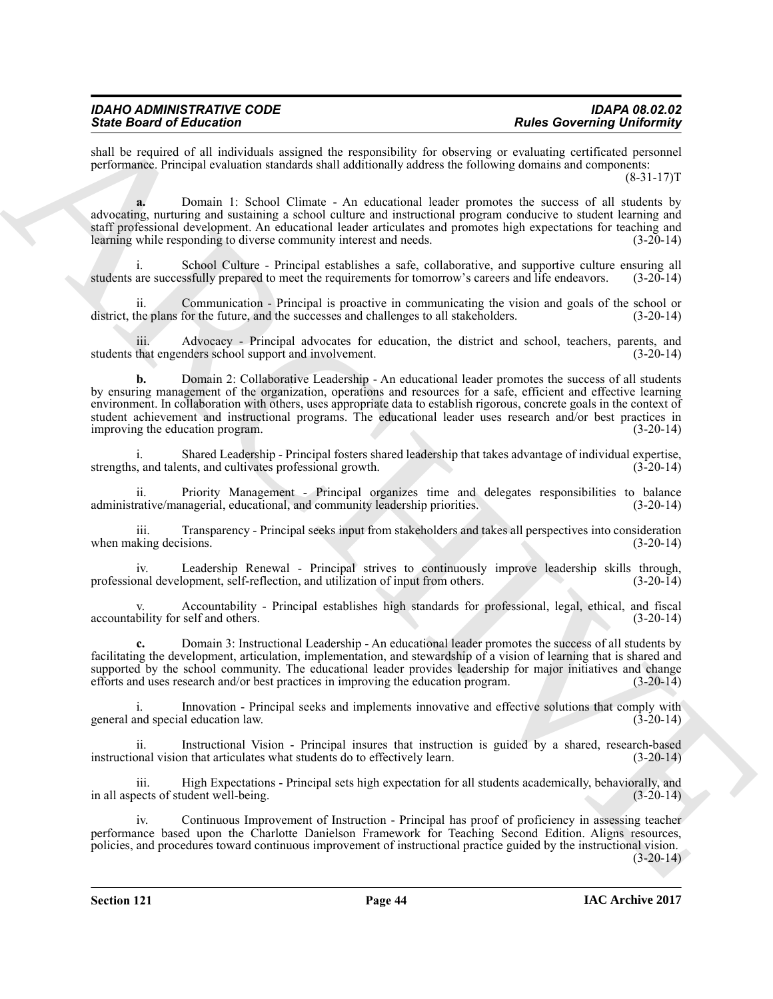## *IDAHO ADMINISTRATIVE CODE IDAPA 08.02.02*

shall be required of all individuals assigned the responsibility for observing or evaluating certificated personnel performance. Principal evaluation standards shall additionally address the following domains and components:  $(8-31-17)T$ 

**a.** Domain 1: School Climate - An educational leader promotes the success of all students by advocating, nurturing and sustaining a school culture and instructional program conducive to student learning and staff professional development. An educational leader articulates and promotes high expectations for teaching and learning while responding to diverse community interest and needs. (3-20-14)

School Culture - Principal establishes a safe, collaborative, and supportive culture ensuring all students are successfully prepared to meet the requirements for tomorrow's careers and life endeavors. (3-20-14)

ii. Communication - Principal is proactive in communicating the vision and goals of the school or district, the plans for the future, and the successes and challenges to all stakeholders. (3-20-14)

iii. Advocacy - Principal advocates for education, the district and school, teachers, parents, and that engenders school support and involvement. (3-20-14) students that engenders school support and involvement.

Since Boston of Education and the exponential is at desirable and and the system of the system of the exponential in the system of the system of control of the system of the system of the system of the system of the syste **b.** Domain 2: Collaborative Leadership - An educational leader promotes the success of all students by ensuring management of the organization, operations and resources for a safe, efficient and effective learning environment. In collaboration with others, uses appropriate data to establish rigorous, concrete goals in the context of student achievement and instructional programs. The educational leader uses research and/or best practices in<br>(3-20-14) (3-20-14) improving the education program.

i. Shared Leadership - Principal fosters shared leadership that takes advantage of individual expertise, strengths, and talents, and cultivates professional growth. (3-20-14)

ii. Priority Management - Principal organizes time and delegates responsibilities to balance rative/managerial, educational, and community leadership priorities. (3-20-14) administrative/managerial, educational, and community leadership priorities.

iii. Transparency - Principal seeks input from stakeholders and takes all perspectives into consideration when making decisions. (3-20-14)

iv. Leadership Renewal - Principal strives to continuously improve leadership skills through, nal development, self-reflection, and utilization of input from others. (3-20-14) professional development, self-reflection, and utilization of input from others.

v. Accountability - Principal establishes high standards for professional, legal, ethical, and fiscal accountability for self and others. (3-20-14)

**c.** Domain 3: Instructional Leadership - An educational leader promotes the success of all students by facilitating the development, articulation, implementation, and stewardship of a vision of learning that is shared and supported by the school community. The educational leader provides leadership for major initiatives and change efforts and uses research and/or best practices in improving the education program. (3-20-14)

i. Innovation - Principal seeks and implements innovative and effective solutions that comply with independent of special education law.  $(3-20-14)$ general and special education law.

ii. Instructional Vision - Principal insures that instruction is guided by a shared, research-based instructional vision that articulates what students do to effectively learn. (3-20-14)

iii. High Expectations - Principal sets high expectation for all students academically, behaviorally, and in all aspects of student well-being. (3-20-14)

iv. Continuous Improvement of Instruction - Principal has proof of proficiency in assessing teacher performance based upon the Charlotte Danielson Framework for Teaching Second Edition. Aligns resources, policies, and procedures toward continuous improvement of instructional practice guided by the instructional vision.

 $(3-20-14)$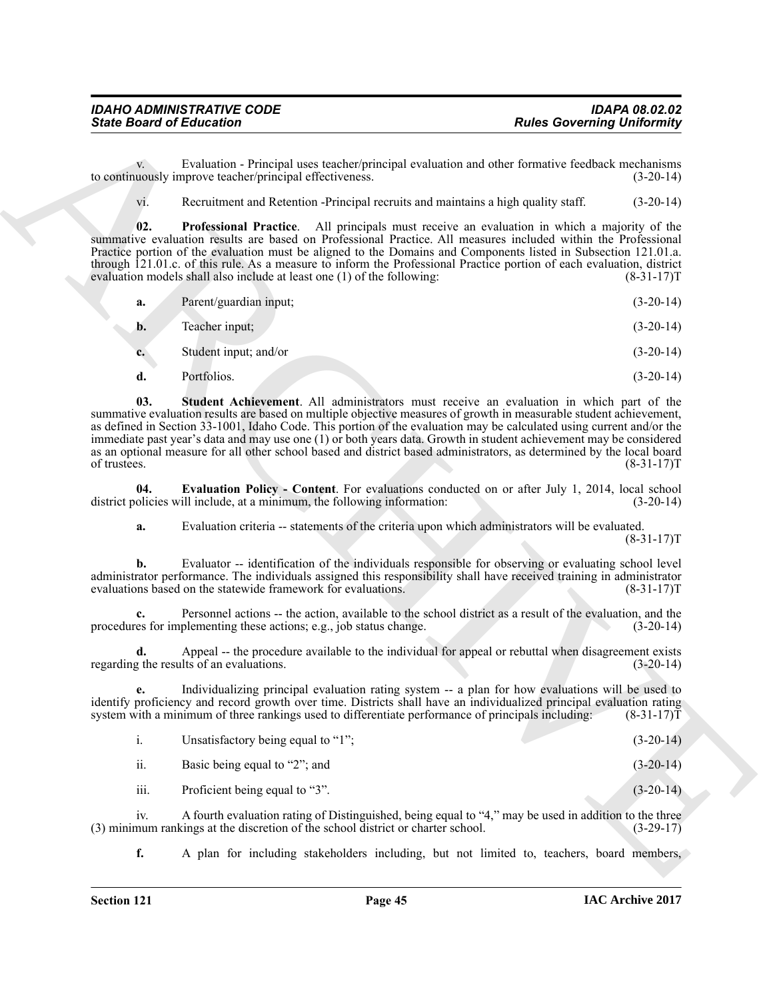v. Evaluation - Principal uses teacher/principal evaluation and other formative feedback mechanisms to continuously improve teacher/principal effectiveness. (3-20-14)

<span id="page-44-1"></span>vi. Recruitment and Retention -Principal recruits and maintains a high quality staff. (3-20-14)

**02. Professional Practice**. All principals must receive an evaluation in which a majority of the summative evaluation results are based on Professional Practice. All measures included within the Professional Practice portion of the evaluation must be aligned to the Domains and Components listed in Subsection 121.01.a. through 121.01.c. of this rule. As a measure to inform the Professional Practice portion of each evaluation, district evaluation models shall also include at least one (1) of the following: (8-31-17) evaluation models shall also include at least one  $(1)$  of the following:

<span id="page-44-2"></span>

| a. | Parent/guardian input; | $(3-20-14)$ |
|----|------------------------|-------------|
| b. | Teacher input;         | $(3-20-14)$ |
| c. | Student input; and/or  | $(3-20-14)$ |
| u. | Portfolios.            | $(3-20-14)$ |

Since Board of Entreprise<br>
Eventures of the contribution of the contribution of the contribution of the contribution of the contribution of the contribution of the contribution of the contribution of the contribution of t **03. Student Achievement**. All administrators must receive an evaluation in which part of the summative evaluation results are based on multiple objective measures of growth in measurable student achievement, as defined in Section 33-1001, Idaho Code. This portion of the evaluation may be calculated using current and/or the immediate past year's data and may use one (1) or both years data. Growth in student achievement may be considered as an optional measure for all other school based and district based administrators, as determined by the local board<br>
(8-31-17)T of trustees. (8-31-17)T

**04. Evaluation Policy - Content**. For evaluations conducted on or after July 1, 2014, local school district policies will include, at a minimum, the following information: (3-20-14)

<span id="page-44-0"></span>**a.** Evaluation criteria -- statements of the criteria upon which administrators will be evaluated.  $(8-31-17)T$ 

**b.** Evaluator -- identification of the individuals responsible for observing or evaluating school level administrator performance. The individuals assigned this responsibility shall have received training in administrator evaluations based on the statewide framework for evaluations. (8-31-17) evaluations based on the statewide framework for evaluations.

**c.** Personnel actions -- the action, available to the school district as a result of the evaluation, and the procedures for implementing these actions; e.g., job status change. (3-20-14)

**d.** Appeal -- the procedure available to the individual for appeal or rebuttal when disagreement exists  $\alpha$  the results of an evaluations. (3-20-14) regarding the results of an evaluations.

**e.** Individualizing principal evaluation rating system -- a plan for how evaluations will be used to identify proficiency and record growth over time. Districts shall have an individualized principal evaluation rating system with a minimum of three rankings used to differentiate performance of principals including: (8-31-17)T

| Unsatisfactory being equal to "1"; | $(3-20-14)$ |
|------------------------------------|-------------|
|                                    |             |

ii. Basic being equal to "2"; and  $(3-20-14)$ 

iii. Proficient being equal to "3". (3-20-14)

iv. A fourth evaluation rating of Distinguished, being equal to "4," may be used in addition to the three (3) minimum rankings at the discretion of the school district or charter school. (3-29-17)

**f.** A plan for including stakeholders including, but not limited to, teachers, board members,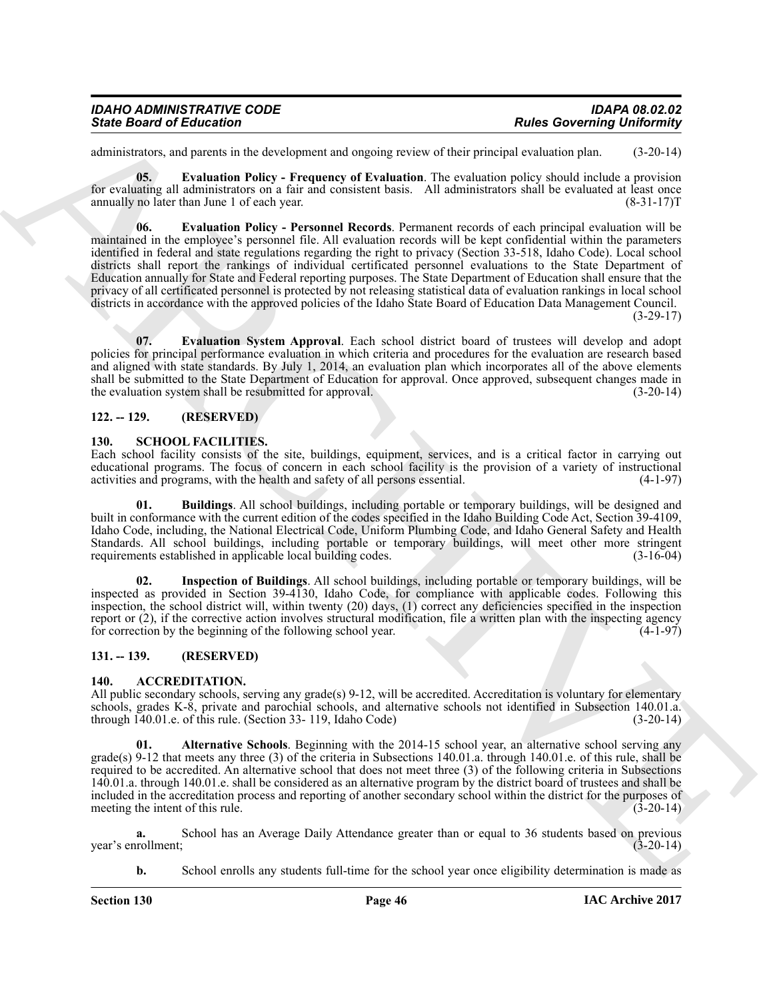| <b>IDAHO ADMINISTRATIVE CODE</b> | IDAPA 08.02.02                    |
|----------------------------------|-----------------------------------|
| <b>State Board of Education</b>  | <b>Rules Governing Uniformity</b> |

<span id="page-45-6"></span>administrators, and parents in the development and ongoing review of their principal evaluation plan. (3-20-14)

<span id="page-45-7"></span>**05. Evaluation Policy - Frequency of Evaluation**. The evaluation policy should include a provision for evaluating all administrators on a fair and consistent basis. All administrators shall be evaluated at least once annually no later than June 1 of each year. (8-31-17) T

Since Board of Enterstone<br>
Since Board of Enterstone<br>
control in the development and ongence of Postmann and ongence to the present of the board of the state of the state of the state of the state of the state of the stat **06. Evaluation Policy - Personnel Records**. Permanent records of each principal evaluation will be maintained in the employee's personnel file. All evaluation records will be kept confidential within the parameters identified in federal and state regulations regarding the right to privacy (Section 33-518, Idaho Code). Local school districts shall report the rankings of individual certificated personnel evaluations to the State Department of Education annually for State and Federal reporting purposes. The State Department of Education shall ensure that the privacy of all certificated personnel is protected by not releasing statistical data of evaluation rankings in local school districts in accordance with the approved policies of the Idaho State Board of Education Data Management Council.  $(3-29-17)$ 

<span id="page-45-8"></span>**07. Evaluation System Approval**. Each school district board of trustees will develop and adopt policies for principal performance evaluation in which criteria and procedures for the evaluation are research based and aligned with state standards. By July 1, 2014, an evaluation plan which incorporates all of the above elements shall be submitted to the State Department of Education for approval. Once approved, subsequent changes made in the evaluation system shall be resubmitted for approval. (3-20-14)

#### <span id="page-45-0"></span>**122. -- 129. (RESERVED)**

#### <span id="page-45-9"></span><span id="page-45-1"></span>**130. SCHOOL FACILITIES.**

Each school facility consists of the site, buildings, equipment, services, and is a critical factor in carrying out educational programs. The focus of concern in each school facility is the provision of a variety of instructional activities and programs, with the health and safety of all persons essential. (4-1-97)

<span id="page-45-10"></span>**01. Buildings**. All school buildings, including portable or temporary buildings, will be designed and built in conformance with the current edition of the codes specified in the Idaho Building Code Act, Section 39-4109, Idaho Code, including, the National Electrical Code, Uniform Plumbing Code, and Idaho General Safety and Health Standards. All school buildings, including portable or temporary buildings, will meet other more stringent requirements established in applicable local building codes. (3-16-04)

<span id="page-45-11"></span>**02. Inspection of Buildings**. All school buildings, including portable or temporary buildings, will be inspected as provided in Section 39-4130, Idaho Code, for compliance with applicable codes. Following this inspection, the school district will, within twenty (20) days, (1) correct any deficiencies specified in the inspection report or (2), if the corrective action involves structural modification, file a written plan with the inspecting agency for correction by the beginning of the following school year. (4-1-97)

#### <span id="page-45-2"></span>**131. -- 139. (RESERVED)**

#### <span id="page-45-4"></span><span id="page-45-3"></span>**140. ACCREDITATION.**

All public secondary schools, serving any grade(s) 9-12, will be accredited. Accreditation is voluntary for elementary schools, grades K-8, private and parochial schools, and alternative schools not identified in Subsection 140.01.a. through 140.01.e. of this rule. (Section 33-119, Idaho Code) (3-20-14) through  $140.01.e.$  of this rule. (Section 33- 119, Idaho Code)

<span id="page-45-5"></span>**01. Alternative Schools**. Beginning with the 2014-15 school year, an alternative school serving any grade(s) 9-12 that meets any three (3) of the criteria in Subsections 140.01.a. through 140.01.e. of this rule, shall be required to be accredited. An alternative school that does not meet three (3) of the following criteria in Subsections 140.01.a. through 140.01.e. shall be considered as an alternative program by the district board of trustees and shall be included in the accreditation process and reporting of another secondary school within the district for the purposes of meeting the intent of this rule. (3-20-14)

**a.** School has an Average Daily Attendance greater than or equal to 36 students based on previous rollment; (3-20-14) year's enrollment;

**b.** School enrolls any students full-time for the school year once eligibility determination is made as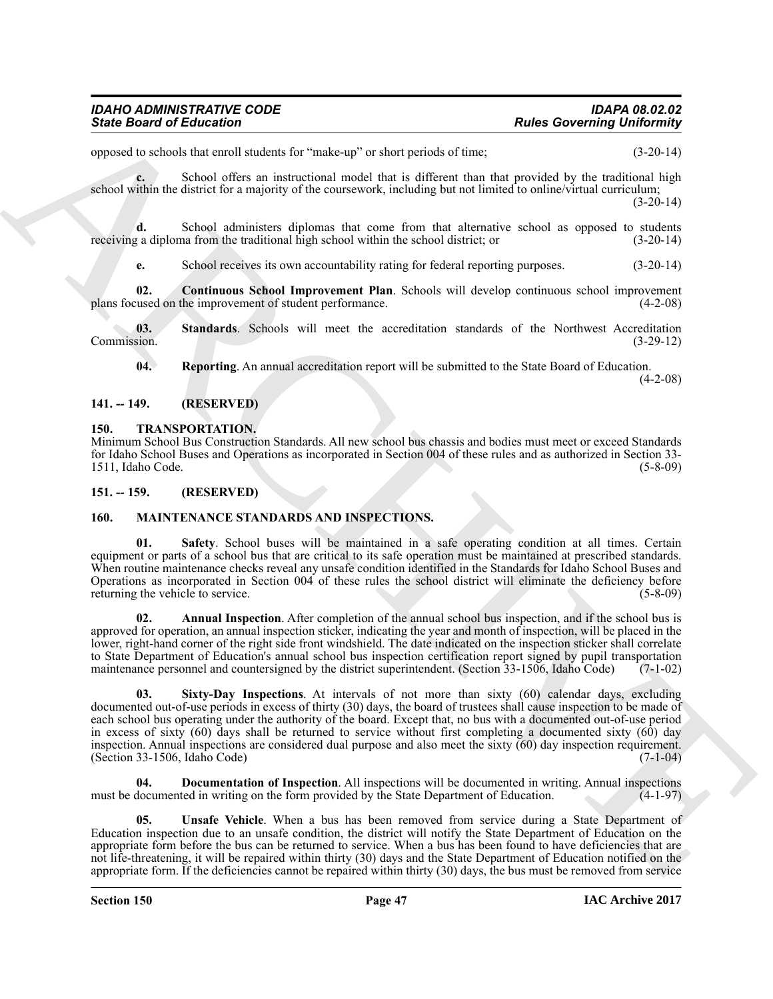opposed to schools that enroll students for "make-up" or short periods of time; (3-20-14)

**c.** School offers an instructional model that is different than that provided by the traditional high school within the district for a majority of the coursework, including but not limited to online/virtual curriculum; (3-20-14)

**d.** School administers diplomas that come from that alternative school as opposed to students receiving a diploma from the traditional high school within the school district; or (3-20-14)

<span id="page-46-4"></span>**e.** School receives its own accountability rating for federal reporting purposes. (3-20-14)

**02.** Continuous School Improvement Plan. Schools will develop continuous school improvement used on the improvement of student performance. (4-2-08) plans focused on the improvement of student performance.

**03.** Standards. Schools will meet the accreditation standards of the Northwest Accreditation sion. (3-29-12) Commission.

<span id="page-46-6"></span><span id="page-46-5"></span>**04. Reporting**. An annual accreditation report will be submitted to the State Board of Education. (4-2-08)

### <span id="page-46-0"></span>**141. -- 149. (RESERVED)**

#### <span id="page-46-13"></span><span id="page-46-1"></span>**150. TRANSPORTATION.**

Minimum School Bus Construction Standards. All new school bus chassis and bodies must meet or exceed Standards for Idaho School Buses and Operations as incorporated in Section 004 of these rules and as authorized in Section 33- 1511, Idaho Code.

#### <span id="page-46-2"></span>**151. -- 159. (RESERVED)**

#### <span id="page-46-12"></span><span id="page-46-9"></span><span id="page-46-3"></span>**160. MAINTENANCE STANDARDS AND INSPECTIONS.**

**01. Safety**. School buses will be maintained in a safe operating condition at all times. Certain equipment or parts of a school bus that are critical to its safe operation must be maintained at prescribed standards. When routine maintenance checks reveal any unsafe condition identified in the Standards for Idaho School Buses and Operations as incorporated in Section 004 of these rules the school district will eliminate the deficiency before returning the vehicle to service. (5-8-09) (5-8-09)

<span id="page-46-10"></span><span id="page-46-7"></span>**02. Annual Inspection**. After completion of the annual school bus inspection, and if the school bus is approved for operation, an annual inspection sticker, indicating the year and month of inspection, will be placed in the lower, right-hand corner of the right side front windshield. The date indicated on the inspection sticker shall correlate to State Department of Education's annual school bus inspection certification report signed by pupil transportation maintenance personnel and countersigned by the district superintendent. (Section 33-1506, Idaho Code) (7-1-02)

Since Board of Enterston Controls and the state of Pathology Pathology Robert Controls and the state of the state of the state of the state of the state of the state of the state of the state of the state of the state of **03. Sixty-Day Inspections**. At intervals of not more than sixty (60) calendar days, excluding documented out-of-use periods in excess of thirty (30) days, the board of trustees shall cause inspection to be made of each school bus operating under the authority of the board. Except that, no bus with a documented out-of-use period in excess of sixty  $(60)$  days shall be returned to service without first completing a documented sixty  $(60)$  day inspection. Annual inspections are considered dual purpose and also meet the sixty (60) day inspection requirement.<br>(Section 33-1506, Idaho Code) (7-1-04)  $(Section 33-1506, Idaho Code)$ 

<span id="page-46-8"></span>**04. Documentation of Inspection**. All inspections will be documented in writing. Annual inspections must be documented in writing on the form provided by the State Department of Education. (4-1-97)

<span id="page-46-11"></span>**05. Unsafe Vehicle**. When a bus has been removed from service during a State Department of Education inspection due to an unsafe condition, the district will notify the State Department of Education on the appropriate form before the bus can be returned to service. When a bus has been found to have deficiencies that are not life-threatening, it will be repaired within thirty (30) days and the State Department of Education notified on the appropriate form. If the deficiencies cannot be repaired within thirty (30) days, the bus must be removed from service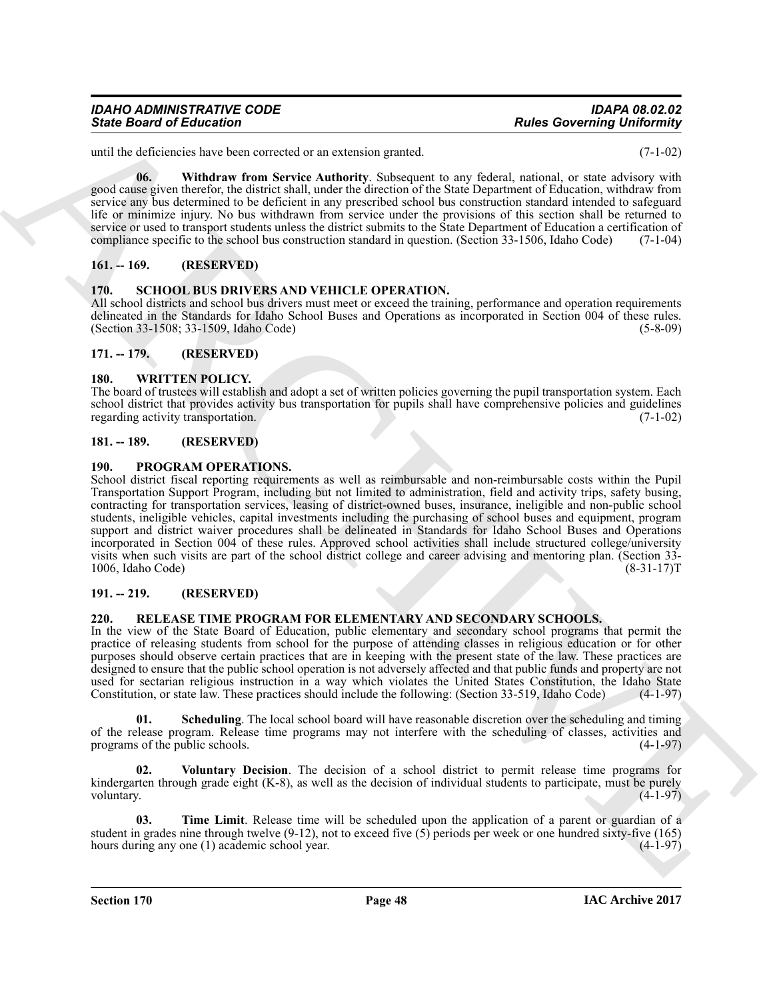## *IDAHO ADMINISTRATIVE CODE IDAPA 08.02.02*

until the deficiencies have been corrected or an extension granted. (7-1-02)

<span id="page-47-8"></span>**06. Withdraw from Service Authority**. Subsequent to any federal, national, or state advisory with good cause given therefor, the district shall, under the direction of the State Department of Education, withdraw from service any bus determined to be deficient in any prescribed school bus construction standard intended to safeguard life or minimize injury. No bus withdrawn from service under the provisions of this section shall be returned to service or used to transport students unless the district submits to the State Department of Education a certification of compliance specific to the school bus construction standard in question. (Section 33-1506, Idaho Code) (7-1-04)

#### <span id="page-47-0"></span>**161. -- 169. (RESERVED)**

#### <span id="page-47-14"></span><span id="page-47-1"></span>**170. SCHOOL BUS DRIVERS AND VEHICLE OPERATION.**

All school districts and school bus drivers must meet or exceed the training, performance and operation requirements delineated in the Standards for Idaho School Buses and Operations as incorporated in Section 004 of these rules. (Section 33-1508; 33-1509, Idaho Code) (5-8-09)

#### <span id="page-47-2"></span>**171. -- 179. (RESERVED)**

#### <span id="page-47-15"></span><span id="page-47-3"></span>**180. WRITTEN POLICY.**

The board of trustees will establish and adopt a set of written policies governing the pupil transportation system. Each school district that provides activity bus transportation for pupils shall have comprehensive policies and guidelines regarding activity transportation. (7-1-02)

#### <span id="page-47-4"></span>**181. -- 189. (RESERVED)**

#### <span id="page-47-9"></span><span id="page-47-5"></span>**190. PROGRAM OPERATIONS.**

Since Board of Eclassics of the trend of an extendible gradient and the state of the state of the state of the state of the state of the state of the state of the state of the state of the state of the state of the state School district fiscal reporting requirements as well as reimbursable and non-reimbursable costs within the Pupil Transportation Support Program, including but not limited to administration, field and activity trips, safety busing, contracting for transportation services, leasing of district-owned buses, insurance, ineligible and non-public school students, ineligible vehicles, capital investments including the purchasing of school buses and equipment, program support and district waiver procedures shall be delineated in Standards for Idaho School Buses and Operations incorporated in Section 004 of these rules. Approved school activities shall include structured college/university visits when such visits are part of the school district college and career advising and mentoring plan. (Section 33- 1006, Idaho Code) (8-31-17)T

#### <span id="page-47-6"></span>**191. -- 219. (RESERVED)**

#### <span id="page-47-10"></span><span id="page-47-7"></span>**220. RELEASE TIME PROGRAM FOR ELEMENTARY AND SECONDARY SCHOOLS.**

In the view of the State Board of Education, public elementary and secondary school programs that permit the practice of releasing students from school for the purpose of attending classes in religious education or for other purposes should observe certain practices that are in keeping with the present state of the law. These practices are designed to ensure that the public school operation is not adversely affected and that public funds and property are not used for sectarian religious instruction in a way which violates the United States Constitution, the Idaho State Constitution, or state law. These practices should include the following: (Section 33-519, Idaho Code) (4-1-97)

<span id="page-47-11"></span>**Scheduling**. The local school board will have reasonable discretion over the scheduling and timing of the release program. Release time programs may not interfere with the scheduling of classes, activities and programs of the public schools. (4-1-97)

<span id="page-47-13"></span>**02. Voluntary Decision**. The decision of a school district to permit release time programs for kindergarten through grade eight (K-8), as well as the decision of individual students to participate, must be purely voluntary.  $(4-1-97)$ 

<span id="page-47-12"></span>**03. Time Limit**. Release time will be scheduled upon the application of a parent or guardian of a student in grades nine through twelve  $(9-12)$ , not to exceed five  $(5)$  periods per week or one hundred sixty-five  $(165)$ hours during any one (1) academic school year. (4-1-97)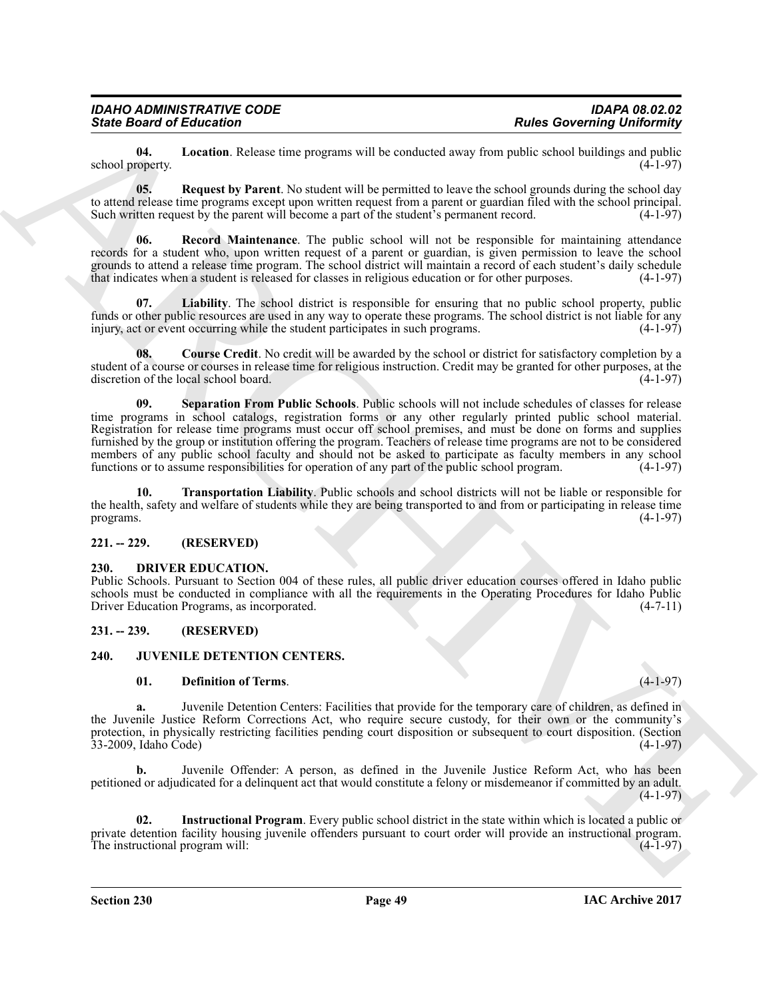<span id="page-48-10"></span>**04. Location**. Release time programs will be conducted away from public school buildings and public school property.

<span id="page-48-12"></span>**05.** Request by Parent. No student will be permitted to leave the school grounds during the school day to attend release time programs except upon written request from a parent or guardian filed with the school principal. Such written request by the parent will become a part of the student's permanent record. (4-1-97)

<span id="page-48-11"></span>**06. Record Maintenance**. The public school will not be responsible for maintaining attendance records for a student who, upon written request of a parent or guardian, is given permission to leave the school grounds to attend a release time program. The school district will maintain a record of each student's daily schedule that indicates when a student is released for classes in religious education or for other purposes. (4-1-97)

<span id="page-48-9"></span>**07. Liability**. The school district is responsible for ensuring that no public school property, public funds or other public resources are used in any way to operate these programs. The school district is not liable for any injury, act or event occurring while the student participates in such programs. (4-1-97)

<span id="page-48-13"></span><span id="page-48-8"></span>**08. Course Credit**. No credit will be awarded by the school or district for satisfactory completion by a student of a course or courses in release time for religious instruction. Credit may be granted for other purposes, at the discretion of the local school board. (4-1-97)

Since Browning in Mote Course Carl Routing and the season of the season of the season of the season of the season of the season of the season of the season of the season of the season of the season of the season of the se **09. Separation From Public Schools**. Public schools will not include schedules of classes for release time programs in school catalogs, registration forms or any other regularly printed public school material. Registration for release time programs must occur off school premises, and must be done on forms and supplies furnished by the group or institution offering the program. Teachers of release time programs are not to be considered members of any public school faculty and should not be asked to participate as faculty members in any school functions or to assume responsibilities for operation of any part of the public school program. (4-1-97) functions or to assume responsibilities for operation of any part of the public school program.

<span id="page-48-14"></span>**10. Transportation Liability**. Public schools and school districts will not be liable or responsible for the health, safety and welfare of students while they are being transported to and from or participating in release time programs.  $(4-1-97)$ 

#### <span id="page-48-0"></span>**221. -- 229. (RESERVED)**

#### <span id="page-48-4"></span><span id="page-48-1"></span>**230. DRIVER EDUCATION.**

Public Schools. Pursuant to Section 004 of these rules, all public driver education courses offered in Idaho public schools must be conducted in compliance with all the requirements in the Operating Procedures for Idaho Public Driver Education Programs, as incorporated. (4-7-11)

#### <span id="page-48-2"></span>**231. -- 239. (RESERVED)**

#### <span id="page-48-3"></span>**240. JUVENILE DETENTION CENTERS.**

#### <span id="page-48-6"></span><span id="page-48-5"></span>**01. Definition of Terms**. (4-1-97)

**a.** Juvenile Detention Centers: Facilities that provide for the temporary care of children, as defined in the Juvenile Justice Reform Corrections Act, who require secure custody, for their own or the community's protection, in physically restricting facilities pending court disposition or subsequent to court disposition. (Section 33-2009, Idaho Code) (4-1-97)

**b.** Juvenile Offender: A person, as defined in the Juvenile Justice Reform Act, who has been petitioned or adjudicated for a delinquent act that would constitute a felony or misdemeanor if committed by an adult. (4-1-97)

<span id="page-48-7"></span>**02. Instructional Program**. Every public school district in the state within which is located a public or private detention facility housing juvenile offenders pursuant to court order will provide an instructional program. The instructional program will: (4-1-97)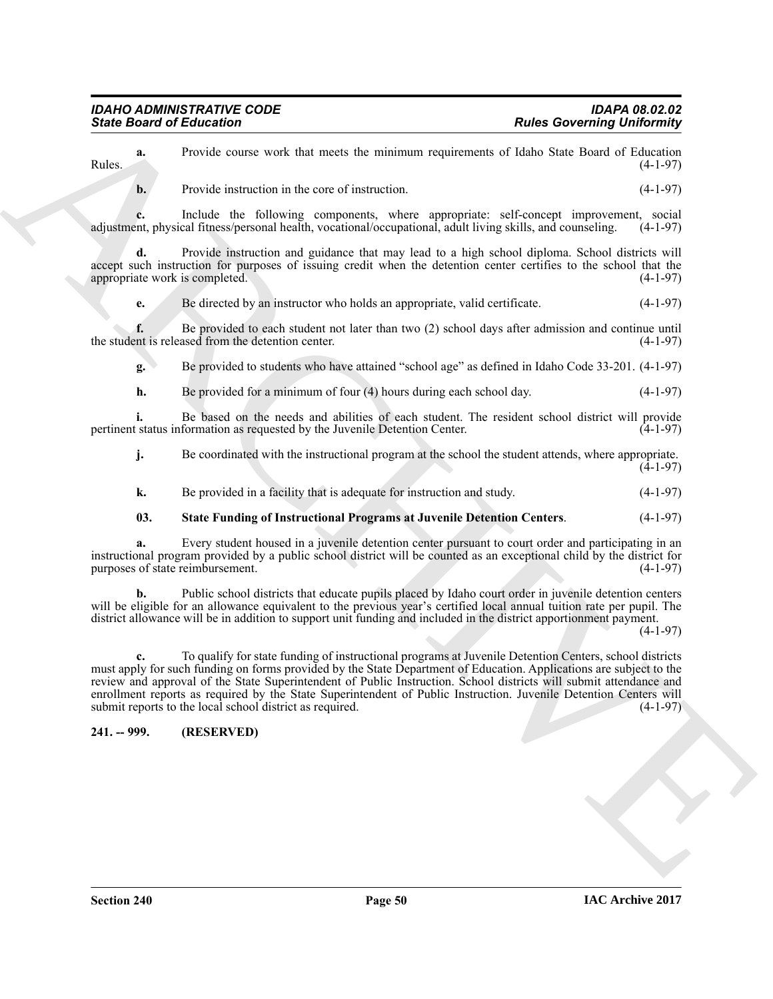**a.** Provide course work that meets the minimum requirements of Idaho State Board of Education (4-1-97) Rules. (4-1-97)

**b.** Provide instruction in the core of instruction. (4-1-97)

**c.** Include the following components, where appropriate: self-concept improvement, social ent, physical fitness/personal health, vocational/occupational, adult living skills, and counseling. (4-1-97) adjustment, physical fitness/personal health, vocational/occupational, adult living skills, and counseling.

**d.** Provide instruction and guidance that may lead to a high school diploma. School districts will accept such instruction for purposes of issuing credit when the detention center certifies to the school that the appropriate work is completed. (4-1-97) appropriate work is completed.

**e.** Be directed by an instructor who holds an appropriate, valid certificate.  $(4-1-97)$ 

**f.** Be provided to each student not later than two (2) school days after admission and continue until the student is released from the detention center. (4-1-97)

**g.** Be provided to students who have attained "school age" as defined in Idaho Code 33-201. (4-1-97)

**h.** Be provided for a minimum of four (4) hours during each school day. (4-1-97)

**i.** Be based on the needs and abilities of each student. The resident school district will provide status information as requested by the Juvenile Detention Center. (4-1-97) pertinent status information as requested by the Juvenile Detention Center.

|    | Be coordinated with the instructional program at the school the student attends, where appropriate. | $(4-1-97)$ |
|----|-----------------------------------------------------------------------------------------------------|------------|
| k. | Be provided in a facility that is adequate for instruction and study.                               | $(4-1-97)$ |

#### <span id="page-49-1"></span>**03. State Funding of Instructional Programs at Juvenile Detention Centers**. (4-1-97)

**a.** Every student housed in a juvenile detention center pursuant to court order and participating in an instructional program provided by a public school district will be counted as an exceptional child by the district for purposes of state reimbursement. (4-1-97)

**b.** Public school districts that educate pupils placed by Idaho court order in juvenile detention centers will be eligible for an allowance equivalent to the previous year's certified local annual tuition rate per pupil. The district allowance will be in addition to support unit funding and included in the district apportionment payment.

(4-1-97)

Since Board of Enterston contact the method contact of the subset of the subset of the subset of the subset of the subset of the subset of the subset of the subset of the subset of the subset of the subset of the subset o **c.** To qualify for state funding of instructional programs at Juvenile Detention Centers, school districts must apply for such funding on forms provided by the State Department of Education. Applications are subject to the review and approval of the State Superintendent of Public Instruction. School districts will submit attendance and enrollment reports as required by the State Superintendent of Public Instruction. Juvenile Detention Centers will submit reports to the local school district as required. (4-1-97) submit reports to the local school district as required.

#### <span id="page-49-0"></span>**241. -- 999. (RESERVED)**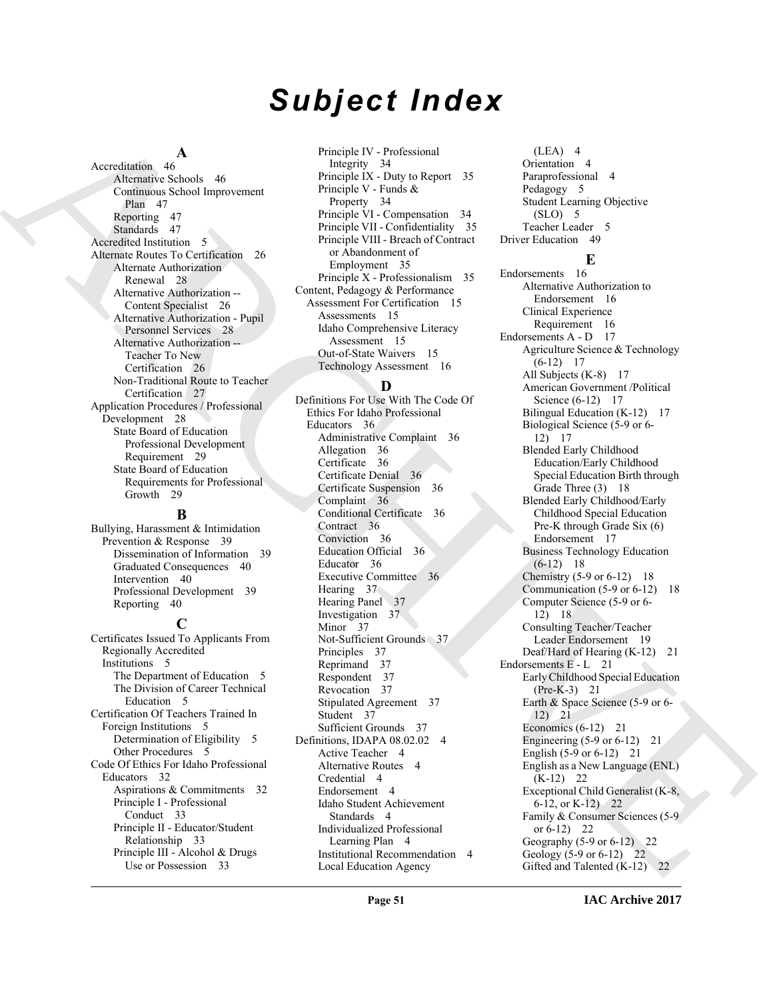# *Subject Index*

#### **A**

Accreditation 46 Alternative Schools 46 Continuous School Improvement Plan 47 Reporting 47 Standards 47 Accredited Institution 5 Alternate Routes To Certification 26 Alternate Authorization Renewal 28 Alternative Authorization -- Content Specialist 26 Alternative Authorization - Pupil Personnel Services 28 Alternative Authorization -- Teacher To New Certification 26 Non-Traditional Route to Teacher Certification 27 Application Procedures / Professional Development 28 State Board of Education Professional Development Requirement 29 State Board of Education Requirements for Professional Growth 29

#### **B**

Bullying, Harassment & Intimidation Prevention & Response 39 Dissemination of Information 39 Graduated Consequences 40 Intervention 40 Professional Development 39 Reporting 40

#### **C**

Certificates Issued To Applicants From Regionally Accredited Institutions 5 The Department of Education 5 The Division of Career Technical Education 5 Certification Of Teachers Trained In Foreign Institutions 5 Determination of Eligibility 5 Other Procedures 5 Code Of Ethics For Idaho Professional Educators 32 Aspirations & Commitments 32 Principle I - Professional Conduct 33 Principle II - Educator/Student Relationship 33 Principle III - Alcohol & Drugs Use or Possession 33

Principle IV - Professional Integrity 34 Principle IX - Duty to Report 35 Principle V - Funds & Property 34 Principle VI - Compensation 34 Principle VII - Confidentiality 35 Principle VIII - Breach of Contract or Abandonment of Employment 35 Principle X - Professionalism 35 Content, Pedagogy & Performance Assessment For Certification 15 Assessments 15 Idaho Comprehensive Literacy Assessment 15 Out-of-State Waivers 15 Technology Assessment 16

#### **D**

Definitions For Use With The Code Of Ethics For Idaho Professional Educators 36 Administrative Complaint 36 Allegation 36 Certificate 36 Certificate Denial 36 Certificate Suspension 36 Complaint 36 Conditional Certificate 36 Contract 36 Conviction 36 Education Official 36 Educator 36 Executive Committee 36 Hearing 37 Hearing Panel 37 Investigation 37 Minor 37 Not-Sufficient Grounds 37 Principles 37 Reprimand 37 Respondent 37 Revocation 37 Stipulated Agreement 37 Student 37 Sufficient Grounds 37 Definitions, IDAPA 08.02.02 4 Active Teacher 4 Alternative Routes 4 Credential 4 Endorsement 4 Idaho Student Achievement Standards 4 Individualized Professional Learning Plan 4 Institutional Recommendation 4 Local Education Agency

(LEA) 4 Orientation 4 Paraprofessional 4 Pedagogy 5 Student Learning Objective (SLO) 5 Teacher Leader 5 Driver Education 49

#### **E**

[A](#page-46-4)rchival Andre Monter [C](#page-35-1)omputer (March 2) (1990) (1990) (1990) (1990) (1990) (1990) (1990) (1990) (1990) (1990) (1990) (1990) (1990) (1990) (1990) (1990) (1990) (1990) (1990) (1990) (1990) (1990) (1990) (1990) (1990) (1990 Endorsements 16 Alternative Authorization to Endorsement 16 Clinical Experience Requirement 16 Endorsements A - D 17 Agriculture Science & Technology  $(6-12)$  17 All Subjects (K-8) 17 American Government /Political Science (6-12) 17 Bilingual Education (K-12) 17 Biological Science (5-9 or 6- 12) 17 Blended Early Childhood Education/Early Childhood Special Education Birth through Grade Three (3) 18 Blended Early Childhood/Early Childhood Special Education Pre-K through Grade Six (6) Endorsement 17 Business Technology Education  $(6-12)$  18 Chemistry  $(5-9 \text{ or } 6-12)$  18 Communication (5-9 or 6-12) 18 Computer Science (5-9 or 6- 12) 18 Consulting Teacher/Teacher Leader Endorsement 19 Deaf/Hard of Hearing (K-12) 21 Endorsements E - L 21 Early Childhood Special Education (Pre-K-3) 21 Earth & Space Science (5-9 or 6- 12) 21 Economics (6-12) 21 Engineering  $(5-9 \text{ or } 6-12)$  21 English (5-9 or 6-12) 21 English as a New Language (ENL)  $(K-12)$  22 Exceptional Child Generalist (K-8, 6-12, or K-12) 22 Family & Consumer Sciences (5-9 or  $6-12$ ) 22 Geography (5-9 or 6-12) 22 Geology (5-9 or 6-12) 22 Gifted and Talented (K-12) 22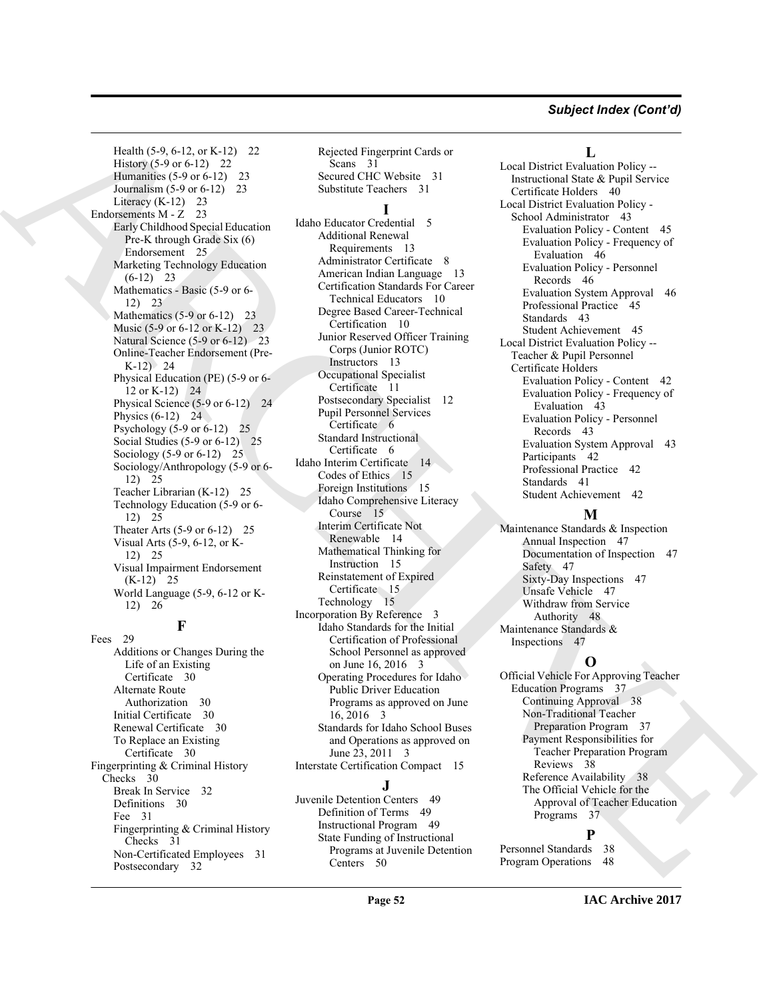#### *Subject Index (Cont'd)*

Health (5-9, 6-12, or K-12) 22 History (5-9 or 6-12) 22 Humanities (5-9 or 6-12) 23 Journalism (5-9 or 6-12) 23 Literacy  $(K-12)$  23 Endorsements M - Z 23 Early Childhood Special Education Pre-K through Grade Six (6) Endorsement 25 Marketing Technology Education  $(6-12)$ <sup>23</sup> Mathematics - Basic (5-9 or 6- 12) 23 Mathematics  $(5-9 \text{ or } 6-12)$  23 Music (5-9 or 6-12 or K-12) 23 Natural Science (5-9 or 6-12) 23 Online-Teacher Endorsement (Pre-K-12) 24 Physical Education (PE) (5-9 or 6- 12 or K-12) 24 Physical Science (5-9 or 6-12) 24 Physics  $(6-12)$  24 Psychology (5-9 or 6-12) 25 Social Studies (5-9 or 6-12) 25 Sociology (5-9 or 6-12) 25 Sociology/Anthropology (5-9 or 6- 12) 25 Teacher Librarian (K-12) 25 Technology Education (5-9 or 6- 12) 25 Theater Arts (5-9 or 6-12) 25 Visual Arts (5-9, 6-12, or K-12) 25 Visual Impairment Endorsement (K-12) 25 World Language (5-9, 6-12 or K-12) 26

### **F**

Fees 29 Additions or Changes During the Life of an Existing Certificate 30 Alternate Route Authorization 30 Initial Certificate 30 Renewal Certificate 30 To Replace an Existing Certificate 30 Fingerprinting & Criminal History Checks 30 Break In Service 32 Definitions 30 Fee 31 Fingerprinting & Criminal History Checks 31 Non-Certificated Employees 31 Postsecondary 32

Rejected Fingerprint Cards or Scans 31 Secured CHC Website 31 Substitute Teachers 31

#### **I**

[H](#page-5-1)ealth  $\phi$ ,  $\phi$ ,  $\phi$ ,  $\phi$ ,  $\phi$ ,  $\phi$ ,  $\phi$ ,  $\phi$ ,  $\phi$ ,  $\phi$ ,  $\phi$ ,  $\phi$ ,  $\phi$ ,  $\phi$ ,  $\phi$ ,  $\phi$ ,  $\phi$ ,  $\phi$ ,  $\phi$ ,  $\phi$ ,  $\phi$ ,  $\phi$ ,  $\phi$ ,  $\phi$ ,  $\phi$ ,  $\phi$ ,  $\phi$ ,  $\phi$ ,  $\phi$ ,  $\phi$ ,  $\phi$ ,  $\phi$ ,  $\phi$ ,  $\phi$ ,  $\phi$ ,  $\phi$ Idaho Educator Credential 5 Additional Renewal Requirements 13 Administrator Certificate 8 American Indian Language 13 Certification Standards For Career Technical Educators 10 Degree Based Career-Technical Certification 10 Junior Reserved Officer Training Corps (Junior ROTC) Instructors 13 Occupational Specialist Certificate 11 Postsecondary Specialist 12 Pupil Personnel Services Certificate 6 Standard Instructional Certificate 6 Idaho Interim Certificate 14 Codes of Ethics 15 Foreign Institutions 15 Idaho Comprehensive Literacy Course 15 Interim Certificate Not Renewable 14 Mathematical Thinking for Instruction 15 Reinstatement of Expired Certificate 15 Technology 15 Incorporation By Reference 3 Idaho Standards for the Initial Certification of Professional School Personnel as approved on June 16, 2016 3 Operating Procedures for Idaho Public Driver Education Programs as approved on June 16, 2016 3 Standards for Idaho School Buses and Operations as approved on June 23, 2011 3 Interstate Certification Compact 15

#### **J**

Juvenile Detention Centers 49 Definition of Terms 49 Instructional Program 49 State Funding of Instructional Programs at Juvenile Detention Centers 50

#### **L**

Local District Evaluation Policy -- Instructional State & Pupil Service Certificate Holders 40 Local District Evaluation Policy - School Administrator 43 Evaluation Policy - Content 45 Evaluation Policy - Frequency of Evaluation 46 Evaluation Policy - Personnel Records 46 Evaluation System Approval 46 Professional Practice 45 Standards 43 Student Achievement 45 Local District Evaluation Policy -- Teacher & Pupil Personnel Certificate Holders Evaluation Policy - Content 42 Evaluation Policy - Frequency of Evaluation 43 Evaluation Policy - Personnel Records 43 Evaluation System Approval 43 Participants 42 Professional Practice 42 Standards 41 Student Achievement 42

#### **M**

Maintenance Standards & Inspection Annual Inspection 47 Documentation of Inspection 47 Safety 47 Sixty-Day Inspections 47 Unsafe Vehicle 47 Withdraw from Service Authority 48 Maintenance Standards & Inspections 47

#### **O**

Official Vehicle For Approving Teacher Education Programs 37 Continuing Approval 38 Non-Traditional Teacher Preparation Program 37 Payment Responsibilities for Teacher Preparation Program Reviews 38 Reference Availability 38 The Official Vehicle for the Approval of Teacher Education Programs 37

### **P**

Personnel Standards 38 Program Operations 48